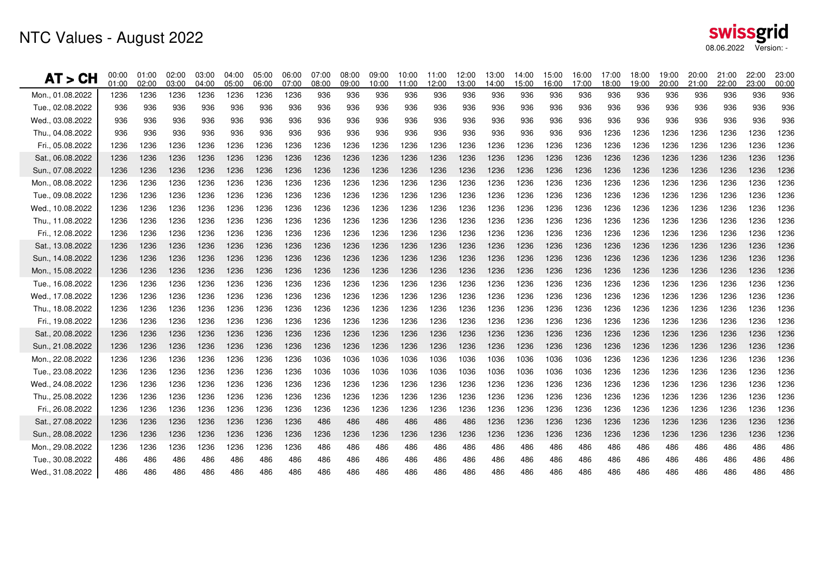# NTC Values - August 2022

| AT > CH          | 00:00<br>01:00 | 01:00<br>02:00 | 02:00<br>03:00 | 03:00<br>04:00 | 04:00<br>05:00 | 05:00<br>06:00 | 06:00<br>07:00 | 07:00<br>08:00 | 08:00<br>09:00 | 09:00<br>10:00 | 10:00<br>11:00 | 11:00<br>12:00 | 12:00<br>13:00 | 13:00<br>14:00 | 14:00<br>15:00 | 15:00<br>16:00 | 16:00<br>17:00 | 17:00<br>18:00 | 18:00<br>19:00 | 19:00<br>20:00 | 20:00<br>21:00 | 21:00<br>22:00 | 22:00<br>23:00 | 23:00<br>00:00 |
|------------------|----------------|----------------|----------------|----------------|----------------|----------------|----------------|----------------|----------------|----------------|----------------|----------------|----------------|----------------|----------------|----------------|----------------|----------------|----------------|----------------|----------------|----------------|----------------|----------------|
| Mon., 01.08.2022 | 1236           | 1236           | 1236           | 1236           | 1236           | 1236           | 1236           | 936            | 936            | 936            | 936            | 936            | 936            | 936            | 936            | 936            | 936            | 936            | 936            | 936            | 936            | 936            | 936            | 936            |
| Tue., 02.08.2022 | 936            | 936            | 936            | 936            | 936            | 936            | 936            | 936            | 936            | 936            | 936            | 936            | 936            | 936            | 936            | 936            | 936            | 936            | 936            | 936            | 936            | 936            | 936            | 936            |
| Wed., 03.08.2022 | 936            | 936            | 936            | 936            | 936            | 936            | 936            | 936            | 936            | 936            | 936            | 936            | 936            | 936            | 936            | 936            | 936            | 936            | 936            | 936            | 936            | 936            | 936            | 936            |
| Thu., 04.08.2022 | 936            | 936            | 936            | 936            | 936            | 936            | 936            | 936            | 936            | 936            | 936            | 936            | 936            | 936            | 936            | 936            | 936            | 1236           | 1236           | 1236           | 1236           | 1236           | 1236           | 1236           |
| Fri., 05.08.2022 | 1236           | 1236           | 1236           | 1236           | 1236           | 1236           | 1236           | 1236           | 1236           | 1236           | 1236           | 1236           | 1236           | 1236           | 1236           | 1236           | 1236           | 1236           | 1236           | 1236           | 1236           | 1236           | 1236           | 1236           |
| Sat., 06.08.2022 | 1236           | 1236           | 1236           | 1236           | 1236           | 1236           | 1236           | 1236           | 1236           | 1236           | 1236           | 1236           | 1236           | 1236           | 1236           | 1236           | 1236           | 1236           | 1236           | 1236           | 1236           | 1236           | 1236           | 1236           |
| Sun., 07.08.2022 | 1236           | 1236           | 1236           | 1236           | 1236           | 1236           | 1236           | 1236           | 1236           | 1236           | 1236           | 1236           | 1236           | 1236           | 1236           | 1236           | 1236           | 1236           | 1236           | 1236           | 1236           | 1236           | 1236           | 1236           |
| Mon., 08.08.2022 | 1236           | 1236           | 1236           | 1236           | 1236           | 1236           | 1236           | 1236           | 1236           | 1236           | 1236           | 1236           | 1236           | 1236           | 1236           | 1236           | 1236           | 1236           | 1236           | 1236           | 1236           | 1236           | 1236           | 1236           |
| Tue., 09.08.2022 | 1236           | 1236           | 1236           | 1236           | 1236           | 1236           | 1236           | 1236           | 1236           | 1236           | 1236           | 1236           | 1236           | 1236           | 1236           | 1236           | 1236           | 1236           | 1236           | 1236           | 1236           | 1236           | 1236           | 1236           |
| Wed., 10.08.2022 | 1236           | 1236           | 1236           | 1236           | 1236           | 1236           | 1236           | 1236           | 1236           | 1236           | 1236           | 1236           | 1236           | 1236           | 1236           | 1236           | 1236           | 1236           | 1236           | 1236           | 1236           | 1236           | 1236           | 1236           |
| Thu., 11.08.2022 | 1236           | 1236           | 1236           | 1236           | 1236           | 1236           | 1236           | 1236           | 1236           | 1236           | 1236           | 1236           | 1236           | 1236           | 1236           | 1236           | 1236           | 1236           | 1236           | 1236           | 1236           | 1236           | 1236           | 1236           |
| Fri., 12.08.2022 | 1236           | 1236           | 1236           | 1236           | 1236           | 1236           | 1236           | 1236           | 1236           | 1236           | 1236           | 1236           | 1236           | 1236           | 1236           | 1236           | 1236           | 1236           | 1236           | 1236           | 1236           | 1236           | 1236           | 1236           |
| Sat., 13.08.2022 | 1236           | 1236           | 1236           | 1236           | 1236           | 1236           | 1236           | 1236           | 1236           | 1236           | 1236           | 1236           | 1236           | 1236           | 1236           | 1236           | 1236           | 1236           | 1236           | 1236           | 1236           | 1236           | 1236           | 1236           |
| Sun., 14.08.2022 | 1236           | 1236           | 1236           | 1236           | 1236           | 1236           | 1236           | 1236           | 1236           | 1236           | 1236           | 1236           | 1236           | 1236           | 1236           | 1236           | 1236           | 1236           | 1236           | 1236           | 1236           | 1236           | 1236           | 1236           |
| Mon., 15.08.2022 | 1236           | 1236           | 1236           | 1236           | 1236           | 1236           | 1236           | 1236           | 1236           | 1236           | 1236           | 1236           | 1236           | 1236           | 1236           | 1236           | 1236           | 1236           | 1236           | 1236           | 1236           | 1236           | 1236           | 1236           |
| Tue., 16.08.2022 | 1236           | 1236           | 1236           | 1236           | 1236           | 1236           | 1236           | 1236           | 1236           | 1236           | 1236           | 1236           | 1236           | 1236           | 1236           | 1236           | 1236           | 1236           | 1236           | 1236           | 1236           | 1236           | 1236           | 1236           |
| Wed., 17.08.2022 | 1236           | 1236           | 1236           | 1236           | 1236           | 1236           | 1236           | 1236           | 1236           | 1236           | 1236           | 1236           | 1236           | 1236           | 1236           | 1236           | 1236           | 1236           | 1236           | 1236           | 1236           | 1236           | 1236           | 1236           |
| Thu., 18.08.2022 | 1236           | 1236           | 1236           | 1236           | 1236           | 1236           | 1236           | 1236           | 1236           | 1236           | 1236           | 1236           | 1236           | 1236           | 1236           | 1236           | 1236           | 1236           | 1236           | 1236           | 1236           | 1236           | 1236           | 1236           |
| Fri., 19.08.2022 | 1236           | 1236           | 1236           | 1236           | 1236           | 1236           | 1236           | 1236           | 1236           | 1236           | 1236           | 1236           | 1236           | 1236           | 1236           | 1236           | 1236           | 1236           | 1236           | 1236           | 1236           | 1236           | 1236           | 1236           |
| Sat., 20.08.2022 | 1236           | 1236           | 1236           | 1236           | 1236           | 1236           | 1236           | 1236           | 1236           | 1236           | 1236           | 1236           | 1236           | 1236           | 1236           | 1236           | 1236           | 1236           | 1236           | 1236           | 1236           | 1236           | 1236           | 1236           |
| Sun., 21.08.2022 | 1236           | 1236           | 1236           | 1236           | 1236           | 1236           | 1236           | 1236           | 1236           | 1236           | 1236           | 1236           | 1236           | 1236           | 1236           | 1236           | 1236           | 1236           | 1236           | 1236           | 1236           | 1236           | 1236           | 1236           |
| Mon., 22.08.2022 | 1236           | 1236           | 1236           | 1236           | 1236           | 1236           | 1236           | 1036           | 1036           | 1036           | 1036           | 1036           | 1036           | 1036           | 1036           | 1036           | 1036           | 1236           | 1236           | 1236           | 1236           | 1236           | 1236           | 1236           |
| Tue., 23.08.2022 | 1236           | 1236           | 1236           | 1236           | 1236           | 1236           | 1236           | 1036           | 1036           | 1036           | 1036           | 1036           | 1036           | 1036           | 1036           | 1036           | 1036           | 1236           | 1236           | 1236           | 1236           | 1236           | 1236           | 1236           |
| Wed., 24.08.2022 | 1236           | 1236           | 1236           | 1236           | 1236           | 1236           | 1236           | 1236           | 1236           | 1236           | 1236           | 1236           | 1236           | 1236           | 1236           | 1236           | 1236           | 1236           | 1236           | 1236           | 1236           | 1236           | 1236           | 1236           |
| Thu., 25.08.2022 | 1236           | 1236           | 1236           | 1236           | 1236           | 1236           | 1236           | 1236           | 1236           | 1236           | 1236           | 1236           | 1236           | 1236           | 1236           | 1236           | 1236           | 1236           | 1236           | 1236           | 1236           | 1236           | 1236           | 1236           |
| Fri., 26.08.2022 | 1236           | 1236           | 1236           | 1236           | 1236           | 1236           | 1236           | 1236           | 1236           | 1236           | 1236           | 1236           | 1236           | 1236           | 1236           | 1236           | 1236           | 1236           | 1236           | 1236           | 1236           | 1236           | 1236           | 1236           |
| Sat., 27.08.2022 | 1236           | 1236           | 1236           | 1236           | 1236           | 1236           | 1236           | 486            | 486            | 486            | 486            | 486            | 486            | 1236           | 1236           | 1236           | 1236           | 1236           | 1236           | 1236           | 1236           | 1236           | 1236           | 1236           |
| Sun., 28.08.2022 | 1236           | 1236           | 1236           | 1236           | 1236           | 1236           | 1236           | 1236           | 1236           | 1236           | 1236           | 1236           | 1236           | 1236           | 1236           | 1236           | 1236           | 1236           | 1236           | 1236           | 1236           | 1236           | 1236           | 1236           |
| Mon., 29.08.2022 | 1236           | 1236           | 1236           | 1236           | 1236           | 1236           | 1236           | 486            | 486            | 486            | 486            | 486            | 486            | 486            | 486            | 486            | 486            | 486            | 486            | 486            | 486            | 486            | 486            | 486            |
| Tue., 30.08.2022 | 486            | 486            | 486            | 486            | 486            | 486            | 486            | 486            | 486            | 486            | 486            | 486            | 486            | 486            | 486            | 486            | 486            | 486            | 486            | 486            | 486            | 486            | 486            | 486            |
| Wed., 31.08.2022 | 486            | 486            | 486            | 486            | 486            | 486            | 486            | 486            | 486            | 486            | 486            | 486            | 486            | 486            | 486            | 486            | 486            | 486            | 486            | 486            | 486            | 486            | 486            | 486            |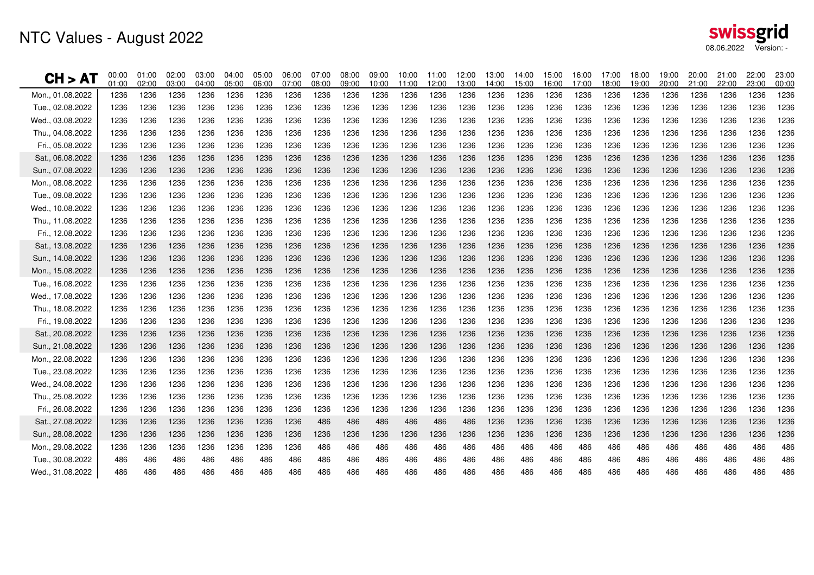| CH > AT          | 00:00<br>01:00 | 01:00<br>02:00 | 02:00<br>03:00 | 03:00<br>04:00 | 04:00<br>05:00 | 05:00<br>06:00 | 06:00<br>07:00 | 07:00<br>08:00 | 08:00<br>09:00 | 09:00<br>10:00 | 10:00<br>11:00 | 11:00<br>12:00 | 12:00<br>13:00 | 13:00<br>14:00 | 14:00<br>15:00 | 15:00<br>16:00 | 16:00<br>17:00 | 17:00<br>18:00 | 18:00<br>19:00 | 19:00<br>20:00 | 20:00<br>21:00 | 21:00<br>22:00 | 22:00<br>23:00 | 23:00<br>00:00 |
|------------------|----------------|----------------|----------------|----------------|----------------|----------------|----------------|----------------|----------------|----------------|----------------|----------------|----------------|----------------|----------------|----------------|----------------|----------------|----------------|----------------|----------------|----------------|----------------|----------------|
| Mon., 01.08.2022 | 1236           | 1236           | 1236           | 1236           | 1236           | 1236           | 1236           | 1236           | 1236           | 1236           | 1236           | 1236           | 1236           | 1236           | 1236           | 1236           | 1236           | 1236           | 1236           | 1236           | 1236           | 1236           | 1236           | 1236           |
| Tue., 02.08.2022 | 1236           | 1236           | 1236           | 1236           | 1236           | 1236           | 1236           | 1236           | 1236           | 1236           | 1236           | 1236           | 1236           | 1236           | 1236           | 1236           | 1236           | 1236           | 1236           | 1236           | 1236           | 1236           | 1236           | 1236           |
| Wed., 03.08.2022 | 1236           | 1236           | 1236           | 1236           | 1236           | 1236           | 1236           | 1236           | 1236           | 1236           | 1236           | 1236           | 1236           | 1236           | 1236           | 1236           | 1236           | 1236           | 1236           | 1236           | 1236           | 1236           | 1236           | 1236           |
| Thu., 04.08.2022 | 1236           | 1236           | 1236           | 1236           | 1236           | 1236           | 1236           | 1236           | 1236           | 1236           | 1236           | 1236           | 1236           | 1236           | 1236           | 1236           | 1236           | 1236           | 1236           | 1236           | 1236           | 1236           | 1236           | 1236           |
| Fri., 05.08.2022 | 1236           | 1236           | 1236           | 1236           | 1236           | 1236           | 1236           | 1236           | 1236           | 1236           | 1236           | 1236           | 1236           | 1236           | 1236           | 1236           | 1236           | 1236           | 1236           | 1236           | 1236           | 1236           | 1236           | 1236           |
| Sat., 06.08.2022 | 1236           | 1236           | 1236           | 1236           | 1236           | 1236           | 1236           | 1236           | 1236           | 1236           | 1236           | 1236           | 1236           | 1236           | 1236           | 1236           | 1236           | 1236           | 1236           | 1236           | 1236           | 1236           | 1236           | 1236           |
| Sun., 07.08.2022 | 1236           | 1236           | 1236           | 1236           | 1236           | 1236           | 1236           | 1236           | 1236           | 1236           | 1236           | 1236           | 1236           | 1236           | 1236           | 1236           | 1236           | 1236           | 1236           | 1236           | 1236           | 1236           | 1236           | 1236           |
| Mon., 08.08.2022 | 1236           | 1236           | 1236           | 1236           | 1236           | 1236           | 1236           | 1236           | 1236           | 1236           | 1236           | 1236           | 1236           | 1236           | 1236           | 1236           | 1236           | 1236           | 1236           | 1236           | 1236           | 1236           | 1236           | 1236           |
| Tue., 09.08.2022 | 1236           | 1236           | 1236           | 1236           | 1236           | 1236           | 1236           | 1236           | 1236           | 1236           | 1236           | 1236           | 1236           | 1236           | 1236           | 1236           | 1236           | 1236           | 1236           | 1236           | 1236           | 1236           | 1236           | 1236           |
| Wed., 10.08.2022 | 1236           | 1236           | 1236           | 1236           | 1236           | 1236           | 1236           | 1236           | 1236           | 1236           | 1236           | 1236           | 1236           | 1236           | 1236           | 1236           | 1236           | 1236           | 1236           | 1236           | 1236           | 1236           | 1236           | 1236           |
| Thu., 11.08.2022 | 1236           | 1236           | 1236           | 1236           | 1236           | 1236           | 1236           | 1236           | 1236           | 1236           | 1236           | 1236           | 1236           | 1236           | 1236           | 1236           | 1236           | 1236           | 1236           | 1236           | 1236           | 1236           | 1236           | 1236           |
| Fri., 12.08.2022 | 1236           | 1236           | 1236           | 1236           | 1236           | 1236           | 1236           | 1236           | 1236           | 1236           | 1236           | 1236           | 1236           | 1236           | 1236           | 1236           | 1236           | 1236           | 1236           | 1236           | 1236           | 1236           | 1236           | 1236           |
| Sat., 13.08.2022 | 1236           | 1236           | 1236           | 1236           | 1236           | 1236           | 1236           | 1236           | 1236           | 1236           | 1236           | 1236           | 1236           | 1236           | 1236           | 1236           | 1236           | 1236           | 1236           | 1236           | 1236           | 1236           | 1236           | 1236           |
| Sun., 14.08.2022 | 1236           | 1236           | 1236           | 1236           | 1236           | 1236           | 1236           | 1236           | 1236           | 1236           | 1236           | 1236           | 1236           | 1236           | 1236           | 1236           | 1236           | 1236           | 1236           | 1236           | 1236           | 1236           | 1236           | 1236           |
| Mon., 15.08.2022 | 1236           | 1236           | 1236           | 1236           | 1236           | 1236           | 1236           | 1236           | 1236           | 1236           | 1236           | 1236           | 1236           | 1236           | 1236           | 1236           | 1236           | 1236           | 1236           | 1236           | 1236           | 1236           | 1236           | 1236           |
| Tue., 16.08.2022 | 1236           | 1236           | 1236           | 1236           | 1236           | 1236           | 1236           | 1236           | 1236           | 1236           | 1236           | 1236           | 1236           | 1236           | 1236           | 1236           | 1236           | 1236           | 1236           | 1236           | 1236           | 1236           | 1236           | 1236           |
| Wed., 17.08.2022 | 1236           | 1236           | 1236           | 1236           | 1236           | 1236           | 1236           | 1236           | 1236           | 1236           | 1236           | 1236           | 1236           | 1236           | 1236           | 1236           | 1236           | 1236           | 1236           | 1236           | 1236           | 1236           | 1236           | 1236           |
| Thu., 18.08.2022 | 1236           | 1236           | 1236           | 1236           | 1236           | 1236           | 1236           | 1236           | 1236           | 1236           | 1236           | 1236           | 1236           | 1236           | 1236           | 1236           | 1236           | 1236           | 1236           | 1236           | 1236           | 1236           | 1236           | 1236           |
| Fri., 19.08.2022 | 1236           | 1236           | 1236           | 1236           | 1236           | 1236           | 1236           | 1236           | 1236           | 1236           | 1236           | 1236           | 1236           | 1236           | 1236           | 1236           | 1236           | 1236           | 1236           | 1236           | 1236           | 1236           | 1236           | 1236           |
| Sat., 20.08.2022 | 1236           | 1236           | 1236           | 1236           | 1236           | 1236           | 1236           | 1236           | 1236           | 1236           | 1236           | 1236           | 1236           | 1236           | 1236           | 1236           | 1236           | 1236           | 1236           | 1236           | 1236           | 1236           | 1236           | 1236           |
| Sun., 21.08.2022 | 1236           | 1236           | 1236           | 1236           | 1236           | 1236           | 1236           | 1236           | 1236           | 1236           | 1236           | 1236           | 1236           | 1236           | 1236           | 1236           | 1236           | 1236           | 1236           | 1236           | 1236           | 1236           | 1236           | 1236           |
| Mon., 22.08.2022 | 1236           | 1236           | 1236           | 1236           | 1236           | 1236           | 1236           | 1236           | 1236           | 1236           | 1236           | 1236           | 1236           | 1236           | 1236           | 1236           | 1236           | 1236           | 1236           | 1236           | 1236           | 1236           | 1236           | 1236           |
| Tue., 23.08.2022 | 1236           | 1236           | 1236           | 1236           | 1236           | 1236           | 1236           | 1236           | 1236           | 1236           | 1236           | 1236           | 1236           | 1236           | 1236           | 1236           | 1236           | 1236           | 1236           | 1236           | 1236           | 1236           | 1236           | 1236           |
| Wed., 24.08.2022 | 1236           | 1236           | 1236           | 1236           | 1236           | 1236           | 1236           | 1236           | 1236           | 1236           | 1236           | 1236           | 1236           | 1236           | 1236           | 1236           | 1236           | 1236           | 1236           | 1236           | 1236           | 1236           | 1236           | 1236           |
| Thu., 25.08.2022 | 1236           | 1236           | 1236           | 1236           | 1236           | 1236           | 1236           | 1236           | 1236           | 1236           | 1236           | 1236           | 1236           | 1236           | 1236           | 1236           | 1236           | 1236           | 1236           | 1236           | 1236           | 1236           | 1236           | 1236           |
| Fri., 26.08.2022 | 1236           | 1236           | 1236           | 1236           | 1236           | 1236           | 1236           | 1236           | 1236           | 1236           | 1236           | 1236           | 1236           | 1236           | 1236           | 1236           | 1236           | 1236           | 1236           | 1236           | 1236           | 1236           | 1236           | 1236           |
| Sat., 27.08.2022 | 1236           | 1236           | 1236           | 1236           | 1236           | 1236           | 1236           | 486            | 486            | 486            | 486            | 486            | 486            | 1236           | 1236           | 1236           | 1236           | 1236           | 1236           | 1236           | 1236           | 1236           | 1236           | 1236           |
| Sun., 28.08.2022 | 1236           | 1236           | 1236           | 1236           | 1236           | 1236           | 1236           | 1236           | 1236           | 1236           | 1236           | 1236           | 1236           | 1236           | 1236           | 1236           | 1236           | 1236           | 1236           | 1236           | 1236           | 1236           | 1236           | 1236           |
| Mon., 29.08.2022 | 1236           | 1236           | 1236           | 1236           | 1236           | 1236           | 1236           | 486            | 486            | 486            | 486            | 486            | 486            | 486            | 486            | 486            | 486            | 486            | 486            | 486            | 486            | 486            | 486            | 486            |
| Tue., 30.08.2022 | 486            | 486            | 486            | 486            | 486            | 486            | 486            | 486            | 486            | 486            | 486            | 486            | 486            | 486            | 486            | 486            | 486            | 486            | 486            | 486            | 486            | 486            | 486            | 486            |
| Wed., 31.08.2022 | 486            | 486            | 486            | 486            | 486            | 486            | 486            | 486            | 486            | 486            | 486            | 486            | 486            | 486            | 486            | 486            | 486            | 486            | 486            | 486            | 486            | 486            | 486            | 486            |
|                  |                |                |                |                |                |                |                |                |                |                |                |                |                |                |                |                |                |                |                |                |                |                |                |                |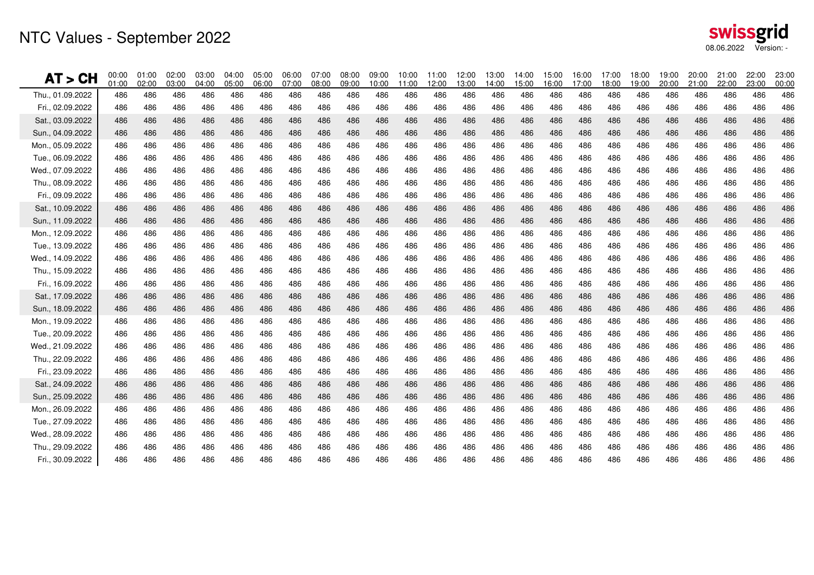## NTC Values - September 2022

| AT > CH          | 00:00<br>01:00 | 01:00<br>02:00 | 02:00<br>03:00 | 03:00<br>04:00 | 04:00<br>05:00 | 05:00<br>06:00 | 06:00<br>07:00 | 07:00<br>08:00 | 08:00<br>09:00 | 09:00<br>10:00 | 10:00<br>11:00 | 11:00<br>12:00 | 12:00<br>13:00 | 13:00<br>14:00 | 14:00<br>15:00 | 15:00<br>16:00 | 16:00<br>17:00 | 17:00<br>18:00 | 18:00<br>19:00 | 19:00<br>20:00 | 20:00<br>21:00 | 21:00<br>22:00 | 22:00<br>23:00 | 23:00<br>00:00 |
|------------------|----------------|----------------|----------------|----------------|----------------|----------------|----------------|----------------|----------------|----------------|----------------|----------------|----------------|----------------|----------------|----------------|----------------|----------------|----------------|----------------|----------------|----------------|----------------|----------------|
| Thu., 01.09.2022 | 486            | 486            | 486            | 486            | 486            | 486            | 486            | 486            | 486            | 486            | 486            | 486            | 486            | 486            | 486            | 486            | 486            | 486            | 486            | 486            | 486            | 486            | 486            | 486            |
| Fri., 02.09.2022 | 486            | 486            | 486            | 486            | 486            | 486            | 486            | 486            | 486            | 486            | 486            | 486            | 486            | 486            | 486            | 486            | 486            | 486            | 486            | 486            | 486            | 486            | 486            | 486            |
| Sat., 03.09.2022 | 486            | 486            | 486            | 486            | 486            | 486            | 486            | 486            | 486            | 486            | 486            | 486            | 486            | 486            | 486            | 486            | 486            | 486            | 486            | 486            | 486            | 486            | 486            | 486            |
| Sun., 04.09.2022 | 486            | 486            | 486            | 486            | 486            | 486            | 486            | 486            | 486            | 486            | 486            | 486            | 486            | 486            | 486            | 486            | 486            | 486            | 486            | 486            | 486            | 486            | 486            | 486            |
| Mon., 05.09.2022 | 486            | 486            | 486            | 486            | 486            | 486            | 486            | 486            | 486            | 486            | 486            | 486            | 486            | 486            | 486            | 486            | 486            | 486            | 486            | 486            | 486            | 486            | 486            | 486            |
| Tue., 06.09.2022 | 486            | 486            | 486            | 486            | 486            | 486            | 486            | 486            | 486            | 486            | 486            | 486            | 486            | 486            | 486            | 486            | 486            | 486            | 486            | 486            | 486            | 486            | 486            | 486            |
| Wed., 07.09.2022 | 486            | 486            | 486            | 486            | 486            | 486            | 486            | 486            | 486            | 486            | 486            | 486            | 486            | 486            | 486            | 486            | 486            | 486            | 486            | 486            | 486            | 486            | 486            | 486            |
| Thu., 08.09.2022 | 486            | 486            | 486            | 486            | 486            | 486            | 486            | 486            | 486            | 486            | 486            | 486            | 486            | 486            | 486            | 486            | 486            | 486            | 486            | 486            | 486            | 486            | 486            | 486            |
| Fri., 09.09.2022 | 486            | 486            | 486            | 486            | 486            | 486            | 486            | 486            | 486            | 486            | 486            | 486            | 486            | 486            | 486            | 486            | 486            | 486            | 486            | 486            | 486            | 486            | 486            | 486            |
| Sat., 10.09.2022 | 486            | 486            | 486            | 486            | 486            | 486            | 486            | 486            | 486            | 486            | 486            | 486            | 486            | 486            | 486            | 486            | 486            | 486            | 486            | 486            | 486            | 486            | 486            | 486            |
| Sun., 11.09.2022 | 486            | 486            | 486            | 486            | 486            | 486            | 486            | 486            | 486            | 486            | 486            | 486            | 486            | 486            | 486            | 486            | 486            | 486            | 486            | 486            | 486            | 486            | 486            | 486            |
| Mon., 12.09.2022 | 486            | 486            | 486            | 486            | 486            | 486            | 486            | 486            | 486            | 486            | 486            | 486            | 486            | 486            | 486            | 486            | 486            | 486            | 486            | 486            | 486            | 486            | 486            | 486            |
| Tue., 13.09.2022 | 486            | 486            | 486            | 486            | 486            | 486            | 486            | 486            | 486            | 486            | 486            | 486            | 486            | 486            | 486            | 486            | 486            | 486            | 486            | 486            | 486            | 486            | 486            | 486            |
| Wed., 14.09.2022 | 486            | 486            | 486            | 486            | 486            | 486            | 486            | 486            | 486            | 486            | 486            | 486            | 486            | 486            | 486            | 486            | 486            | 486            | 486            | 486            | 486            | 486            | 486            | 486            |
| Thu., 15.09.2022 | 486            | 486            | 486            | 486            | 486            | 486            | 486            | 486            | 486            | 486            | 486            | 486            | 486            | 486            | 486            | 486            | 486            | 486            | 486            | 486            | 486            | 486            | 486            | 486            |
| Fri., 16.09.2022 | 486            | 486            | 486            | 486            | 486            | 486            | 486            | 486            | 486            | 486            | 486            | 486            | 486            | 486            | 486            | 486            | 486            | 486            | 486            | 486            | 486            | 486            | 486            | 486            |
| Sat., 17.09.2022 | 486            | 486            | 486            | 486            | 486            | 486            | 486            | 486            | 486            | 486            | 486            | 486            | 486            | 486            | 486            | 486            | 486            | 486            | 486            | 486            | 486            | 486            | 486            | 486            |
| Sun., 18.09.2022 | 486            | 486            | 486            | 486            | 486            | 486            | 486            | 486            | 486            | 486            | 486            | 486            | 486            | 486            | 486            | 486            | 486            | 486            | 486            | 486            | 486            | 486            | 486            | 486            |
| Mon., 19.09.2022 | 486            | 486            | 486            | 486            | 486            | 486            | 486            | 486            | 486            | 486            | 486            | 486            | 486            | 486            | 486            | 486            | 486            | 486            | 486            | 486            | 486            | 486            | 486            | 486            |
| Tue., 20.09.2022 | 486            | 486            | 486            | 486            | 486            | 486            | 486            | 486            | 486            | 486            | 486            | 486            | 486            | 486            | 486            | 486            | 486            | 486            | 486            | 486            | 486            | 486            | 486            | 486            |
| Wed., 21.09.2022 | 486            | 486            | 486            | 486            | 486            | 486            | 486            | 486            | 486            | 486            | 486            | 486            | 486            | 486            | 486            | 486            | 486            | 486            | 486            | 486            | 486            | 486            | 486            | 486            |
| Thu., 22.09.2022 | 486            | 486            | 486            | 486            | 486            | 486            | 486            | 486            | 486            | 486            | 486            | 486            | 486            | 486            | 486            | 486            | 486            | 486            | 486            | 486            | 486            | 486            | 486            | 486            |
| Fri., 23.09.2022 | 486            | 486            | 486            | 486            | 486            | 486            | 486            | 486            | 486            | 486            | 486            | 486            | 486            | 486            | 486            | 486            | 486            | 486            | 486            | 486            | 486            | 486            | 486            | 486            |
| Sat., 24.09.2022 | 486            | 486            | 486            | 486            | 486            | 486            | 486            | 486            | 486            | 486            | 486            | 486            | 486            | 486            | 486            | 486            | 486            | 486            | 486            | 486            | 486            | 486            | 486            | 486            |
| Sun., 25.09.2022 | 486            | 486            | 486            | 486            | 486            | 486            | 486            | 486            | 486            | 486            | 486            | 486            | 486            | 486            | 486            | 486            | 486            | 486            | 486            | 486            | 486            | 486            | 486            | 486            |
| Mon., 26.09.2022 | 486            | 486            | 486            | 486            | 486            | 486            | 486            | 486            | 486            | 486            | 486            | 486            | 486            | 486            | 486            | 486            | 486            | 486            | 486            | 486            | 486            | 486            | 486            | 486            |
| Tue., 27.09.2022 | 486            | 486            | 486            | 486            | 486            | 486            | 486            | 486            | 486            | 486            | 486            | 486            | 486            | 486            | 486            | 486            | 486            | 486            | 486            | 486            | 486            | 486            | 486            | 486            |
| Wed., 28.09.2022 | 486            | 486            | 486            | 486            | 486            | 486            | 486            | 486            | 486            | 486            | 486            | 486            | 486            | 486            | 486            | 486            | 486            | 486            | 486            | 486            | 486            | 486            | 486            | 486            |
| Thu., 29.09.2022 | 486            | 486            | 486            | 486            | 486            | 486            | 486            | 486            | 486            | 486            | 486            | 486            | 486            | 486            | 486            | 486            | 486            | 486            | 486            | 486            | 486            | 486            | 486            | 486            |
| Fri., 30.09.2022 | 486            | 486            | 486            | 486            | 486            | 486            | 486            | 486            | 486            | 486            | 486            | 486            | 486            | 486            | 486            | 486            | 486            | 486            | 486            | 486            | 486            | 486            | 486            | 486            |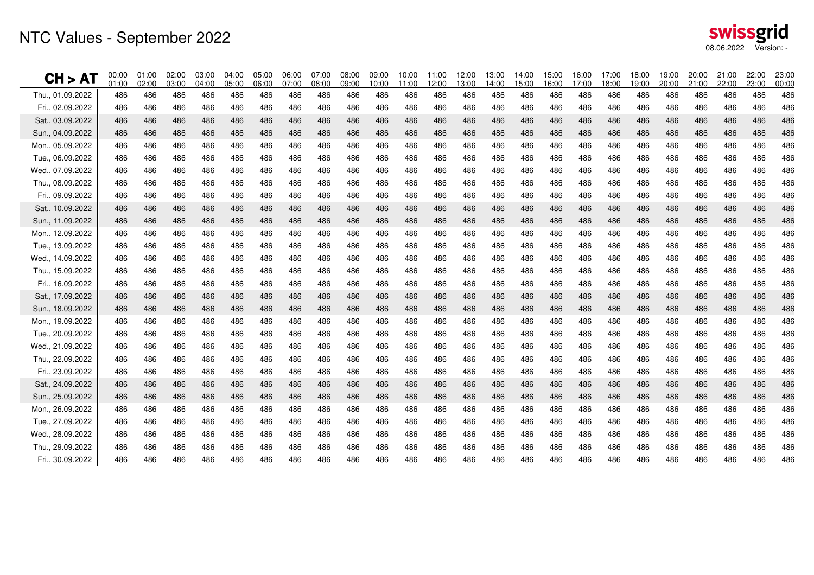## NTC Values - September 2022

| <b>CH &gt; AT</b> | 00:00<br>01:00 | 01:00<br>02:00 | 02:00<br>03:00 | 03:00<br>04:00 | 04:00<br>05:00 | 05:00<br>06:00 | 06:00<br>07:00 | 07:00<br>08:00 | 08:00<br>09:00 | 09:00<br>10:00 | 10:00<br>11:00 | 11:00<br>12:00 | 12:00<br>13:00 | 13:00<br>14:00 | 14:00<br>15:00 | 15:00<br>16:00 | 16:00<br>17:00 | 17:00<br>18:00 | 18:00<br>19:00 | 19:00<br>20:00 | 20:00<br>21:00 | 21:00<br>22:00 | 22:00<br>23:00 | 23:00<br>00:00 |
|-------------------|----------------|----------------|----------------|----------------|----------------|----------------|----------------|----------------|----------------|----------------|----------------|----------------|----------------|----------------|----------------|----------------|----------------|----------------|----------------|----------------|----------------|----------------|----------------|----------------|
| Thu., 01.09.2022  | 486            | 486            | 486            | 486            | 486            | 486            | 486            | 486            | 486            | 486            | 486            | 486            | 486            | 486            | 486            | 486            | 486            | 486            | 486            | 486            | 486            | 486            | 486            | 486            |
| Fri., 02.09.2022  | 486            | 486            | 486            | 486            | 486            | 486            | 486            | 486            | 486            | 486            | 486            | 486            | 486            | 486            | 486            | 486            | 486            | 486            | 486            | 486            | 486            | 486            | 486            | 486            |
| Sat., 03.09.2022  | 486            | 486            | 486            | 486            | 486            | 486            | 486            | 486            | 486            | 486            | 486            | 486            | 486            | 486            | 486            | 486            | 486            | 486            | 486            | 486            | 486            | 486            | 486            | 486            |
| Sun., 04.09.2022  | 486            | 486            | 486            | 486            | 486            | 486            | 486            | 486            | 486            | 486            | 486            | 486            | 486            | 486            | 486            | 486            | 486            | 486            | 486            | 486            | 486            | 486            | 486            | 486            |
| Mon., 05.09.2022  | 486            | 486            | 486            | 486            | 486            | 486            | 486            | 486            | 486            | 486            | 486            | 486            | 486            | 486            | 486            | 486            | 486            | 486            | 486            | 486            | 486            | 486            | 486            | 486            |
| Tue., 06.09.2022  | 486            | 486            | 486            | 486            | 486            | 486            | 486            | 486            | 486            | 486            | 486            | 486            | 486            | 486            | 486            | 486            | 486            | 486            | 486            | 486            | 486            | 486            | 486            | 486            |
| Wed., 07.09.2022  | 486            | 486            | 486            | 486            | 486            | 486            | 486            | 486            | 486            | 486            | 486            | 486            | 486            | 486            | 486            | 486            | 486            | 486            | 486            | 486            | 486            | 486            | 486            | 486            |
| Thu., 08.09.2022  | 486            | 486            | 486            | 486            | 486            | 486            | 486            | 486            | 486            | 486            | 486            | 486            | 486            | 486            | 486            | 486            | 486            | 486            | 486            | 486            | 486            | 486            | 486            | 486            |
| Fri., 09.09.2022  | 486            | 486            | 486            | 486            | 486            | 486            | 486            | 486            | 486            | 486            | 486            | 486            | 486            | 486            | 486            | 486            | 486            | 486            | 486            | 486            | 486            | 486            | 486            | 486            |
| Sat., 10.09.2022  | 486            | 486            | 486            | 486            | 486            | 486            | 486            | 486            | 486            | 486            | 486            | 486            | 486            | 486            | 486            | 486            | 486            | 486            | 486            | 486            | 486            | 486            | 486            | 486            |
| Sun., 11.09.2022  | 486            | 486            | 486            | 486            | 486            | 486            | 486            | 486            | 486            | 486            | 486            | 486            | 486            | 486            | 486            | 486            | 486            | 486            | 486            | 486            | 486            | 486            | 486            | 486            |
| Mon., 12.09.2022  | 486            | 486            | 486            | 486            | 486            | 486            | 486            | 486            | 486            | 486            | 486            | 486            | 486            | 486            | 486            | 486            | 486            | 486            | 486            | 486            | 486            | 486            | 486            | 486            |
| Tue., 13.09.2022  | 486            | 486            | 486            | 486            | 486            | 486            | 486            | 486            | 486            | 486            | 486            | 486            | 486            | 486            | 486            | 486            | 486            | 486            | 486            | 486            | 486            | 486            | 486            | 486            |
| Wed., 14.09.2022  | 486            | 486            | 486            | 486            | 486            | 486            | 486            | 486            | 486            | 486            | 486            | 486            | 486            | 486            | 486            | 486            | 486            | 486            | 486            | 486            | 486            | 486            | 486            | 486            |
| Thu., 15.09.2022  | 486            | 486            | 486            | 486            | 486            | 486            | 486            | 486            | 486            | 486            | 486            | 486            | 486            | 486            | 486            | 486            | 486            | 486            | 486            | 486            | 486            | 486            | 486            | 486            |
| Fri., 16.09.2022  | 486            | 486            | 486            | 486            | 486            | 486            | 486            | 486            | 486            | 486            | 486            | 486            | 486            | 486            | 486            | 486            | 486            | 486            | 486            | 486            | 486            | 486            | 486            | 486            |
| Sat., 17.09.2022  | 486            | 486            | 486            | 486            | 486            | 486            | 486            | 486            | 486            | 486            | 486            | 486            | 486            | 486            | 486            | 486            | 486            | 486            | 486            | 486            | 486            | 486            | 486            | 486            |
| Sun., 18.09.2022  | 486            | 486            | 486            | 486            | 486            | 486            | 486            | 486            | 486            | 486            | 486            | 486            | 486            | 486            | 486            | 486            | 486            | 486            | 486            | 486            | 486            | 486            | 486            | 486            |
| Mon., 19.09.2022  | 486            | 486            | 486            | 486            | 486            | 486            | 486            | 486            | 486            | 486            | 486            | 486            | 486            | 486            | 486            | 486            | 486            | 486            | 486            | 486            | 486            | 486            | 486            | 486            |
| Tue., 20.09.2022  | 486            | 486            | 486            | 486            | 486            | 486            | 486            | 486            | 486            | 486            | 486            | 486            | 486            | 486            | 486            | 486            | 486            | 486            | 486            | 486            | 486            | 486            | 486            | 486            |
| Wed., 21.09.2022  | 486            | 486            | 486            | 486            | 486            | 486            | 486            | 486            | 486            | 486            | 486            | 486            | 486            | 486            | 486            | 486            | 486            | 486            | 486            | 486            | 486            | 486            | 486            | 486            |
| Thu., 22.09.2022  | 486            | 486            | 486            | 486            | 486            | 486            | 486            | 486            | 486            | 486            | 486            | 486            | 486            | 486            | 486            | 486            | 486            | 486            | 486            | 486            | 486            | 486            | 486            | 486            |
| Fri., 23.09.2022  | 486            | 486            | 486            | 486            | 486            | 486            | 486            | 486            | 486            | 486            | 486            | 486            | 486            | 486            | 486            | 486            | 486            | 486            | 486            | 486            | 486            | 486            | 486            | 486            |
| Sat., 24.09.2022  | 486            | 486            | 486            | 486            | 486            | 486            | 486            | 486            | 486            | 486            | 486            | 486            | 486            | 486            | 486            | 486            | 486            | 486            | 486            | 486            | 486            | 486            | 486            | 486            |
| Sun., 25.09.2022  | 486            | 486            | 486            | 486            | 486            | 486            | 486            | 486            | 486            | 486            | 486            | 486            | 486            | 486            | 486            | 486            | 486            | 486            | 486            | 486            | 486            | 486            | 486            | 486            |
| Mon., 26.09.2022  | 486            | 486            | 486            | 486            | 486            | 486            | 486            | 486            | 486            | 486            | 486            | 486            | 486            | 486            | 486            | 486            | 486            | 486            | 486            | 486            | 486            | 486            | 486            | 486            |
| Tue., 27.09.2022  | 486            | 486            | 486            | 486            | 486            | 486            | 486            | 486            | 486            | 486            | 486            | 486            | 486            | 486            | 486            | 486            | 486            | 486            | 486            | 486            | 486            | 486            | 486            | 486            |
| Wed., 28.09.2022  | 486            | 486            | 486            | 486            | 486            | 486            | 486            | 486            | 486            | 486            | 486            | 486            | 486            | 486            | 486            | 486            | 486            | 486            | 486            | 486            | 486            | 486            | 486            | 486            |
| Thu., 29.09.2022  | 486            | 486            | 486            | 486            | 486            | 486            | 486            | 486            | 486            | 486            | 486            | 486            | 486            | 486            | 486            | 486            | 486            | 486            | 486            | 486            | 486            | 486            | 486            | 486            |
| Fri., 30.09.2022  | 486            | 486            | 486            | 486            | 486            | 486            | 486            | 486            | 486            | 486            | 486            | 486            | 486            | 486            | 486            | 486            | 486            | 486            | 486            | 486            | 486            | 486            | 486            | 486            |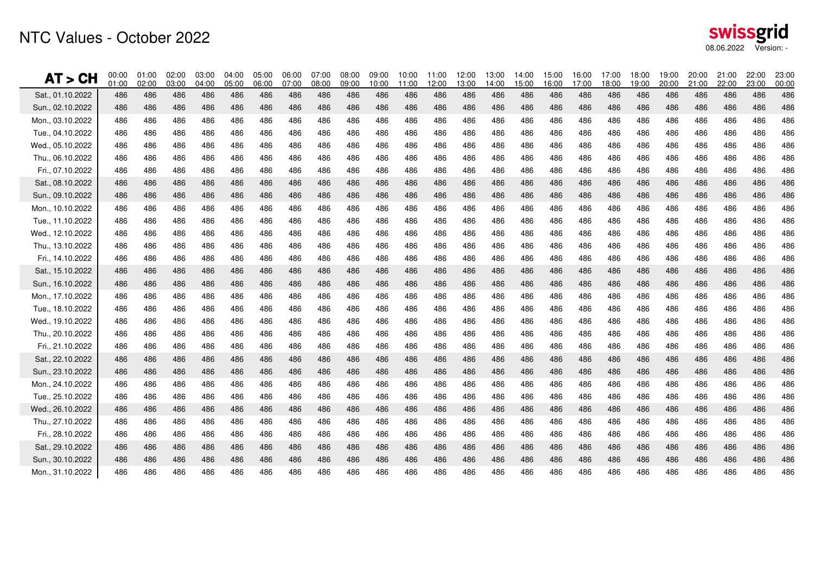| swissgrid  |            |
|------------|------------|
| 08.06.2022 | Version: - |

| AT > CH          | 00:00<br>01:00 | 01:00<br>02:00 | 02:00<br>03:00 | 03:00<br>04:00 | 04:00<br>05:00 | 05:00<br>06:00 | 06:00<br>07:00 | 07:00<br>08:00 | 08:00<br>09:00 | 09:00<br>10:00 | 10:00<br>11:00 | 11:00<br>12:00 | 12:00<br>13:00 | 13:00<br>14:00 | 14:00<br>15:00 | 15:00<br>16:00 | 16:00<br>17:00 | 17:00<br>18:00 | 18:00<br>19:00 | 19:00<br>20:00 | 20:00<br>21:00 | 21:00<br>22:00 | 22:00<br>23:00 | 23:00<br>00:00 |
|------------------|----------------|----------------|----------------|----------------|----------------|----------------|----------------|----------------|----------------|----------------|----------------|----------------|----------------|----------------|----------------|----------------|----------------|----------------|----------------|----------------|----------------|----------------|----------------|----------------|
| Sat., 01.10.2022 | 486            | 486            | 486            | 486            | 486            | 486            | 486            | 486            | 486            | 486            | 486            | 486            | 486            | 486            | 486            | 486            | 486            | 486            | 486            | 486            | 486            | 486            | 486            | 486            |
| Sun., 02.10.2022 | 486            | 486            | 486            | 486            | 486            | 486            | 486            | 486            | 486            | 486            | 486            | 486            | 486            | 486            | 486            | 486            | 486            | 486            | 486            | 486            | 486            | 486            | 486            | 486            |
| Mon., 03.10.2022 | 486            | 486            | 486            | 486            | 486            | 486            | 486            | 486            | 486            | 486            | 486            | 486            | 486            | 486            | 486            | 486            | 486            | 486            | 486            | 486            | 486            | 486            | 486            | 486            |
| Tue., 04.10.2022 | 486            | 486            | 486            | 486            | 486            | 486            | 486            | 486            | 486            | 486            | 486            | 486            | 486            | 486            | 486            | 486            | 486            | 486            | 486            | 486            | 486            | 486            | 486            | 486            |
| Wed., 05.10.2022 | 486            | 486            | 486            | 486            | 486            | 486            | 486            | 486            | 486            | 486            | 486            | 486            | 486            | 486            | 486            | 486            | 486            | 486            | 486            | 486            | 486            | 486            | 486            | 486            |
| Thu., 06.10.2022 | 486            | 486            | 486            | 486            | 486            | 486            | 486            | 486            | 486            | 486            | 486            | 486            | 486            | 486            | 486            | 486            | 486            | 486            | 486            | 486            | 486            | 486            | 486            | 486            |
| Fri., 07.10.2022 | 486            | 486            | 486            | 486            | 486            | 486            | 486            | 486            | 486            | 486            | 486            | 486            | 486            | 486            | 486            | 486            | 486            | 486            | 486            | 486            | 486            | 486            | 486            | 486            |
| Sat., 08.10.2022 | 486            | 486            | 486            | 486            | 486            | 486            | 486            | 486            | 486            | 486            | 486            | 486            | 486            | 486            | 486            | 486            | 486            | 486            | 486            | 486            | 486            | 486            | 486            | 486            |
| Sun., 09.10.2022 | 486            | 486            | 486            | 486            | 486            | 486            | 486            | 486            | 486            | 486            | 486            | 486            | 486            | 486            | 486            | 486            | 486            | 486            | 486            | 486            | 486            | 486            | 486            | 486            |
| Mon., 10.10.2022 | 486            | 486            | 486            | 486            | 486            | 486            | 486            | 486            | 486            | 486            | 486            | 486            | 486            | 486            | 486            | 486            | 486            | 486            | 486            | 486            | 486            | 486            | 486            | 486            |
| Tue., 11.10.2022 | 486            | 486            | 486            | 486            | 486            | 486            | 486            | 486            | 486            | 486            | 486            | 486            | 486            | 486            | 486            | 486            | 486            | 486            | 486            | 486            | 486            | 486            | 486            | 486            |
| Wed., 12.10.2022 | 486            | 486            | 486            | 486            | 486            | 486            | 486            | 486            | 486            | 486            | 486            | 486            | 486            | 486            | 486            | 486            | 486            | 486            | 486            | 486            | 486            | 486            | 486            | 486            |
| Thu., 13.10.2022 | 486            | 486            | 486            | 486            | 486            | 486            | 486            | 486            | 486            | 486            | 486            | 486            | 486            | 486            | 486            | 486            | 486            | 486            | 486            | 486            | 486            | 486            | 486            | 486            |
| Fri., 14.10.2022 | 486            | 486            | 486            | 486            | 486            | 486            | 486            | 486            | 486            | 486            | 486            | 486            | 486            | 486            | 486            | 486            | 486            | 486            | 486            | 486            | 486            | 486            | 486            | 486            |
| Sat., 15.10.2022 | 486            | 486            | 486            | 486            | 486            | 486            | 486            | 486            | 486            | 486            | 486            | 486            | 486            | 486            | 486            | 486            | 486            | 486            | 486            | 486            | 486            | 486            | 486            | 486            |
| Sun., 16.10.2022 | 486            | 486            | 486            | 486            | 486            | 486            | 486            | 486            | 486            | 486            | 486            | 486            | 486            | 486            | 486            | 486            | 486            | 486            | 486            | 486            | 486            | 486            | 486            | 486            |
| Mon., 17.10.2022 | 486            | 486            | 486            | 486            | 486            | 486            | 486            | 486            | 486            | 486            | 486            | 486            | 486            | 486            | 486            | 486            | 486            | 486            | 486            | 486            | 486            | 486            | 486            | 486            |
| Tue., 18.10.2022 | 486            | 486            | 486            | 486            | 486            | 486            | 486            | 486            | 486            | 486            | 486            | 486            | 486            | 486            | 486            | 486            | 486            | 486            | 486            | 486            | 486            | 486            | 486            | 486            |
| Wed., 19.10.2022 | 486            | 486            | 486            | 486            | 486            | 486            | 486            | 486            | 486            | 486            | 486            | 486            | 486            | 486            | 486            | 486            | 486            | 486            | 486            | 486            | 486            | 486            | 486            | 486            |
| Thu., 20.10.2022 | 486            | 486            | 486            | 486            | 486            | 486            | 486            | 486            | 486            | 486            | 486            | 486            | 486            | 486            | 486            | 486            | 486            | 486            | 486            | 486            | 486            | 486            | 486            | 486            |
| Fri., 21.10.2022 | 486            | 486            | 486            | 486            | 486            | 486            | 486            | 486            | 486            | 486            | 486            | 486            | 486            | 486            | 486            | 486            | 486            | 486            | 486            | 486            | 486            | 486            | 486            | 486            |
| Sat., 22.10.2022 | 486            | 486            | 486            | 486            | 486            | 486            | 486            | 486            | 486            | 486            | 486            | 486            | 486            | 486            | 486            | 486            | 486            | 486            | 486            | 486            | 486            | 486            | 486            | 486            |
| Sun., 23.10.2022 | 486            | 486            | 486            | 486            | 486            | 486            | 486            | 486            | 486            | 486            | 486            | 486            | 486            | 486            | 486            | 486            | 486            | 486            | 486            | 486            | 486            | 486            | 486            | 486            |
| Mon., 24.10.2022 | 486            | 486            | 486            | 486            | 486            | 486            | 486            | 486            | 486            | 486            | 486            | 486            | 486            | 486            | 486            | 486            | 486            | 486            | 486            | 486            | 486            | 486            | 486            | 486            |
| Tue., 25.10.2022 | 486            | 486            | 486            | 486            | 486            | 486            | 486            | 486            | 486            | 486            | 486            | 486            | 486            | 486            | 486            | 486            | 486            | 486            | 486            | 486            | 486            | 486            | 486            | 486            |
| Wed., 26.10.2022 | 486            | 486            | 486            | 486            | 486            | 486            | 486            | 486            | 486            | 486            | 486            | 486            | 486            | 486            | 486            | 486            | 486            | 486            | 486            | 486            | 486            | 486            | 486            | 486            |
| Thu., 27.10.2022 | 486            | 486            | 486            | 486            | 486            | 486            | 486            | 486            | 486            | 486            | 486            | 486            | 486            | 486            | 486            | 486            | 486            | 486            | 486            | 486            | 486            | 486            | 486            | 486            |
| Fri., 28.10.2022 | 486            | 486            | 486            | 486            | 486            | 486            | 486            | 486            | 486            | 486            | 486            | 486            | 486            | 486            | 486            | 486            | 486            | 486            | 486            | 486            | 486            | 486            | 486            | 486            |
| Sat., 29.10.2022 | 486            | 486            | 486            | 486            | 486            | 486            | 486            | 486            | 486            | 486            | 486            | 486            | 486            | 486            | 486            | 486            | 486            | 486            | 486            | 486            | 486            | 486            | 486            | 486            |
| Sun., 30.10.2022 | 486            | 486            | 486            | 486            | 486            | 486            | 486            | 486            | 486            | 486            | 486            | 486            | 486            | 486            | 486            | 486            | 486            | 486            | 486            | 486            | 486            | 486            | 486            | 486            |
| Mon., 31.10.2022 | 486            | 486            | 486            | 486            | 486            | 486            | 486            | 486            | 486            | 486            | 486            | 486            | 486            | 486            | 486            | 486            | 486            | 486            | 486            | 486            | 486            | 486            | 486            | 486            |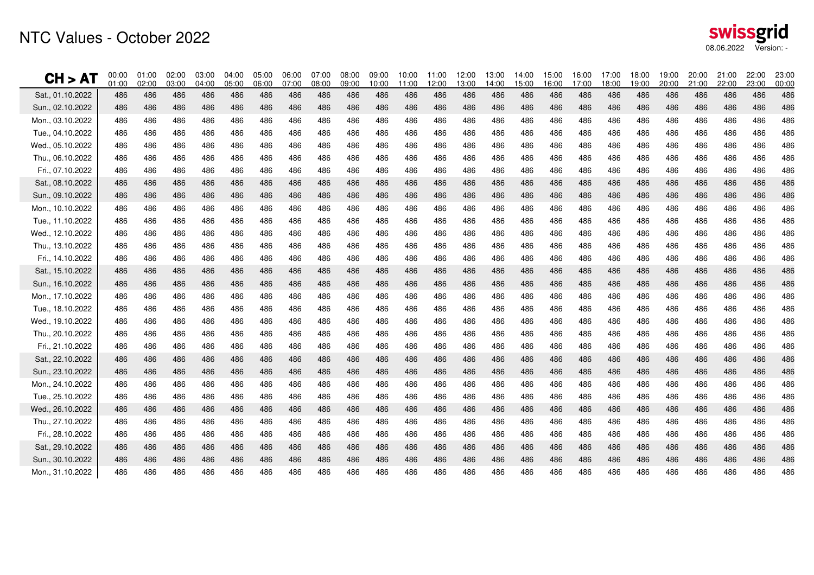| swissgrid  |            |
|------------|------------|
| 08.06.2022 | Version: - |

| CH > AT          | 00:00<br>01:00 | 01:00<br>02:00 | 02:00<br>03:00 | 03:00<br>04:00 | 04:00<br>05:00 | 05:00<br>06:00 | 06:00<br>07:00 | 07:00<br>08:00 | 08:00<br>09:00 | 09:00<br>10:00 | 10:00<br>11:00 | 11:00<br>12:00 | 12:00<br>13:00 | 13:00<br>14:00 | 14:00<br>15:00 | 15:00<br>16:00 | 16:00<br>17:00 | 17:00<br>18:00 | 18:00<br>19:00 | 19:00<br>20:00 | 20:00<br>21:00 | 21:00<br>22:00 | 22:00<br>23:00 | 23:00<br>00:00 |
|------------------|----------------|----------------|----------------|----------------|----------------|----------------|----------------|----------------|----------------|----------------|----------------|----------------|----------------|----------------|----------------|----------------|----------------|----------------|----------------|----------------|----------------|----------------|----------------|----------------|
| Sat., 01.10.2022 | 486            | 486            | 486            | 486            | 486            | 486            | 486            | 486            | 486            | 486            | 486            | 486            | 486            | 486            | 486            | 486            | 486            | 486            | 486            | 486            | 486            | 486            | 486            | 486            |
| Sun., 02.10.2022 | 486            | 486            | 486            | 486            | 486            | 486            | 486            | 486            | 486            | 486            | 486            | 486            | 486            | 486            | 486            | 486            | 486            | 486            | 486            | 486            | 486            | 486            | 486            | 486            |
| Mon., 03.10.2022 | 486            | 486            | 486            | 486            | 486            | 486            | 486            | 486            | 486            | 486            | 486            | 486            | 486            | 486            | 486            | 486            | 486            | 486            | 486            | 486            | 486            | 486            | 486            | 486            |
| Tue., 04.10.2022 | 486            | 486            | 486            | 486            | 486            | 486            | 486            | 486            | 486            | 486            | 486            | 486            | 486            | 486            | 486            | 486            | 486            | 486            | 486            | 486            | 486            | 486            | 486            | 486            |
| Wed., 05.10.2022 | 486            | 486            | 486            | 486            | 486            | 486            | 486            | 486            | 486            | 486            | 486            | 486            | 486            | 486            | 486            | 486            | 486            | 486            | 486            | 486            | 486            | 486            | 486            | 486            |
| Thu., 06.10.2022 | 486            | 486            | 486            | 486            | 486            | 486            | 486            | 486            | 486            | 486            | 486            | 486            | 486            | 486            | 486            | 486            | 486            | 486            | 486            | 486            | 486            | 486            | 486            | 486            |
| Fri., 07.10.2022 | 486            | 486            | 486            | 486            | 486            | 486            | 486            | 486            | 486            | 486            | 486            | 486            | 486            | 486            | 486            | 486            | 486            | 486            | 486            | 486            | 486            | 486            | 486            | 486            |
| Sat., 08.10.2022 | 486            | 486            | 486            | 486            | 486            | 486            | 486            | 486            | 486            | 486            | 486            | 486            | 486            | 486            | 486            | 486            | 486            | 486            | 486            | 486            | 486            | 486            | 486            | 486            |
| Sun., 09.10.2022 | 486            | 486            | 486            | 486            | 486            | 486            | 486            | 486            | 486            | 486            | 486            | 486            | 486            | 486            | 486            | 486            | 486            | 486            | 486            | 486            | 486            | 486            | 486            | 486            |
| Mon., 10.10.2022 | 486            | 486            | 486            | 486            | 486            | 486            | 486            | 486            | 486            | 486            | 486            | 486            | 486            | 486            | 486            | 486            | 486            | 486            | 486            | 486            | 486            | 486            | 486            | 486            |
| Tue., 11.10.2022 | 486            | 486            | 486            | 486            | 486            | 486            | 486            | 486            | 486            | 486            | 486            | 486            | 486            | 486            | 486            | 486            | 486            | 486            | 486            | 486            | 486            | 486            | 486            | 486            |
| Wed., 12.10.2022 | 486            | 486            | 486            | 486            | 486            | 486            | 486            | 486            | 486            | 486            | 486            | 486            | 486            | 486            | 486            | 486            | 486            | 486            | 486            | 486            | 486            | 486            | 486            | 486            |
| Thu., 13.10.2022 | 486            | 486            | 486            | 486            | 486            | 486            | 486            | 486            | 486            | 486            | 486            | 486            | 486            | 486            | 486            | 486            | 486            | 486            | 486            | 486            | 486            | 486            | 486            | 486            |
| Fri., 14.10.2022 | 486            | 486            | 486            | 486            | 486            | 486            | 486            | 486            | 486            | 486            | 486            | 486            | 486            | 486            | 486            | 486            | 486            | 486            | 486            | 486            | 486            | 486            | 486            | 486            |
| Sat., 15.10.2022 | 486            | 486            | 486            | 486            | 486            | 486            | 486            | 486            | 486            | 486            | 486            | 486            | 486            | 486            | 486            | 486            | 486            | 486            | 486            | 486            | 486            | 486            | 486            | 486            |
| Sun., 16.10.2022 | 486            | 486            | 486            | 486            | 486            | 486            | 486            | 486            | 486            | 486            | 486            | 486            | 486            | 486            | 486            | 486            | 486            | 486            | 486            | 486            | 486            | 486            | 486            | 486            |
| Mon., 17.10.2022 | 486            | 486            | 486            | 486            | 486            | 486            | 486            | 486            | 486            | 486            | 486            | 486            | 486            | 486            | 486            | 486            | 486            | 486            | 486            | 486            | 486            | 486            | 486            | 486            |
| Tue., 18.10.2022 | 486            | 486            | 486            | 486            | 486            | 486            | 486            | 486            | 486            | 486            | 486            | 486            | 486            | 486            | 486            | 486            | 486            | 486            | 486            | 486            | 486            | 486            | 486            | 486            |
| Wed., 19.10.2022 | 486            | 486            | 486            | 486            | 486            | 486            | 486            | 486            | 486            | 486            | 486            | 486            | 486            | 486            | 486            | 486            | 486            | 486            | 486            | 486            | 486            | 486            | 486            | 486            |
| Thu., 20.10.2022 | 486            | 486            | 486            | 486            | 486            | 486            | 486            | 486            | 486            | 486            | 486            | 486            | 486            | 486            | 486            | 486            | 486            | 486            | 486            | 486            | 486            | 486            | 486            | 486            |
| Fri., 21.10.2022 | 486            | 486            | 486            | 486            | 486            | 486            | 486            | 486            | 486            | 486            | 486            | 486            | 486            | 486            | 486            | 486            | 486            | 486            | 486            | 486            | 486            | 486            | 486            | 486            |
| Sat., 22.10.2022 | 486            | 486            | 486            | 486            | 486            | 486            | 486            | 486            | 486            | 486            | 486            | 486            | 486            | 486            | 486            | 486            | 486            | 486            | 486            | 486            | 486            | 486            | 486            | 486            |
| Sun., 23.10.2022 | 486            | 486            | 486            | 486            | 486            | 486            | 486            | 486            | 486            | 486            | 486            | 486            | 486            | 486            | 486            | 486            | 486            | 486            | 486            | 486            | 486            | 486            | 486            | 486            |
| Mon., 24.10.2022 | 486            | 486            | 486            | 486            | 486            | 486            | 486            | 486            | 486            | 486            | 486            | 486            | 486            | 486            | 486            | 486            | 486            | 486            | 486            | 486            | 486            | 486            | 486            | 486            |
| Tue., 25.10.2022 | 486            | 486            | 486            | 486            | 486            | 486            | 486            | 486            | 486            | 486            | 486            | 486            | 486            | 486            | 486            | 486            | 486            | 486            | 486            | 486            | 486            | 486            | 486            | 486            |
| Wed., 26.10.2022 | 486            | 486            | 486            | 486            | 486            | 486            | 486            | 486            | 486            | 486            | 486            | 486            | 486            | 486            | 486            | 486            | 486            | 486            | 486            | 486            | 486            | 486            | 486            | 486            |
| Thu., 27.10.2022 | 486            | 486            | 486            | 486            | 486            | 486            | 486            | 486            | 486            | 486            | 486            | 486            | 486            | 486            | 486            | 486            | 486            | 486            | 486            | 486            | 486            | 486            | 486            | 486            |
| Fri., 28.10.2022 | 486            | 486            | 486            | 486            | 486            | 486            | 486            | 486            | 486            | 486            | 486            | 486            | 486            | 486            | 486            | 486            | 486            | 486            | 486            | 486            | 486            | 486            | 486            | 486            |
| Sat., 29.10.2022 | 486            | 486            | 486            | 486            | 486            | 486            | 486            | 486            | 486            | 486            | 486            | 486            | 486            | 486            | 486            | 486            | 486            | 486            | 486            | 486            | 486            | 486            | 486            | 486            |
| Sun., 30.10.2022 | 486            | 486            | 486            | 486            | 486            | 486            | 486            | 486            | 486            | 486            | 486            | 486            | 486            | 486            | 486            | 486            | 486            | 486            | 486            | 486            | 486            | 486            | 486            | 486            |
| Mon., 31.10.2022 | 486            | 486            | 486            | 486            | 486            | 486            | 486            | 486            | 486            | 486            | 486            | 486            | 486            | 486            | 486            | 486            | 486            | 486            | 486            | 486            | 486            | 486            | 486            | 486            |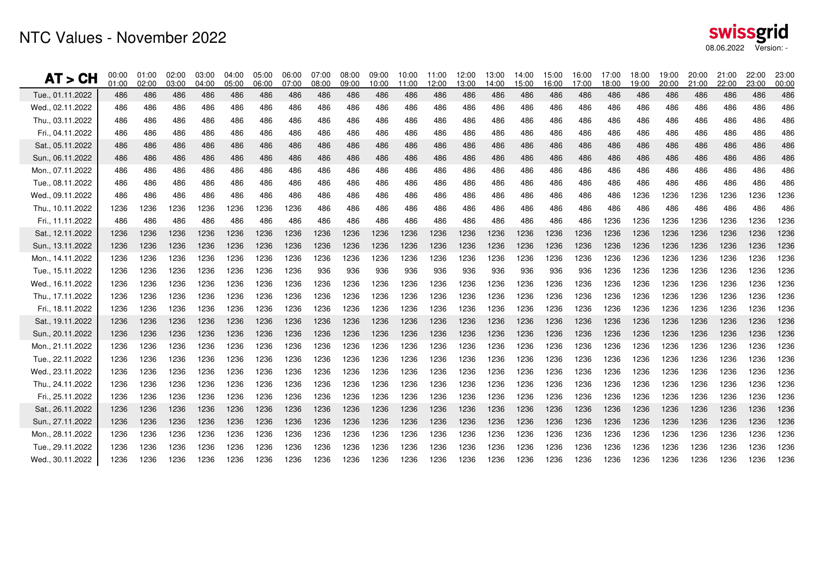### NTC Values - November 2022

| swissgrid             |  |
|-----------------------|--|
| 08.06.2022 Version: - |  |

| AT > CH          | 00:00<br>01:00 | 01:00<br>02:00 | 02:00<br>03:00 | 03:00<br>04:00 | 04:00<br>05:00 | 05:00<br>06:00 | 06:00<br>07:00 | 07:00<br>08:00 | 08:00<br>09:00 | 09:00<br>10:00 | 10:00<br>11:00 | 11:00<br>12:00 | 12:00<br>13:00 | 13:00<br>14:00 | 14:00<br>15:00 | 15:00<br>16:00 | 16:00<br>17:00 | 17:00<br>18:00 | 18:00<br>19:00 | 19:00<br>20:00 | 20:00<br>21:00 | 21:00<br>22:00 | 22:00<br>23:00 | 23:00<br>00:00 |
|------------------|----------------|----------------|----------------|----------------|----------------|----------------|----------------|----------------|----------------|----------------|----------------|----------------|----------------|----------------|----------------|----------------|----------------|----------------|----------------|----------------|----------------|----------------|----------------|----------------|
| Tue., 01.11.2022 | 486            | 486            | 486            | 486            | 486            | 486            | 486            | 486            | 486            | 486            | 486            | 486            | 486            | 486            | 486            | 486            | 486            | 486            | 486            | 486            | 486            | 486            | 486            | 486            |
| Wed., 02.11.2022 | 486            | 486            | 486            | 486            | 486            | 486            | 486            | 486            | 486            | 486            | 486            | 486            | 486            | 486            | 486            | 486            | 486            | 486            | 486            | 486            | 486            | 486            | 486            | 486            |
| Thu., 03.11.2022 | 486            | 486            | 486            | 486            | 486            | 486            | 486            | 486            | 486            | 486            | 486            | 486            | 486            | 486            | 486            | 486            | 486            | 486            | 486            | 486            | 486            | 486            | 486            | 486            |
| Fri., 04.11.2022 | 486            | 486            | 486            | 486            | 486            | 486            | 486            | 486            | 486            | 486            | 486            | 486            | 486            | 486            | 486            | 486            | 486            | 486            | 486            | 486            | 486            | 486            | 486            | 486            |
| Sat., 05.11.2022 | 486            | 486            | 486            | 486            | 486            | 486            | 486            | 486            | 486            | 486            | 486            | 486            | 486            | 486            | 486            | 486            | 486            | 486            | 486            | 486            | 486            | 486            | 486            | 486            |
| Sun., 06.11.2022 | 486            | 486            | 486            | 486            | 486            | 486            | 486            | 486            | 486            | 486            | 486            | 486            | 486            | 486            | 486            | 486            | 486            | 486            | 486            | 486            | 486            | 486            | 486            | 486            |
| Mon., 07.11.2022 | 486            | 486            | 486            | 486            | 486            | 486            | 486            | 486            | 486            | 486            | 486            | 486            | 486            | 486            | 486            | 486            | 486            | 486            | 486            | 486            | 486            | 486            | 486            | 486            |
| Tue., 08.11.2022 | 486            | 486            | 486            | 486            | 486            | 486            | 486            | 486            | 486            | 486            | 486            | 486            | 486            | 486            | 486            | 486            | 486            | 486            | 486            | 486            | 486            | 486            | 486            | 486            |
| Wed., 09.11.2022 | 486            | 486            | 486            | 486            | 486            | 486            | 486            | 486            | 486            | 486            | 486            | 486            | 486            | 486            | 486            | 486            | 486            | 486            | 1236           | 1236           | 1236           | 1236           | 1236           | 1236           |
| Thu., 10.11.2022 | 1236           | 1236           | 1236           | 1236           | 1236           | 1236           | 1236           | 486            | 486            | 486            | 486            | 486            | 486            | 486            | 486            | 486            | 486            | 486            | 486            | 486            | 486            | 486            | 486            | 486            |
| Fri., 11.11.2022 | 486            | 486            | 486            | 486            | 486            | 486            | 486            | 486            | 486            | 486            | 486            | 486            | 486            | 486            | 486            | 486            | 486            | 1236           | 1236           | 1236           | 1236           | 1236           | 1236           | 1236           |
| Sat., 12.11.2022 | 1236           | 1236           | 1236           | 1236           | 1236           | 1236           | 1236           | 1236           | 1236           | 1236           | 1236           | 1236           | 1236           | 1236           | 1236           | 1236           | 1236           | 1236           | 1236           | 1236           | 1236           | 1236           | 1236           | 1236           |
| Sun., 13.11.2022 | 1236           | 1236           | 1236           | 1236           | 1236           | 1236           | 1236           | 1236           | 1236           | 1236           | 1236           | 1236           | 1236           | 1236           | 1236           | 1236           | 1236           | 1236           | 1236           | 1236           | 1236           | 1236           | 1236           | 1236           |
| Mon., 14.11.2022 | 1236           | 1236           | 1236           | 1236           | 1236           | 1236           | 1236           | 1236           | 1236           | 1236           | 1236           | 1236           | 1236           | 1236           | 1236           | 1236           | 1236           | 1236           | 1236           | 1236           | 1236           | 1236           | 1236           | 1236           |
| Tue., 15.11.2022 | 1236           | 1236           | 1236           | 1236           | 1236           | 1236           | 1236           | 936            | 936            | 936            | 936            | 936            | 936            | 936            | 936            | 936            | 936            | 1236           | 1236           | 1236           | 1236           | 1236           | 1236           | 1236           |
| Wed., 16.11.2022 | 1236           | 1236           | 1236           | 1236           | 1236           | 1236           | 1236           | 1236           | 1236           | 1236           | 1236           | 1236           | 1236           | 1236           | 1236           | 1236           | 1236           | 1236           | 1236           | 1236           | 1236           | 1236           | 1236           | 1236           |
| Thu., 17.11.2022 | 1236           | 1236           | 1236           | 1236           | 1236           | 1236           | 1236           | 1236           | 1236           | 1236           | 1236           | 1236           | 1236           | 1236           | 1236           | 1236           | 1236           | 1236           | 1236           | 1236           | 1236           | 1236           | 1236           | 1236           |
| Fri., 18.11.2022 | 1236           | 1236           | 1236           | 1236           | 1236           | 1236           | 1236           | 1236           | 1236           | 1236           | 1236           | 1236           | 1236           | 1236           | 1236           | 1236           | 1236           | 1236           | 1236           | 1236           | 1236           | 1236           | 1236           | 1236           |
| Sat., 19.11.2022 | 1236           | 1236           | 1236           | 1236           | 1236           | 1236           | 1236           | 1236           | 1236           | 1236           | 1236           | 1236           | 1236           | 1236           | 1236           | 1236           | 1236           | 1236           | 1236           | 1236           | 1236           | 1236           | 1236           | 1236           |
| Sun., 20.11.2022 | 1236           | 1236           | 1236           | 1236           | 1236           | 1236           | 1236           | 1236           | 1236           | 1236           | 1236           | 1236           | 1236           | 1236           | 1236           | 1236           | 1236           | 1236           | 1236           | 1236           | 1236           | 1236           | 1236           | 1236           |
| Mon., 21.11.2022 | 1236           | 1236           | 1236           | 1236           | 1236           | 1236           | 1236           | 1236           | 1236           | 1236           | 1236           | 1236           | 1236           | 1236           | 1236           | 1236           | 1236           | 1236           | 1236           | 1236           | 1236           | 1236           | 1236           | 1236           |
| Tue., 22.11.2022 | 1236           | 1236           | 1236           | 1236           | 1236           | 1236           | 1236           | 1236           | 1236           | 1236           | 1236           | 1236           | 1236           | 1236           | 1236           | 1236           | 1236           | 1236           | 1236           | 1236           | 1236           | 1236           | 1236           | 1236           |
| Wed., 23.11.2022 | 1236           | 1236           | 1236           | 1236           | 1236           | 1236           | 1236           | 1236           | 1236           | 1236           | 1236           | 1236           | 1236           | 1236           | 1236           | 1236           | 1236           | 1236           | 1236           | 1236           | 1236           | 1236           | 1236           | 1236           |
| Thu., 24.11.2022 | 1236           | 1236           | 1236           | 1236           | 1236           | 1236           | 1236           | 1236           | 1236           | 1236           | 1236           | 1236           | 1236           | 1236           | 1236           | 1236           | 1236           | 1236           | 1236           | 1236           | 1236           | 1236           | 1236           | 1236           |
| Fri., 25.11.2022 | 1236           | 1236           | 1236           | 1236           | 1236           | 1236           | 1236           | 1236           | 1236           | 1236           | 1236           | 1236           | 1236           | 1236           | 1236           | 1236           | 1236           | 1236           | 1236           | 1236           | 1236           | 1236           | 1236           | 1236           |
| Sat., 26.11.2022 | 1236           | 1236           | 1236           | 1236           | 1236           | 1236           | 1236           | 1236           | 1236           | 1236           | 1236           | 1236           | 1236           | 1236           | 1236           | 1236           | 1236           | 1236           | 1236           | 1236           | 1236           | 1236           | 1236           | 1236           |
| Sun., 27.11.2022 | 1236           | 1236           | 1236           | 1236           | 1236           | 1236           | 1236           | 1236           | 1236           | 1236           | 1236           | 1236           | 1236           | 1236           | 1236           | 1236           | 1236           | 1236           | 1236           | 1236           | 1236           | 1236           | 1236           | 1236           |
| Mon., 28.11.2022 | 1236           | 1236           | 1236           | 1236           | 1236           | 1236           | 1236           | 1236           | 1236           | 1236           | 1236           | 1236           | 1236           | 1236           | 1236           | 1236           | 1236           | 1236           | 1236           | 1236           | 1236           | 1236           | 1236           | 1236           |
| Tue., 29.11.2022 | 1236           | 1236           | 1236           | 1236           | 1236           | 1236           | 1236           | 1236           | 1236           | 1236           | 1236           | 1236           | 1236           | 1236           | 1236           | 1236           | 1236           | 1236           | 1236           | 1236           | 1236           | 1236           | 1236           | 1236           |
| Wed., 30.11.2022 | 1236           | 1236           | 1236           | 1236           | 1236           | 1236           | 1236           | 1236           | 1236           | 1236           | 1236           | 1236           | 1236           | 1236           | 1236           | 1236           | 1236           | 1236           | 1236           | 1236           | 1236           | 1236           | 1236           | 1236           |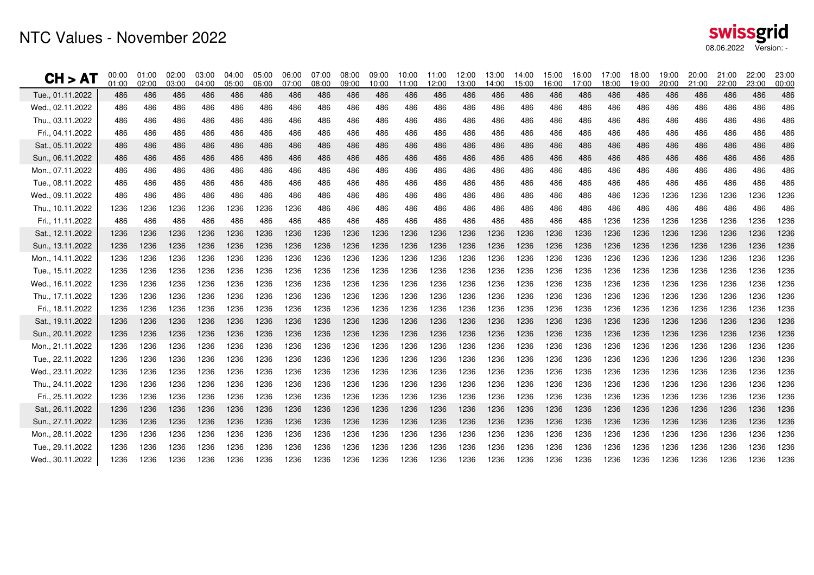### NTC Values - November 2022

| swissgrid  |            |
|------------|------------|
| 08.06.2022 | Version: - |

| CH > AI          | 00:00<br>01:00 | 01:00<br>02:00 | 02:00<br>03:00 | 03:00<br>04:00 | 04:00<br>05:00 | 05:00<br>06:00 | 06:00<br>07:00 | 07:00<br>08:00 | 08:00<br>09:00 | 09:00<br>10:00 | 10:00<br>11:00 | 11:00<br>12:00 | 12:00<br>13:00 | 13:00<br>14:00 | 14:00<br>15:00 | 15:00<br>16:00 | 16:00<br>17:00 | 17:00<br>18:00 | 18:00<br>19:00 | 19:00<br>20:00 | 20:00<br>21:00 | 21:00<br>22:00 | 22:00<br>23:00 | 23:00<br>00:00 |
|------------------|----------------|----------------|----------------|----------------|----------------|----------------|----------------|----------------|----------------|----------------|----------------|----------------|----------------|----------------|----------------|----------------|----------------|----------------|----------------|----------------|----------------|----------------|----------------|----------------|
| Tue., 01.11.2022 | 486            | 486            | 486            | 486            | 486            | 486            | 486            | 486            | 486            | 486            | 486            | 486            | 486            | 486            | 486            | 486            | 486            | 486            | 486            | 486            | 486            | 486            | 486            | 486            |
| Wed., 02.11.2022 | 486            | 486            | 486            | 486            | 486            | 486            | 486            | 486            | 486            | 486            | 486            | 486            | 486            | 486            | 486            | 486            | 486            | 486            | 486            | 486            | 486            | 486            | 486            | 486            |
| Thu., 03.11.2022 | 486            | 486            | 486            | 486            | 486            | 486            | 486            | 486            | 486            | 486            | 486            | 486            | 486            | 486            | 486            | 486            | 486            | 486            | 486            | 486            | 486            | 486            | 486            | 486            |
| Fri., 04.11.2022 | 486            | 486            | 486            | 486            | 486            | 486            | 486            | 486            | 486            | 486            | 486            | 486            | 486            | 486            | 486            | 486            | 486            | 486            | 486            | 486            | 486            | 486            | 486            | 486            |
| Sat., 05.11.2022 | 486            | 486            | 486            | 486            | 486            | 486            | 486            | 486            | 486            | 486            | 486            | 486            | 486            | 486            | 486            | 486            | 486            | 486            | 486            | 486            | 486            | 486            | 486            | 486            |
| Sun., 06.11.2022 | 486            | 486            | 486            | 486            | 486            | 486            | 486            | 486            | 486            | 486            | 486            | 486            | 486            | 486            | 486            | 486            | 486            | 486            | 486            | 486            | 486            | 486            | 486            | 486            |
| Mon., 07.11.2022 | 486            | 486            | 486            | 486            | 486            | 486            | 486            | 486            | 486            | 486            | 486            | 486            | 486            | 486            | 486            | 486            | 486            | 486            | 486            | 486            | 486            | 486            | 486            | 486            |
| Tue., 08.11.2022 | 486            | 486            | 486            | 486            | 486            | 486            | 486            | 486            | 486            | 486            | 486            | 486            | 486            | 486            | 486            | 486            | 486            | 486            | 486            | 486            | 486            | 486            | 486            | 486            |
| Wed., 09.11.2022 | 486            | 486            | 486            | 486            | 486            | 486            | 486            | 486            | 486            | 486            | 486            | 486            | 486            | 486            | 486            | 486            | 486            | 486            | 1236           | 1236           | 1236           | 1236           | 1236           | 1236           |
| Thu., 10.11.2022 | 1236           | 1236           | 1236           | 1236           | 1236           | 1236           | 1236           | 486            | 486            | 486            | 486            | 486            | 486            | 486            | 486            | 486            | 486            | 486            | 486            | 486            | 486            | 486            | 486            | 486            |
| Fri., 11.11.2022 | 486            | 486            | 486            | 486            | 486            | 486            | 486            | 486            | 486            | 486            | 486            | 486            | 486            | 486            | 486            | 486            | 486            | 1236           | 1236           | 1236           | 1236           | 1236           | 1236           | 1236           |
| Sat., 12.11.2022 | 1236           | 1236           | 1236           | 1236           | 1236           | 1236           | 1236           | 1236           | 1236           | 1236           | 1236           | 1236           | 1236           | 1236           | 1236           | 1236           | 1236           | 1236           | 1236           | 1236           | 1236           | 1236           | 1236           | 1236           |
| Sun., 13.11.2022 | 1236           | 1236           | 1236           | 1236           | 1236           | 1236           | 1236           | 1236           | 1236           | 1236           | 1236           | 1236           | 1236           | 1236           | 1236           | 1236           | 1236           | 1236           | 1236           | 1236           | 1236           | 1236           | 1236           | 1236           |
| Mon., 14.11.2022 | 1236           | 1236           | 1236           | 1236           | 1236           | 1236           | 1236           | 1236           | 1236           | 1236           | 1236           | 1236           | 1236           | 1236           | 1236           | 1236           | 1236           | 1236           | 1236           | 1236           | 1236           | 1236           | 1236           | 1236           |
| Tue., 15.11.2022 | 1236           | 1236           | 1236           | 1236           | 1236           | 1236           | 1236           | 1236           | 1236           | 1236           | 1236           | 1236           | 1236           | 1236           | 1236           | 1236           | 1236           | 1236           | 1236           | 1236           | 1236           | 1236           | 1236           | 1236           |
| Wed., 16.11.2022 | 1236           | 1236           | 1236           | 1236           | 1236           | 1236           | 1236           | 1236           | 1236           | 1236           | 1236           | 1236           | 1236           | 1236           | 1236           | 1236           | 1236           | 1236           | 1236           | 1236           | 1236           | 1236           | 1236           | 1236           |
| Thu., 17.11.2022 | 1236           | 1236           | 1236           | 1236           | 1236           | 1236           | 1236           | 1236           | 1236           | 1236           | 1236           | 1236           | 1236           | 1236           | 1236           | 1236           | 1236           | 1236           | 1236           | 1236           | 1236           | 1236           | 1236           | 1236           |
| Fri., 18.11.2022 | 1236           | 1236           | 1236           | 1236           | 1236           | 1236           | 1236           | 1236           | 1236           | 1236           | 1236           | 1236           | 1236           | 1236           | 1236           | 1236           | 1236           | 1236           | 1236           | 1236           | 1236           | 1236           | 1236           | 1236           |
| Sat., 19.11.2022 | 1236           | 1236           | 1236           | 1236           | 1236           | 1236           | 1236           | 1236           | 1236           | 1236           | 1236           | 1236           | 1236           | 1236           | 1236           | 1236           | 1236           | 1236           | 1236           | 1236           | 1236           | 1236           | 1236           | 1236           |
| Sun., 20.11.2022 | 1236           | 1236           | 1236           | 1236           | 1236           | 1236           | 1236           | 1236           | 1236           | 1236           | 1236           | 1236           | 1236           | 1236           | 1236           | 1236           | 1236           | 1236           | 1236           | 1236           | 1236           | 1236           | 1236           | 1236           |
| Mon., 21.11.2022 | 1236           | 1236           | 1236           | 1236           | 1236           | 1236           | 1236           | 1236           | 1236           | 1236           | 1236           | 1236           | 1236           | 1236           | 1236           | 1236           | 1236           | 1236           | 1236           | 1236           | 1236           | 1236           | 1236           | 1236           |
| Tue., 22.11.2022 | 1236           | 1236           | 1236           | 1236           | 1236           | 1236           | 1236           | 1236           | 1236           | 1236           | 1236           | 1236           | 1236           | 1236           | 1236           | 1236           | 1236           | 1236           | 1236           | 1236           | 1236           | 1236           | 1236           | 1236           |
| Wed., 23.11.2022 | 1236           | 1236           | 1236           | 1236           | 1236           | 1236           | 1236           | 1236           | 1236           | 1236           | 1236           | 1236           | 1236           | 1236           | 1236           | 1236           | 1236           | 1236           | 1236           | 1236           | 1236           | 1236           | 1236           | 1236           |
| Thu., 24.11.2022 | 1236           | 1236           | 1236           | 1236           | 1236           | 1236           | 1236           | 1236           | 1236           | 1236           | 1236           | 1236           | 1236           | 1236           | 1236           | 1236           | 1236           | 1236           | 1236           | 1236           | 1236           | 1236           | 1236           | 1236           |
| Fri., 25.11.2022 | 1236           | 1236           | 1236           | 1236           | 1236           | 1236           | 1236           | 1236           | 1236           | 1236           | 1236           | 1236           | 1236           | 1236           | 1236           | 1236           | 1236           | 1236           | 1236           | 1236           | 1236           | 1236           | 1236           | 1236           |
| Sat., 26.11.2022 | 1236           | 1236           | 1236           | 1236           | 1236           | 1236           | 1236           | 1236           | 1236           | 1236           | 1236           | 1236           | 1236           | 1236           | 1236           | 1236           | 1236           | 1236           | 1236           | 1236           | 1236           | 1236           | 1236           | 1236           |
| Sun., 27.11.2022 | 1236           | 1236           | 1236           | 1236           | 1236           | 1236           | 1236           | 1236           | 1236           | 1236           | 1236           | 1236           | 1236           | 1236           | 1236           | 1236           | 1236           | 1236           | 1236           | 1236           | 1236           | 1236           | 1236           | 1236           |
| Mon., 28.11.2022 | 1236           | 1236           | 1236           | 1236           | 1236           | 1236           | 1236           | 1236           | 1236           | 1236           | 1236           | 1236           | 1236           | 1236           | 1236           | 1236           | 1236           | 1236           | 1236           | 1236           | 1236           | 1236           | 1236           | 1236           |
| Tue., 29.11.2022 | 1236           | 1236           | 1236           | 1236           | 1236           | 1236           | 1236           | 1236           | 1236           | 1236           | 1236           | 1236           | 1236           | 1236           | 1236           | 1236           | 1236           | 1236           | 1236           | 1236           | 1236           | 1236           | 1236           | 1236           |
| Wed., 30.11.2022 | 1236           | 1236           | 1236           | 1236           | 1236           | 1236           | 1236           | 1236           | 1236           | 1236           | 1236           | 1236           | 1236           | 1236           | 1236           | 1236           | 1236           | 1236           | 1236           | 1236           | 1236           | 1236           | 1236           | 1236           |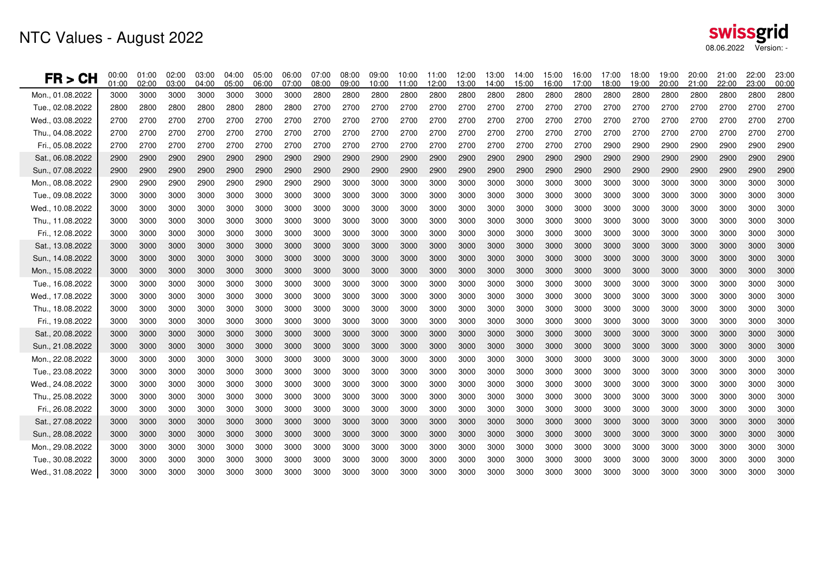| FR > CH          | 00:00<br>01:00 | 01:00<br>02:00 | 02:00<br>03:00 | 03:00<br>04:00 | 04:00<br>05:00 | 05:00<br>06:00 | 06:00<br>07:00 | 07:00<br>08:00 | 08:00<br>09:00 | 09:00<br>10:00 | 10:00<br>11:00 | 11:00<br>12:00 | 12:00<br>13:00 | 13:00<br>14:00 | 14:00<br>15:00 | 15:00<br>16:00 | 16:00<br>17:00 | 17:00<br>18:00 | 18:00<br>19:00 | 19:00<br>20:00 | 20:00<br>21:00 | 21:00<br>22:00 | 22:00<br>23:00 | 23:00<br>00:00 |
|------------------|----------------|----------------|----------------|----------------|----------------|----------------|----------------|----------------|----------------|----------------|----------------|----------------|----------------|----------------|----------------|----------------|----------------|----------------|----------------|----------------|----------------|----------------|----------------|----------------|
| Mon., 01.08.2022 | 3000           | 3000           | 3000           | 3000           | 3000           | 3000           | 3000           | 2800           | 2800           | 2800           | 2800           | 2800           | 2800           | 2800           | 2800           | 2800           | 2800           | 2800           | 2800           | 2800           | 2800           | 2800           | 2800           | 2800           |
| Tue., 02.08.2022 | 2800           | 2800           | 2800           | 2800           | 2800           | 2800           | 2800           | 2700           | 2700           | 2700           | 2700           | 2700           | 2700           | 2700           | 2700           | 2700           | 2700           | 2700           | 2700           | 2700           | 2700           | 2700           | 2700           | 2700           |
| Wed., 03.08.2022 | 2700           | 2700           | 2700           | 2700           | 2700           | 2700           | 2700           | 2700           | 2700           | 2700           | 2700           | 2700           | 2700           | 2700           | 2700           | 2700           | 2700           | 2700           | 2700           | 2700           | 2700           | 2700           | 2700           | 2700           |
| Thu., 04.08.2022 | 2700           | 2700           | 2700           | 2700           | 2700           | 2700           | 2700           | 2700           | 2700           | 2700           | 2700           | 2700           | 2700           | 2700           | 2700           | 2700           | 2700           | 2700           | 2700           | 2700           | 2700           | 2700           | 2700           | 2700           |
| Fri., 05.08.2022 | 2700           | 2700           | 2700           | 2700           | 2700           | 2700           | 2700           | 2700           | 2700           | 2700           | 2700           | 2700           | 2700           | 2700           | 2700           | 2700           | 2700           | 2900           | 2900           | 2900           | 2900           | 2900           | 2900           | 2900           |
| Sat., 06.08.2022 | 2900           | 2900           | 2900           | 2900           | 2900           | 2900           | 2900           | 2900           | 2900           | 2900           | 2900           | 2900           | 2900           | 2900           | 2900           | 2900           | 2900           | 2900           | 2900           | 2900           | 2900           | 2900           | 2900           | 2900           |
| Sun., 07.08.2022 | 2900           | 2900           | 2900           | 2900           | 2900           | 2900           | 2900           | 2900           | 2900           | 2900           | 2900           | 2900           | 2900           | 2900           | 2900           | 2900           | 2900           | 2900           | 2900           | 2900           | 2900           | 2900           | 2900           | 2900           |
| Mon., 08.08.2022 | 2900           | 2900           | 2900           | 2900           | 2900           | 2900           | 2900           | 2900           | 3000           | 3000           | 3000           | 3000           | 3000           | 3000           | 3000           | 3000           | 3000           | 3000           | 3000           | 3000           | 3000           | 3000           | 3000           | 3000           |
| Tue., 09.08.2022 | 3000           | 3000           | 3000           | 3000           | 3000           | 3000           | 3000           | 3000           | 3000           | 3000           | 3000           | 3000           | 3000           | 3000           | 3000           | 3000           | 3000           | 3000           | 3000           | 3000           | 3000           | 3000           | 3000           | 3000           |
| Wed., 10.08.2022 | 3000           | 3000           | 3000           | 3000           | 3000           | 3000           | 3000           | 3000           | 3000           | 3000           | 3000           | 3000           | 3000           | 3000           | 3000           | 3000           | 3000           | 3000           | 3000           | 3000           | 3000           | 3000           | 3000           | 3000           |
| Thu 11.08.2022   | 3000           | 3000           | 3000           | 3000           | 3000           | 3000           | 3000           | 3000           | 3000           | 3000           | 3000           | 3000           | 3000           | 3000           | 3000           | 3000           | 3000           | 3000           | 3000           | 3000           | 3000           | 3000           | 3000           | 3000           |
| Fri 12.08.2022   | 3000           | 3000           | 3000           | 3000           | 3000           | 3000           | 3000           | 3000           | 3000           | 3000           | 3000           | 3000           | 3000           | 3000           | 3000           | 3000           | 3000           | 3000           | 3000           | 3000           | 3000           | 3000           | 3000           | 3000           |
| Sat., 13.08.2022 | 3000           | 3000           | 3000           | 3000           | 3000           | 3000           | 3000           | 3000           | 3000           | 3000           | 3000           | 3000           | 3000           | 3000           | 3000           | 3000           | 3000           | 3000           | 3000           | 3000           | 3000           | 3000           | 3000           | 3000           |
| Sun., 14.08.2022 | 3000           | 3000           | 3000           | 3000           | 3000           | 3000           | 3000           | 3000           | 3000           | 3000           | 3000           | 3000           | 3000           | 3000           | 3000           | 3000           | 3000           | 3000           | 3000           | 3000           | 3000           | 3000           | 3000           | 3000           |
| Mon., 15.08.2022 | 3000           | 3000           | 3000           | 3000           | 3000           | 3000           | 3000           | 3000           | 3000           | 3000           | 3000           | 3000           | 3000           | 3000           | 3000           | 3000           | 3000           | 3000           | 3000           | 3000           | 3000           | 3000           | 3000           | 3000           |
| Tue., 16.08.2022 | 3000           | 3000           | 3000           | 3000           | 3000           | 3000           | 3000           | 3000           | 3000           | 3000           | 3000           | 3000           | 3000           | 3000           | 3000           | 3000           | 3000           | 3000           | 3000           | 3000           | 3000           | 3000           | 3000           | 3000           |
| Wed., 17.08.2022 | 3000           | 3000           | 3000           | 3000           | 3000           | 3000           | 3000           | 3000           | 3000           | 3000           | 3000           | 3000           | 3000           | 3000           | 3000           | 3000           | 3000           | 3000           | 3000           | 3000           | 3000           | 3000           | 3000           | 3000           |
| Thu., 18.08.2022 | 3000           | 3000           | 3000           | 3000           | 3000           | 3000           | 3000           | 3000           | 3000           | 3000           | 3000           | 3000           | 3000           | 3000           | 3000           | 3000           | 3000           | 3000           | 3000           | 3000           | 3000           | 3000           | 3000           | 3000           |
| Fri., 19.08.2022 | 3000           | 3000           | 3000           | 3000           | 3000           | 3000           | 3000           | 3000           | 3000           | 3000           | 3000           | 3000           | 3000           | 3000           | 3000           | 3000           | 3000           | 3000           | 3000           | 3000           | 3000           | 3000           | 3000           | 3000           |
| Sat., 20.08.2022 | 3000           | 3000           | 3000           | 3000           | 3000           | 3000           | 3000           | 3000           | 3000           | 3000           | 3000           | 3000           | 3000           | 3000           | 3000           | 3000           | 3000           | 3000           | 3000           | 3000           | 3000           | 3000           | 3000           | 3000           |
| Sun., 21.08.2022 | 3000           | 3000           | 3000           | 3000           | 3000           | 3000           | 3000           | 3000           | 3000           | 3000           | 3000           | 3000           | 3000           | 3000           | 3000           | 3000           | 3000           | 3000           | 3000           | 3000           | 3000           | 3000           | 3000           | 3000           |
| Mon., 22.08.2022 | 3000           | 3000           | 3000           | 3000           | 3000           | 3000           | 3000           | 3000           | 3000           | 3000           | 3000           | 3000           | 3000           | 3000           | 3000           | 3000           | 3000           | 3000           | 3000           | 3000           | 3000           | 3000           | 3000           | 3000           |
| Tue., 23.08.2022 | 3000           | 3000           | 3000           | 3000           | 3000           | 3000           | 3000           | 3000           | 3000           | 3000           | 3000           | 3000           | 3000           | 3000           | 3000           | 3000           | 3000           | 3000           | 3000           | 3000           | 3000           | 3000           | 3000           | 3000           |
| Wed., 24.08.2022 | 3000           | 3000           | 3000           | 3000           | 3000           | 3000           | 3000           | 3000           | 3000           | 3000           | 3000           | 3000           | 3000           | 3000           | 3000           | 3000           | 3000           | 3000           | 3000           | 3000           | 3000           | 3000           | 3000           | 3000           |
| Thu., 25.08.2022 | 3000           | 3000           | 3000           | 3000           | 3000           | 3000           | 3000           | 3000           | 3000           | 3000           | 3000           | 3000           | 3000           | 3000           | 3000           | 3000           | 3000           | 3000           | 3000           | 3000           | 3000           | 3000           | 3000           | 3000           |
| Fri., 26.08.2022 | 3000           | 3000           | 3000           | 3000           | 3000           | 3000           | 3000           | 3000           | 3000           | 3000           | 3000           | 3000           | 3000           | 3000           | 3000           | 3000           | 3000           | 3000           | 3000           | 3000           | 3000           | 3000           | 3000           | 3000           |
| Sat., 27.08.2022 | 3000           | 3000           | 3000           | 3000           | 3000           | 3000           | 3000           | 3000           | 3000           | 3000           | 3000           | 3000           | 3000           | 3000           | 3000           | 3000           | 3000           | 3000           | 3000           | 3000           | 3000           | 3000           | 3000           | 3000           |
| Sun., 28.08.2022 | 3000           | 3000           | 3000           | 3000           | 3000           | 3000           | 3000           | 3000           | 3000           | 3000           | 3000           | 3000           | 3000           | 3000           | 3000           | 3000           | 3000           | 3000           | 3000           | 3000           | 3000           | 3000           | 3000           | 3000           |
| Mon., 29.08.2022 | 3000           | 3000           | 3000           | 3000           | 3000           | 3000           | 3000           | 3000           | 3000           | 3000           | 3000           | 3000           | 3000           | 3000           | 3000           | 3000           | 3000           | 3000           | 3000           | 3000           | 3000           | 3000           | 3000           | 3000           |
| Tue 30.08.2022   | 3000           | 3000           | 3000           | 3000           | 3000           | 3000           | 3000           | 3000           | 3000           | 3000           | 3000           | 3000           | 3000           | 3000           | 3000           | 3000           | 3000           | 3000           | 3000           | 3000           | 3000           | 3000           | 3000           | 3000           |
| Wed., 31.08.2022 | 3000           | 3000           | 3000           | 3000           | 3000           | 3000           | 3000           | 3000           | 3000           | 3000           | 3000           | 3000           | 3000           | 3000           | 3000           | 3000           | 3000           | 3000           | 3000           | 3000           | 3000           | 3000           | 3000           | 3000           |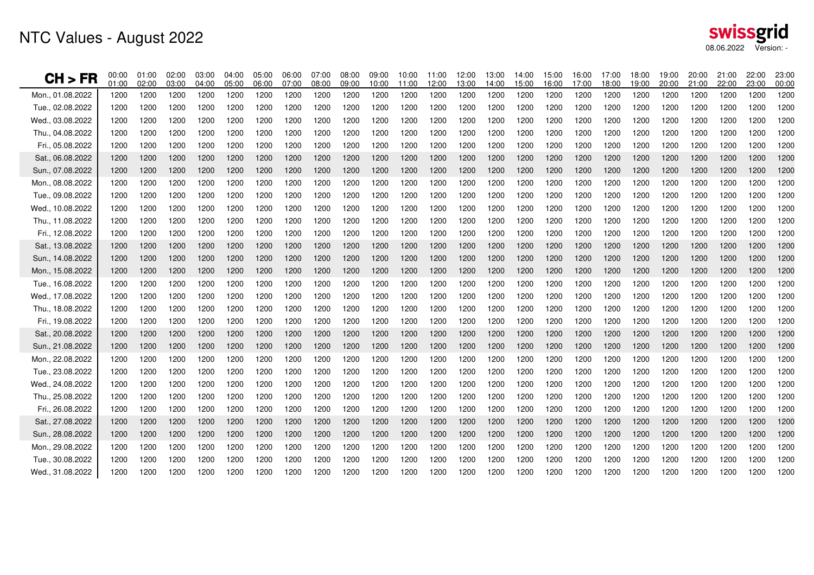# NTC Values - August 2022

| CH > FR          | 00:00<br>01:00 | 01:00<br>02:00 | 02:00<br>03:00 | 03:00<br>04:00 | 04:00<br>05:00 | 05:00<br>06:00 | 06:00<br>07:00 | 07:00<br>08:00 | 08:00<br>09:00 | 09:00<br>10:00 | 10:00<br>11:00 | 11:00<br>12:00 | 12:00<br>13:00 | 13:00<br>14:00 | 14:00<br>15:00 | 15:00<br>16:00 | 16:00<br>17:00 | 17:00<br>18:00 | 18:00<br>19:00 | 19:00<br>20:00 | 20:00<br>21:00 | 21:00<br>22:00 | 22:00<br>23:00 | 23:00<br>00:00 |
|------------------|----------------|----------------|----------------|----------------|----------------|----------------|----------------|----------------|----------------|----------------|----------------|----------------|----------------|----------------|----------------|----------------|----------------|----------------|----------------|----------------|----------------|----------------|----------------|----------------|
| Mon., 01.08.2022 | 1200           | 1200           | 1200           | 1200           | 1200           | 1200           | 1200           | 1200           | 1200           | 1200           | 1200           | 1200           | 1200           | 1200           | 1200           | 1200           | 1200           | 1200           | 1200           | 1200           | 1200           | 1200           | 1200           | 1200           |
| Tue., 02.08.2022 | 1200           | 1200           | 1200           | 1200           | 1200           | 1200           | 1200           | 1200           | 1200           | 1200           | 1200           | 1200           | 1200           | 1200           | 1200           | 1200           | 1200           | 1200           | 1200           | 1200           | 1200           | 1200           | 1200           | 1200           |
| Wed., 03.08.2022 | 1200           | 1200           | 1200           | 1200           | 1200           | 1200           | 1200           | 1200           | 1200           | 1200           | 1200           | 1200           | 1200           | 1200           | 1200           | 1200           | 1200           | 1200           | 1200           | 1200           | 1200           | 1200           | 1200           | 1200           |
| Thu., 04.08.2022 | 1200           | 1200           | 1200           | 1200           | 1200           | 1200           | 1200           | 1200           | 1200           | 1200           | 1200           | 1200           | 1200           | 1200           | 1200           | 1200           | 1200           | 1200           | 1200           | 1200           | 1200           | 1200           | 1200           | 1200           |
| Fri., 05.08.2022 | 1200           | 1200           | 1200           | 1200           | 1200           | 1200           | 1200           | 1200           | 1200           | 1200           | 1200           | 1200           | 1200           | 1200           | 1200           | 1200           | 1200           | 1200           | 1200           | 1200           | 1200           | 1200           | 1200           | 1200           |
| Sat., 06.08.2022 | 1200           | 1200           | 1200           | 1200           | 1200           | 1200           | 1200           | 1200           | 1200           | 1200           | 1200           | 1200           | 1200           | 1200           | 1200           | 1200           | 1200           | 1200           | 1200           | 1200           | 1200           | 1200           | 1200           | 1200           |
| Sun., 07.08.2022 | 1200           | 1200           | 1200           | 1200           | 1200           | 1200           | 1200           | 1200           | 1200           | 1200           | 1200           | 1200           | 1200           | 1200           | 1200           | 1200           | 1200           | 1200           | 1200           | 1200           | 1200           | 1200           | 1200           | 1200           |
| Mon., 08.08.2022 | 1200           | 1200           | 1200           | 1200           | 1200           | 1200           | 1200           | 1200           | 1200           | 1200           | 1200           | 1200           | 1200           | 1200           | 1200           | 1200           | 1200           | 1200           | 1200           | 1200           | 1200           | 1200           | 1200           | 1200           |
| Tue., 09.08.2022 | 1200           | 1200           | 1200           | 1200           | 1200           | 1200           | 1200           | 1200           | 1200           | 1200           | 1200           | 1200           | 1200           | 1200           | 1200           | 1200           | 1200           | 1200           | 1200           | 1200           | 1200           | 1200           | 1200           | 1200           |
| Wed., 10.08.2022 | 1200           | 1200           | 1200           | 1200           | 1200           | 1200           | 1200           | 1200           | 1200           | 1200           | 1200           | 1200           | 1200           | 1200           | 1200           | 1200           | 1200           | 1200           | 1200           | 1200           | 1200           | 1200           | 1200           | 1200           |
| Thu., 11.08.2022 | 1200           | 1200           | 1200           | 1200           | 1200           | 1200           | 1200           | 1200           | 1200           | 1200           | 1200           | 1200           | 1200           | 1200           | 1200           | 1200           | 1200           | 1200           | 1200           | 1200           | 1200           | 1200           | 1200           | 1200           |
| Fri., 12.08.2022 | 1200           | 1200           | 1200           | 1200           | 1200           | 1200           | 1200           | 1200           | 1200           | 1200           | 1200           | 1200           | 1200           | 1200           | 1200           | 1200           | 1200           | 1200           | 1200           | 1200           | 1200           | 1200           | 1200           | 1200           |
| Sat., 13.08.2022 | 1200           | 1200           | 1200           | 1200           | 1200           | 1200           | 1200           | 1200           | 1200           | 1200           | 1200           | 1200           | 1200           | 1200           | 1200           | 1200           | 1200           | 1200           | 1200           | 1200           | 1200           | 1200           | 1200           | 1200           |
| Sun., 14.08.2022 | 1200           | 1200           | 1200           | 1200           | 1200           | 1200           | 1200           | 1200           | 1200           | 1200           | 1200           | 1200           | 1200           | 1200           | 1200           | 1200           | 1200           | 1200           | 1200           | 1200           | 1200           | 1200           | 1200           | 1200           |
| Mon., 15.08.2022 | 1200           | 1200           | 1200           | 1200           | 1200           | 1200           | 1200           | 1200           | 1200           | 1200           | 1200           | 1200           | 1200           | 1200           | 1200           | 1200           | 1200           | 1200           | 1200           | 1200           | 1200           | 1200           | 1200           | 1200           |
| Tue., 16.08.2022 | 1200           | 1200           | 1200           | 1200           | 1200           | 1200           | 1200           | 1200           | 1200           | 1200           | 1200           | 1200           | 1200           | 1200           | 1200           | 1200           | 1200           | 1200           | 1200           | 1200           | 1200           | 1200           | 1200           | 1200           |
| Wed., 17.08.2022 | 1200           | 1200           | 1200           | 1200           | 1200           | 1200           | 1200           | 1200           | 1200           | 1200           | 1200           | 1200           | 1200           | 1200           | 1200           | 1200           | 1200           | 1200           | 1200           | 1200           | 1200           | 1200           | 1200           | 1200           |
| Thu., 18.08.2022 | 1200           | 1200           | 1200           | 1200           | 1200           | 1200           | 1200           | 1200           | 1200           | 1200           | 1200           | 1200           | 1200           | 1200           | 1200           | 1200           | 1200           | 1200           | 1200           | 1200           | 1200           | 1200           | 1200           | 1200           |
| Fri., 19.08.2022 | 1200           | 1200           | 1200           | 1200           | 1200           | 1200           | 1200           | 1200           | 1200           | 1200           | 1200           | 1200           | 1200           | 1200           | 1200           | 1200           | 1200           | 1200           | 1200           | 1200           | 1200           | 1200           | 1200           | 1200           |
| Sat., 20.08.2022 | 1200           | 1200           | 1200           | 1200           | 1200           | 1200           | 1200           | 1200           | 1200           | 1200           | 1200           | 1200           | 1200           | 1200           | 1200           | 1200           | 1200           | 1200           | 1200           | 1200           | 1200           | 1200           | 1200           | 1200           |
| Sun., 21.08.2022 | 1200           | 1200           | 1200           | 1200           | 1200           | 1200           | 1200           | 1200           | 1200           | 1200           | 1200           | 1200           | 1200           | 1200           | 1200           | 1200           | 1200           | 1200           | 1200           | 1200           | 1200           | 1200           | 1200           | 1200           |
| Mon., 22.08.2022 | 1200           | 1200           | 1200           | 1200           | 1200           | 1200           | 1200           | 1200           | 1200           | 1200           | 1200           | 1200           | 1200           | 1200           | 1200           | 1200           | 1200           | 1200           | 1200           | 1200           | 1200           | 1200           | 1200           | 1200           |
| Tue., 23.08.2022 | 1200           | 1200           | 1200           | 1200           | 1200           | 1200           | 1200           | 1200           | 1200           | 1200           | 1200           | 1200           | 1200           | 1200           | 1200           | 1200           | 1200           | 1200           | 1200           | 1200           | 1200           | 1200           | 1200           | 1200           |
| Wed., 24.08.2022 | 1200           | 1200           | 1200           | 1200           | 1200           | 1200           | 1200           | 1200           | 1200           | 1200           | 1200           | 1200           | 1200           | 1200           | 1200           | 1200           | 1200           | 1200           | 1200           | 1200           | 1200           | 1200           | 1200           | 1200           |
| Thu., 25.08.2022 | 1200           | 1200           | 1200           | 1200           | 1200           | 1200           | 1200           | 1200           | 1200           | 1200           | 1200           | 1200           | 1200           | 1200           | 1200           | 1200           | 1200           | 1200           | 1200           | 1200           | 1200           | 1200           | 1200           | 1200           |
| Fri., 26.08.2022 | 1200           | 1200           | 1200           | 1200           | 1200           | 1200           | 1200           | 1200           | 1200           | 1200           | 1200           | 1200           | 1200           | 1200           | 1200           | 1200           | 1200           | 1200           | 1200           | 1200           | 1200           | 1200           | 1200           | 1200           |
| Sat., 27.08.2022 | 1200           | 1200           | 1200           | 1200           | 1200           | 1200           | 1200           | 1200           | 1200           | 1200           | 1200           | 1200           | 1200           | 1200           | 1200           | 1200           | 1200           | 1200           | 1200           | 1200           | 1200           | 1200           | 1200           | 1200           |
| Sun., 28.08.2022 | 1200           | 1200           | 1200           | 1200           | 1200           | 1200           | 1200           | 1200           | 1200           | 1200           | 1200           | 1200           | 1200           | 1200           | 1200           | 1200           | 1200           | 1200           | 1200           | 1200           | 1200           | 1200           | 1200           | 1200           |
| Mon., 29.08.2022 | 1200           | 1200           | 1200           | 1200           | 1200           | 1200           | 1200           | 1200           | 1200           | 1200           | 1200           | 1200           | 1200           | 1200           | 1200           | 1200           | 1200           | 1200           | 1200           | 1200           | 1200           | 1200           | 1200           | 1200           |
| Tue., 30.08.2022 | 1200           | 1200           | 1200           | 1200           | 1200           | 1200           | 1200           | 1200           | 1200           | 1200           | 1200           | 1200           | 1200           | 1200           | 1200           | 1200           | 1200           | 1200           | 1200           | 1200           | 1200           | 1200           | 1200           | 1200           |
| Wed., 31.08.2022 | 1200           | 1200           | 1200           | 1200           | 1200           | 1200           | 1200           | 1200           | 1200           | 1200           | 1200           | 1200           | 1200           | 1200           | 1200           | 1200           | 1200           | 1200           | 1200           | 1200           | 1200           | 1200           | 1200           | 1200           |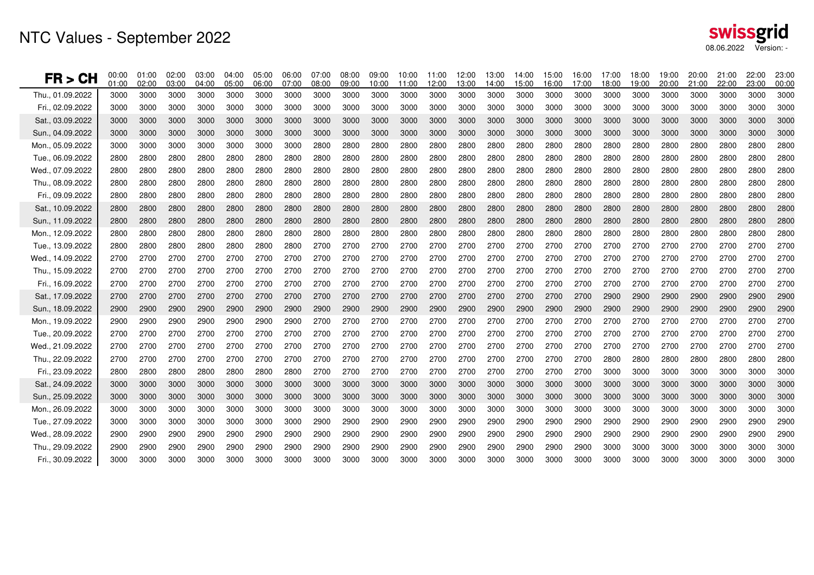| FR > CH          | 00:00<br>01:00 | 01:00<br>02:00 | 02:00<br>03:00 | 03:00<br>04:00 | 04:00<br>05:00 | 05:00<br>06:00 | 06:00<br>07:00 | 07:00<br>08:00 | 08:00<br>09:00 | 09:00<br>10:00 | 10:00<br>11:00 | 11:00<br>12:00 | 12:00<br>13:00 | 13:00<br>14:00 | 14:00<br>15:00 | 15:00<br>16:00 | 16:00<br>17:00 | 17:00<br>18:00 | 18:00<br>19:00 | 19:00<br>20:00 | 20:00<br>21:00 | 21:00<br>22:00 | 22:00<br>23:00 | 23:00<br>00:00 |
|------------------|----------------|----------------|----------------|----------------|----------------|----------------|----------------|----------------|----------------|----------------|----------------|----------------|----------------|----------------|----------------|----------------|----------------|----------------|----------------|----------------|----------------|----------------|----------------|----------------|
| Thu., 01.09.2022 | 3000           | 3000           | 3000           | 3000           | 3000           | 3000           | 3000           | 3000           | 3000           | 3000           | 3000           | 3000           | 3000           | 3000           | 3000           | 3000           | 3000           | 3000           | 3000           | 3000           | 3000           | 3000           | 3000           | 3000           |
| Fri., 02.09.2022 | 3000           | 3000           | 3000           | 3000           | 3000           | 3000           | 3000           | 3000           | 3000           | 3000           | 3000           | 3000           | 3000           | 3000           | 3000           | 3000           | 3000           | 3000           | 3000           | 3000           | 3000           | 3000           | 3000           | 3000           |
| Sat., 03.09.2022 | 3000           | 3000           | 3000           | 3000           | 3000           | 3000           | 3000           | 3000           | 3000           | 3000           | 3000           | 3000           | 3000           | 3000           | 3000           | 3000           | 3000           | 3000           | 3000           | 3000           | 3000           | 3000           | 3000           | 3000           |
| Sun., 04.09.2022 | 3000           | 3000           | 3000           | 3000           | 3000           | 3000           | 3000           | 3000           | 3000           | 3000           | 3000           | 3000           | 3000           | 3000           | 3000           | 3000           | 3000           | 3000           | 3000           | 3000           | 3000           | 3000           | 3000           | 3000           |
| Mon., 05.09.2022 | 3000           | 3000           | 3000           | 3000           | 3000           | 3000           | 3000           | 2800           | 2800           | 2800           | 2800           | 2800           | 2800           | 2800           | 2800           | 2800           | 2800           | 2800           | 2800           | 2800           | 2800           | 2800           | 2800           | 2800           |
| Tue., 06.09.2022 | 2800           | 2800           | 2800           | 2800           | 2800           | 2800           | 2800           | 2800           | 2800           | 2800           | 2800           | 2800           | 2800           | 2800           | 2800           | 2800           | 2800           | 2800           | 2800           | 2800           | 2800           | 2800           | 2800           | 2800           |
| Wed., 07.09.2022 | 2800           | 2800           | 2800           | 2800           | 2800           | 2800           | 2800           | 2800           | 2800           | 2800           | 2800           | 2800           | 2800           | 2800           | 2800           | 2800           | 2800           | 2800           | 2800           | 2800           | 2800           | 2800           | 2800           | 2800           |
| Thu., 08.09.2022 | 2800           | 2800           | 2800           | 2800           | 2800           | 2800           | 2800           | 2800           | 2800           | 2800           | 2800           | 2800           | 2800           | 2800           | 2800           | 2800           | 2800           | 2800           | 2800           | 2800           | 2800           | 2800           | 2800           | 2800           |
| Fri., 09.09.2022 | 2800           | 2800           | 2800           | 2800           | 2800           | 2800           | 2800           | 2800           | 2800           | 2800           | 2800           | 2800           | 2800           | 2800           | 2800           | 2800           | 2800           | 2800           | 2800           | 2800           | 2800           | 2800           | 2800           | 2800           |
| Sat., 10.09.2022 | 2800           | 2800           | 2800           | 2800           | 2800           | 2800           | 2800           | 2800           | 2800           | 2800           | 2800           | 2800           | 2800           | 2800           | 2800           | 2800           | 2800           | 2800           | 2800           | 2800           | 2800           | 2800           | 2800           | 2800           |
| Sun., 11.09.2022 | 2800           | 2800           | 2800           | 2800           | 2800           | 2800           | 2800           | 2800           | 2800           | 2800           | 2800           | 2800           | 2800           | 2800           | 2800           | 2800           | 2800           | 2800           | 2800           | 2800           | 2800           | 2800           | 2800           | 2800           |
| Mon., 12.09.2022 | 2800           | 2800           | 2800           | 2800           | 2800           | 2800           | 2800           | 2800           | 2800           | 2800           | 2800           | 2800           | 2800           | 2800           | 2800           | 2800           | 2800           | 2800           | 2800           | 2800           | 2800           | 2800           | 2800           | 2800           |
| Tue., 13.09.2022 | 2800           | 2800           | 2800           | 2800           | 2800           | 2800           | 2800           | 2700           | 2700           | 2700           | 2700           | 2700           | 2700           | 2700           | 2700           | 2700           | 2700           | 2700           | 2700           | 2700           | 2700           | 2700           | 2700           | 2700           |
| Wed., 14.09.2022 | 2700           | 2700           | 2700           | 2700           | 2700           | 2700           | 2700           | 2700           | 2700           | 2700           | 2700           | 2700           | 2700           | 2700           | 2700           | 2700           | 2700           | 2700           | 2700           | 2700           | 2700           | 2700           | 2700           | 2700           |
| Thu., 15.09.2022 | 2700           | 2700           | 2700           | 2700           | 2700           | 2700           | 2700           | 2700           | 2700           | 2700           | 2700           | 2700           | 2700           | 2700           | 2700           | 2700           | 2700           | 2700           | 2700           | 2700           | 2700           | 2700           | 2700           | 2700           |
| Fri., 16.09.2022 | 2700           | 2700           | 2700           | 2700           | 2700           | 2700           | 2700           | 2700           | 2700           | 2700           | 2700           | 2700           | 2700           | 2700           | 2700           | 2700           | 2700           | 2700           | 2700           | 2700           | 2700           | 2700           | 2700           | 2700           |
| Sat., 17.09.2022 | 2700           | 2700           | 2700           | 2700           | 2700           | 2700           | 2700           | 2700           | 2700           | 2700           | 2700           | 2700           | 2700           | 2700           | 2700           | 2700           | 2700           | 2900           | 2900           | 2900           | 2900           | 2900           | 2900           | 2900           |
| Sun., 18.09.2022 | 2900           | 2900           | 2900           | 2900           | 2900           | 2900           | 2900           | 2900           | 2900           | 2900           | 2900           | 2900           | 2900           | 2900           | 2900           | 2900           | 2900           | 2900           | 2900           | 2900           | 2900           | 2900           | 2900           | 2900           |
| Mon., 19.09.2022 | 2900           | 2900           | 2900           | 2900           | 2900           | 2900           | 2900           | 2700           | 2700           | 2700           | 2700           | 2700           | 2700           | 2700           | 2700           | 2700           | 2700           | 2700           | 2700           | 2700           | 2700           | 2700           | 2700           | 2700           |
| Tue., 20.09.2022 | 2700           | 2700           | 2700           | 2700           | 2700           | 2700           | 2700           | 2700           | 2700           | 2700           | 2700           | 2700           | 2700           | 2700           | 2700           | 2700           | 2700           | 2700           | 2700           | 2700           | 2700           | 2700           | 2700           | 2700           |
| Wed., 21.09.2022 | 2700           | 2700           | 2700           | 2700           | 2700           | 2700           | 2700           | 2700           | 2700           | 2700           | 2700           | 2700           | 2700           | 2700           | 2700           | 2700           | 2700           | 2700           | 2700           | 2700           | 2700           | 2700           | 2700           | 2700           |
| Thu., 22.09.2022 | 2700           | 2700           | 2700           | 2700           | 2700           | 2700           | 2700           | 2700           | 2700           | 2700           | 2700           | 2700           | 2700           | 2700           | 2700           | 2700           | 2700           | 2800           | 2800           | 2800           | 2800           | 2800           | 2800           | 2800           |
| Fri., 23.09.2022 | 2800           | 2800           | 2800           | 2800           | 2800           | 2800           | 2800           | 2700           | 2700           | 2700           | 2700           | 2700           | 2700           | 2700           | 2700           | 2700           | 2700           | 3000           | 3000           | 3000           | 3000           | 3000           | 3000           | 3000           |
| Sat., 24.09.2022 | 3000           | 3000           | 3000           | 3000           | 3000           | 3000           | 3000           | 3000           | 3000           | 3000           | 3000           | 3000           | 3000           | 3000           | 3000           | 3000           | 3000           | 3000           | 3000           | 3000           | 3000           | 3000           | 3000           | 3000           |
| Sun., 25.09.2022 | 3000           | 3000           | 3000           | 3000           | 3000           | 3000           | 3000           | 3000           | 3000           | 3000           | 3000           | 3000           | 3000           | 3000           | 3000           | 3000           | 3000           | 3000           | 3000           | 3000           | 3000           | 3000           | 3000           | 3000           |
| Mon., 26.09.2022 | 3000           | 3000           | 3000           | 3000           | 3000           | 3000           | 3000           | 3000           | 3000           | 3000           | 3000           | 3000           | 3000           | 3000           | 3000           | 3000           | 3000           | 3000           | 3000           | 3000           | 3000           | 3000           | 3000           | 3000           |
| Tue., 27.09.2022 | 3000           | 3000           | 3000           | 3000           | 3000           | 3000           | 3000           | 2900           | 2900           | 2900           | 2900           | 2900           | 2900           | 2900           | 2900           | 2900           | 2900           | 2900           | 2900           | 2900           | 2900           | 2900           | 2900           | 2900           |
| Wed., 28.09.2022 | 2900           | 2900           | 2900           | 2900           | 2900           | 2900           | 2900           | 2900           | 2900           | 2900           | 2900           | 2900           | 2900           | 2900           | 2900           | 2900           | 2900           | 2900           | 2900           | 2900           | 2900           | 2900           | 2900           | 2900           |
| Thu., 29.09.2022 | 2900           | 2900           | 2900           | 2900           | 2900           | 2900           | 2900           | 2900           | 2900           | 2900           | 2900           | 2900           | 2900           | 2900           | 2900           | 2900           | 2900           | 3000           | 3000           | 3000           | 3000           | 3000           | 3000           | 3000           |
| Fri., 30.09.2022 | 3000           | 3000           | 3000           | 3000           | 3000           | 3000           | 3000           | 3000           | 3000           | 3000           | 3000           | 3000           | 3000           | 3000           | 3000           | 3000           | 3000           | 3000           | 3000           | 3000           | 3000           | 3000           | 3000           | 3000           |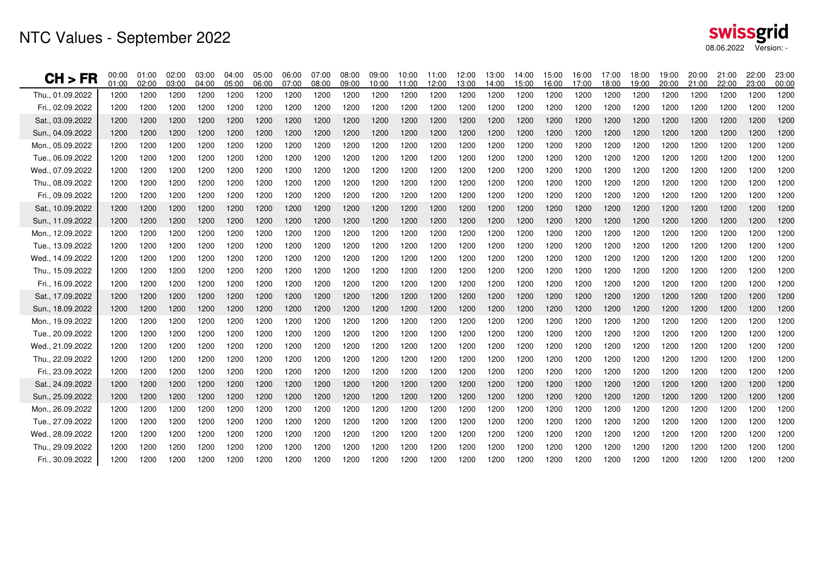| CH > FR          | 00:00<br>01:00 | 01:00<br>02:00 | 02:00<br>03:00 | 03:00<br>04:00 | 04:00<br>05:00 | 05:00<br>06:00 | 06:00<br>07:00 | 07:00<br>08:00 | 08:00<br>09:00 | 09:00<br>10:00 | 10:00<br>11:00 | 11:00<br>12:00 | 12:00<br>13:00 | 13:00<br>14:00 | 14:00<br>15:00 | 15:00<br>16:00 | 16:00<br>17:00 | 17:00<br>18:00 | 18:00<br>19:00 | 19:00<br>20:00 | 20:00<br>21:00 | 21:00<br>22:00 | 22:00<br>23:00 | 23:00<br>00:00 |
|------------------|----------------|----------------|----------------|----------------|----------------|----------------|----------------|----------------|----------------|----------------|----------------|----------------|----------------|----------------|----------------|----------------|----------------|----------------|----------------|----------------|----------------|----------------|----------------|----------------|
| Thu., 01.09.2022 | 1200           | 1200           | 1200           | 1200           | 1200           | 1200           | 1200           | 1200           | 1200           | 1200           | 1200           | 1200           | 1200           | 1200           | 1200           | 1200           | 1200           | 1200           | 1200           | 1200           | 1200           | 1200           | 1200           | 1200           |
| Fri., 02.09.2022 | 1200           | 1200           | 1200           | 1200           | 1200           | 1200           | 1200           | 1200           | 1200           | 1200           | 1200           | 1200           | 1200           | 1200           | 1200           | 1200           | 1200           | 1200           | 1200           | 1200           | 1200           | 1200           | 1200           | 1200           |
| Sat., 03.09.2022 | 1200           | 1200           | 1200           | 1200           | 1200           | 1200           | 1200           | 1200           | 1200           | 1200           | 1200           | 1200           | 1200           | 1200           | 1200           | 1200           | 1200           | 1200           | 1200           | 1200           | 1200           | 1200           | 1200           | 1200           |
| Sun., 04.09.2022 | 1200           | 1200           | 1200           | 1200           | 1200           | 1200           | 1200           | 1200           | 1200           | 1200           | 1200           | 1200           | 1200           | 1200           | 1200           | 1200           | 1200           | 1200           | 1200           | 1200           | 1200           | 1200           | 1200           | 1200           |
| Mon., 05.09.2022 | 1200           | 1200           | 1200           | 1200           | 1200           | 1200           | 1200           | 1200           | 1200           | 1200           | 1200           | 1200           | 1200           | 1200           | 1200           | 1200           | 1200           | 1200           | 1200           | 1200           | 1200           | 1200           | 1200           | 1200           |
| Tue., 06.09.2022 | 1200           | 1200           | 1200           | 1200           | 1200           | 1200           | 1200           | 1200           | 1200           | 1200           | 1200           | 1200           | 1200           | 1200           | 1200           | 1200           | 1200           | 1200           | 1200           | 1200           | 1200           | 1200           | 1200           | 1200           |
| Wed., 07.09.2022 | 1200           | 1200           | 1200           | 1200           | 1200           | 1200           | 1200           | 1200           | 1200           | 1200           | 1200           | 1200           | 1200           | 1200           | 1200           | 1200           | 1200           | 1200           | 1200           | 1200           | 1200           | 1200           | 1200           | 1200           |
| Thu., 08.09.2022 | 1200           | 1200           | 1200           | 1200           | 1200           | 1200           | 1200           | 1200           | 1200           | 1200           | 1200           | 1200           | 1200           | 1200           | 1200           | 1200           | 1200           | 1200           | 1200           | 1200           | 1200           | 1200           | 1200           | 1200           |
| Fri., 09.09.2022 | 1200           | 1200           | 1200           | 1200           | 1200           | 1200           | 1200           | 1200           | 1200           | 1200           | 1200           | 1200           | 1200           | 1200           | 1200           | 1200           | 1200           | 1200           | 1200           | 1200           | 1200           | 1200           | 1200           | 1200           |
| Sat., 10.09.2022 | 1200           | 1200           | 1200           | 1200           | 1200           | 1200           | 1200           | 1200           | 1200           | 1200           | 1200           | 1200           | 1200           | 1200           | 1200           | 1200           | 1200           | 1200           | 1200           | 1200           | 1200           | 1200           | 1200           | 1200           |
| Sun., 11.09.2022 | 1200           | 1200           | 1200           | 1200           | 1200           | 1200           | 1200           | 1200           | 1200           | 1200           | 1200           | 1200           | 1200           | 1200           | 1200           | 1200           | 1200           | 1200           | 1200           | 1200           | 1200           | 1200           | 1200           | 1200           |
| Mon., 12.09.2022 | 1200           | 1200           | 1200           | 1200           | 1200           | 1200           | 1200           | 1200           | 1200           | 1200           | 1200           | 1200           | 1200           | 1200           | 1200           | 1200           | 1200           | 1200           | 1200           | 1200           | 1200           | 1200           | 1200           | 1200           |
| Tue., 13.09.2022 | 1200           | 1200           | 1200           | 1200           | 1200           | 1200           | 1200           | 1200           | 1200           | 1200           | 1200           | 1200           | 1200           | 1200           | 1200           | 1200           | 1200           | 1200           | 1200           | 1200           | 1200           | 1200           | 1200           | 1200           |
| Wed., 14.09.2022 | 1200           | 1200           | 1200           | 1200           | 1200           | 1200           | 1200           | 1200           | 1200           | 1200           | 1200           | 1200           | 1200           | 1200           | 1200           | 1200           | 1200           | 1200           | 1200           | 1200           | 1200           | 1200           | 1200           | 1200           |
| Thu 15.09.2022   | 1200           | 1200           | 1200           | 1200           | 1200           | 1200           | 1200           | 1200           | 1200           | 1200           | 1200           | 1200           | 1200           | 1200           | 1200           | 1200           | 1200           | 1200           | 1200           | 1200           | 1200           | 1200           | 1200           | 1200           |
| Fri., 16.09.2022 | 1200           | 1200           | 1200           | 1200           | 1200           | 1200           | 1200           | 1200           | 1200           | 1200           | 1200           | 1200           | 1200           | 1200           | 1200           | 1200           | 1200           | 1200           | 1200           | 1200           | 1200           | 1200           | 1200           | 1200           |
| Sat., 17.09.2022 | 1200           | 1200           | 1200           | 1200           | 1200           | 1200           | 1200           | 1200           | 1200           | 1200           | 1200           | 1200           | 1200           | 1200           | 1200           | 1200           | 1200           | 1200           | 1200           | 1200           | 1200           | 1200           | 1200           | 1200           |
| Sun., 18.09.2022 | 1200           | 1200           | 1200           | 1200           | 1200           | 1200           | 1200           | 1200           | 1200           | 1200           | 1200           | 1200           | 1200           | 1200           | 1200           | 1200           | 1200           | 1200           | 1200           | 1200           | 1200           | 1200           | 1200           | 1200           |
| Mon., 19.09.2022 | 1200           | 1200           | 1200           | 1200           | 1200           | 1200           | 1200           | 1200           | 1200           | 1200           | 1200           | 1200           | 1200           | 1200           | 1200           | 1200           | 1200           | 1200           | 1200           | 1200           | 1200           | 1200           | 1200           | 1200           |
| Tue., 20.09.2022 | 1200           | 1200           | 1200           | 1200           | 1200           | 1200           | 1200           | 1200           | 1200           | 1200           | 1200           | 1200           | 1200           | 1200           | 1200           | 1200           | 1200           | 1200           | 1200           | 1200           | 1200           | 1200           | 1200           | 1200           |
| Wed., 21.09.2022 | 1200           | 1200           | 1200           | 1200           | 1200           | 1200           | 1200           | 1200           | 1200           | 1200           | 1200           | 1200           | 1200           | 1200           | 1200           | 1200           | 1200           | 1200           | 1200           | 1200           | 1200           | 1200           | 1200           | 1200           |
| Thu., 22.09.2022 | 1200           | 1200           | 1200           | 1200           | 1200           | 1200           | 1200           | 1200           | 1200           | 1200           | 1200           | 1200           | 1200           | 1200           | 1200           | 1200           | 1200           | 1200           | 1200           | 1200           | 1200           | 1200           | 1200           | 1200           |
| Fri., 23.09.2022 | 1200           | 1200           | 1200           | 1200           | 1200           | 1200           | 1200           | 1200           | 1200           | 1200           | 1200           | 1200           | 1200           | 1200           | 1200           | 1200           | 1200           | 1200           | 1200           | 1200           | 1200           | 1200           | 1200           | 1200           |
| Sat., 24.09.2022 | 1200           | 1200           | 1200           | 1200           | 1200           | 1200           | 1200           | 1200           | 1200           | 1200           | 1200           | 1200           | 1200           | 1200           | 1200           | 1200           | 1200           | 1200           | 1200           | 1200           | 1200           | 1200           | 1200           | 1200           |
| Sun., 25.09.2022 | 1200           | 1200           | 1200           | 1200           | 1200           | 1200           | 1200           | 1200           | 1200           | 1200           | 1200           | 1200           | 1200           | 1200           | 1200           | 1200           | 1200           | 1200           | 1200           | 1200           | 1200           | 1200           | 1200           | 1200           |
| Mon., 26.09.2022 | 1200           | 1200           | 1200           | 1200           | 1200           | 1200           | 1200           | 1200           | 1200           | 1200           | 1200           | 1200           | 1200           | 1200           | 1200           | 1200           | 1200           | 1200           | 1200           | 1200           | 1200           | 1200           | 1200           | 1200           |
| Tue., 27.09.2022 | 1200           | 1200           | 1200           | 1200           | 1200           | 1200           | 1200           | 1200           | 1200           | 1200           | 1200           | 1200           | 1200           | 1200           | 1200           | 1200           | 1200           | 1200           | 1200           | 1200           | 1200           | 1200           | 1200           | 1200           |
| Wed., 28.09.2022 | 1200           | 1200           | 1200           | 1200           | 1200           | 1200           | 1200           | 1200           | 1200           | 1200           | 1200           | 1200           | 1200           | 1200           | 1200           | 1200           | 1200           | 1200           | 1200           | 1200           | 1200           | 1200           | 1200           | 1200           |
| Thu., 29.09.2022 | 1200           | 1200           | 1200           | 1200           | 1200           | 1200           | 1200           | 1200           | 1200           | 1200           | 1200           | 1200           | 1200           | 1200           | 1200           | 1200           | 1200           | 1200           | 1200           | 1200           | 1200           | 1200           | 1200           | 1200           |
| Fri., 30.09.2022 | 1200           | 1200           | 1200           | 1200           | 1200           | 1200           | 1200           | 1200           | 1200           | 1200           | 1200           | 1200           | 1200           | 1200           | 1200           | 1200           | 1200           | 1200           | 1200           | 1200           | 1200           | 1200           | 1200           | 1200           |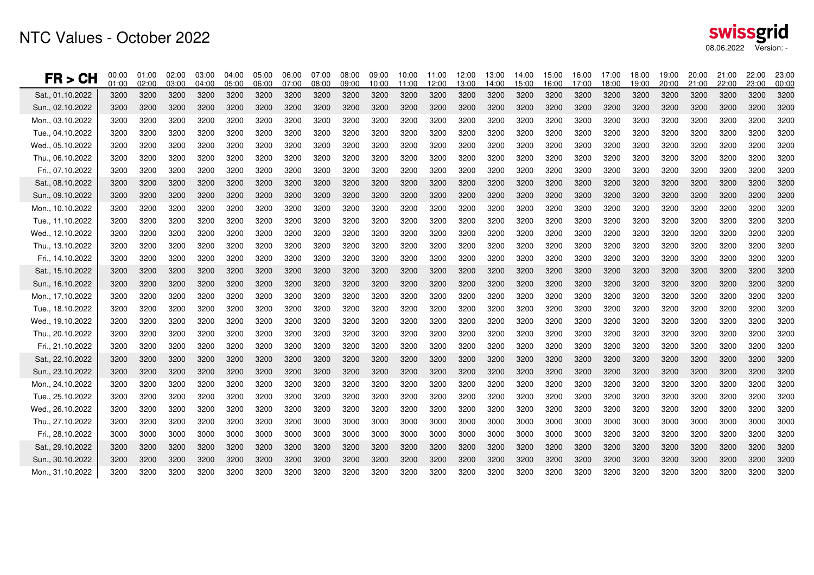| FR > CH          | 00:00<br>01:00 | 01:00<br>02:00 | 02:00<br>03:00 | 03:00<br>04:00 | 04:00<br>05:00 | 05:00<br>06:00 | 06:00<br>07:00 | 07:00<br>08:00 | 08:00<br>09:00 | 09:00<br>10:00 | 10:00<br>11:00 | 11:00<br>12:00 | 12:00<br>13:00 | 13:00<br>14:00 | 14:00<br>15:00 | 15:00<br>16:00 | 16:00<br>17:00 | 17:00<br>18:00 | 18:00<br>19:00 | 19:00<br>20:00 | 20:00<br>21:00 | 21:00<br>22:00 | 22:00<br>23:00 | 23:00<br>00:00 |
|------------------|----------------|----------------|----------------|----------------|----------------|----------------|----------------|----------------|----------------|----------------|----------------|----------------|----------------|----------------|----------------|----------------|----------------|----------------|----------------|----------------|----------------|----------------|----------------|----------------|
| Sat., 01.10.2022 | 3200           | 3200           | 3200           | 3200           | 3200           | 3200           | 3200           | 3200           | 3200           | 3200           | 3200           | 3200           | 3200           | 3200           | 3200           | 3200           | 3200           | 3200           | 3200           | 3200           | 3200           | 3200           | 3200           | 3200           |
| Sun., 02.10.2022 | 3200           | 3200           | 3200           | 3200           | 3200           | 3200           | 3200           | 3200           | 3200           | 3200           | 3200           | 3200           | 3200           | 3200           | 3200           | 3200           | 3200           | 3200           | 3200           | 3200           | 3200           | 3200           | 3200           | 3200           |
| Mon., 03.10.2022 | 3200           | 3200           | 3200           | 3200           | 3200           | 3200           | 3200           | 3200           | 3200           | 3200           | 3200           | 3200           | 3200           | 3200           | 3200           | 3200           | 3200           | 3200           | 3200           | 3200           | 3200           | 3200           | 3200           | 3200           |
| Tue., 04.10.2022 | 3200           | 3200           | 3200           | 3200           | 3200           | 3200           | 3200           | 3200           | 3200           | 3200           | 3200           | 3200           | 3200           | 3200           | 3200           | 3200           | 3200           | 3200           | 3200           | 3200           | 3200           | 3200           | 3200           | 3200           |
| Wed., 05.10.2022 | 3200           | 3200           | 3200           | 3200           | 3200           | 3200           | 3200           | 3200           | 3200           | 3200           | 3200           | 3200           | 3200           | 3200           | 3200           | 3200           | 3200           | 3200           | 3200           | 3200           | 3200           | 3200           | 3200           | 3200           |
| Thu., 06.10.2022 | 3200           | 3200           | 3200           | 3200           | 3200           | 3200           | 3200           | 3200           | 3200           | 3200           | 3200           | 3200           | 3200           | 3200           | 3200           | 3200           | 3200           | 3200           | 3200           | 3200           | 3200           | 3200           | 3200           | 3200           |
| Fri., 07.10.2022 | 3200           | 3200           | 3200           | 3200           | 3200           | 3200           | 3200           | 3200           | 3200           | 3200           | 3200           | 3200           | 3200           | 3200           | 3200           | 3200           | 3200           | 3200           | 3200           | 3200           | 3200           | 3200           | 3200           | 3200           |
| Sat., 08.10.2022 | 3200           | 3200           | 3200           | 3200           | 3200           | 3200           | 3200           | 3200           | 3200           | 3200           | 3200           | 3200           | 3200           | 3200           | 3200           | 3200           | 3200           | 3200           | 3200           | 3200           | 3200           | 3200           | 3200           | 3200           |
| Sun., 09.10.2022 | 3200           | 3200           | 3200           | 3200           | 3200           | 3200           | 3200           | 3200           | 3200           | 3200           | 3200           | 3200           | 3200           | 3200           | 3200           | 3200           | 3200           | 3200           | 3200           | 3200           | 3200           | 3200           | 3200           | 3200           |
| Mon., 10.10.2022 | 3200           | 3200           | 3200           | 3200           | 3200           | 3200           | 3200           | 3200           | 3200           | 3200           | 3200           | 3200           | 3200           | 3200           | 3200           | 3200           | 3200           | 3200           | 3200           | 3200           | 3200           | 3200           | 3200           | 3200           |
| Tue., 11.10.2022 | 3200           | 3200           | 3200           | 3200           | 3200           | 3200           | 3200           | 3200           | 3200           | 3200           | 3200           | 3200           | 3200           | 3200           | 3200           | 3200           | 3200           | 3200           | 3200           | 3200           | 3200           | 3200           | 3200           | 3200           |
| Wed., 12.10.2022 | 3200           | 3200           | 3200           | 3200           | 3200           | 3200           | 3200           | 3200           | 3200           | 3200           | 3200           | 3200           | 3200           | 3200           | 3200           | 3200           | 3200           | 3200           | 3200           | 3200           | 3200           | 3200           | 3200           | 3200           |
| Thu., 13.10.2022 | 3200           | 3200           | 3200           | 3200           | 3200           | 3200           | 3200           | 3200           | 3200           | 3200           | 3200           | 3200           | 3200           | 3200           | 3200           | 3200           | 3200           | 3200           | 3200           | 3200           | 3200           | 3200           | 3200           | 3200           |
| Fri., 14.10.2022 | 3200           | 3200           | 3200           | 3200           | 3200           | 3200           | 3200           | 3200           | 3200           | 3200           | 3200           | 3200           | 3200           | 3200           | 3200           | 3200           | 3200           | 3200           | 3200           | 3200           | 3200           | 3200           | 3200           | 3200           |
| Sat., 15.10.2022 | 3200           | 3200           | 3200           | 3200           | 3200           | 3200           | 3200           | 3200           | 3200           | 3200           | 3200           | 3200           | 3200           | 3200           | 3200           | 3200           | 3200           | 3200           | 3200           | 3200           | 3200           | 3200           | 3200           | 3200           |
| Sun., 16.10.2022 | 3200           | 3200           | 3200           | 3200           | 3200           | 3200           | 3200           | 3200           | 3200           | 3200           | 3200           | 3200           | 3200           | 3200           | 3200           | 3200           | 3200           | 3200           | 3200           | 3200           | 3200           | 3200           | 3200           | 3200           |
| Mon., 17.10.2022 | 3200           | 3200           | 3200           | 3200           | 3200           | 3200           | 3200           | 3200           | 3200           | 3200           | 3200           | 3200           | 3200           | 3200           | 3200           | 3200           | 3200           | 3200           | 3200           | 3200           | 3200           | 3200           | 3200           | 3200           |
| Tue., 18.10.2022 | 3200           | 3200           | 3200           | 3200           | 3200           | 3200           | 3200           | 3200           | 3200           | 3200           | 3200           | 3200           | 3200           | 3200           | 3200           | 3200           | 3200           | 3200           | 3200           | 3200           | 3200           | 3200           | 3200           | 3200           |
| Wed., 19.10.2022 | 3200           | 3200           | 3200           | 3200           | 3200           | 3200           | 3200           | 3200           | 3200           | 3200           | 3200           | 3200           | 3200           | 3200           | 3200           | 3200           | 3200           | 3200           | 3200           | 3200           | 3200           | 3200           | 3200           | 3200           |
| Thu., 20.10.2022 | 3200           | 3200           | 3200           | 3200           | 3200           | 3200           | 3200           | 3200           | 3200           | 3200           | 3200           | 3200           | 3200           | 3200           | 3200           | 3200           | 3200           | 3200           | 3200           | 3200           | 3200           | 3200           | 3200           | 3200           |
| Fri., 21.10.2022 | 3200           | 3200           | 3200           | 3200           | 3200           | 3200           | 3200           | 3200           | 3200           | 3200           | 3200           | 3200           | 3200           | 3200           | 3200           | 3200           | 3200           | 3200           | 3200           | 3200           | 3200           | 3200           | 3200           | 3200           |
| Sat., 22.10.2022 | 3200           | 3200           | 3200           | 3200           | 3200           | 3200           | 3200           | 3200           | 3200           | 3200           | 3200           | 3200           | 3200           | 3200           | 3200           | 3200           | 3200           | 3200           | 3200           | 3200           | 3200           | 3200           | 3200           | 3200           |
| Sun., 23.10.2022 | 3200           | 3200           | 3200           | 3200           | 3200           | 3200           | 3200           | 3200           | 3200           | 3200           | 3200           | 3200           | 3200           | 3200           | 3200           | 3200           | 3200           | 3200           | 3200           | 3200           | 3200           | 3200           | 3200           | 3200           |
| Mon., 24.10.2022 | 3200           | 3200           | 3200           | 3200           | 3200           | 3200           | 3200           | 3200           | 3200           | 3200           | 3200           | 3200           | 3200           | 3200           | 3200           | 3200           | 3200           | 3200           | 3200           | 3200           | 3200           | 3200           | 3200           | 3200           |
| Tue., 25.10.2022 | 3200           | 3200           | 3200           | 3200           | 3200           | 3200           | 3200           | 3200           | 3200           | 3200           | 3200           | 3200           | 3200           | 3200           | 3200           | 3200           | 3200           | 3200           | 3200           | 3200           | 3200           | 3200           | 3200           | 3200           |
| Wed., 26.10.2022 | 3200           | 3200           | 3200           | 3200           | 3200           | 3200           | 3200           | 3200           | 3200           | 3200           | 3200           | 3200           | 3200           | 3200           | 3200           | 3200           | 3200           | 3200           | 3200           | 3200           | 3200           | 3200           | 3200           | 3200           |
| Thu., 27.10.2022 | 3200           | 3200           | 3200           | 3200           | 3200           | 3200           | 3200           | 3000           | 3000           | 3000           | 3000           | 3000           | 3000           | 3000           | 3000           | 3000           | 3000           | 3000           | 3000           | 3000           | 3000           | 3000           | 3000           | 3000           |
| Fri., 28.10.2022 | 3000           | 3000           | 3000           | 3000           | 3000           | 3000           | 3000           | 3000           | 3000           | 3000           | 3000           | 3000           | 3000           | 3000           | 3000           | 3000           | 3000           | 3200           | 3200           | 3200           | 3200           | 3200           | 3200           | 3200           |
| Sat., 29.10.2022 | 3200           | 3200           | 3200           | 3200           | 3200           | 3200           | 3200           | 3200           | 3200           | 3200           | 3200           | 3200           | 3200           | 3200           | 3200           | 3200           | 3200           | 3200           | 3200           | 3200           | 3200           | 3200           | 3200           | 3200           |
| Sun., 30.10.2022 | 3200           | 3200           | 3200           | 3200           | 3200           | 3200           | 3200           | 3200           | 3200           | 3200           | 3200           | 3200           | 3200           | 3200           | 3200           | 3200           | 3200           | 3200           | 3200           | 3200           | 3200           | 3200           | 3200           | 3200           |
| Mon., 31.10.2022 | 3200           | 3200           | 3200           | 3200           | 3200           | 3200           | 3200           | 3200           | 3200           | 3200           | 3200           | 3200           | 3200           | 3200           | 3200           | 3200           | 3200           | 3200           | 3200           | 3200           | 3200           | 3200           | 3200           | 3200           |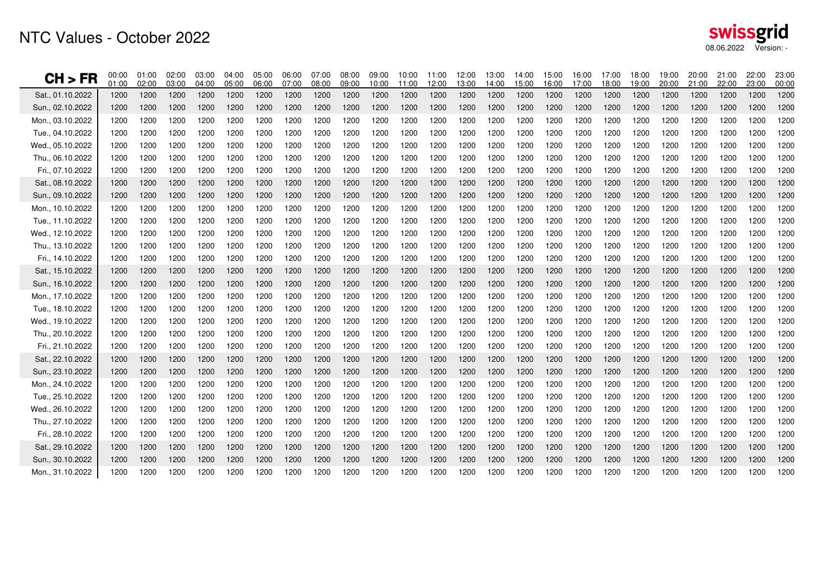| CH > FR          | 00:00<br>01:00 | 01:00<br>02:00 | 02:00<br>03:00 | 03:00<br>04:00 | 04:00<br>05:00 | 05:00<br>06:00 | 06:00<br>07:00 | 07:00<br>08:00 | 08:00<br>09:00 | 09:00<br>10:00 | 10:00<br>11:00 | 11:00<br>12:00 | 12:00<br>13:00 | 13:00<br>14:00 | 14:00<br>15:00 | 15:00<br>16:00 | 16:00<br>17:00 | 17:00<br>18:00 | 18:00<br>19:00 | 19:00<br>20:00 | 20:00<br>21:00 | 21:00<br>22:00 | 22:00<br>23:00 | 23:00<br>00:00 |
|------------------|----------------|----------------|----------------|----------------|----------------|----------------|----------------|----------------|----------------|----------------|----------------|----------------|----------------|----------------|----------------|----------------|----------------|----------------|----------------|----------------|----------------|----------------|----------------|----------------|
| Sat., 01.10.2022 | 1200           | 1200           | 1200           | 1200           | 1200           | 1200           | 1200           | 1200           | 1200           | 1200           | 1200           | 1200           | 1200           | 1200           | 1200           | 1200           | 1200           | 1200           | 1200           | 1200           | 1200           | 1200           | 1200           | 1200           |
| Sun., 02.10.2022 | 1200           | 1200           | 1200           | 1200           | 1200           | 1200           | 1200           | 1200           | 1200           | 1200           | 1200           | 1200           | 1200           | 1200           | 1200           | 1200           | 1200           | 1200           | 1200           | 1200           | 1200           | 1200           | 1200           | 1200           |
| Mon., 03.10.2022 | 1200           | 1200           | 1200           | 1200           | 1200           | 1200           | 1200           | 1200           | 1200           | 1200           | 1200           | 1200           | 1200           | 1200           | 1200           | 1200           | 1200           | 1200           | 1200           | 1200           | 1200           | 1200           | 1200           | 1200           |
| Tue., 04.10.2022 | 1200           | 1200           | 1200           | 1200           | 1200           | 1200           | 1200           | 1200           | 1200           | 1200           | 1200           | 1200           | 1200           | 1200           | 1200           | 1200           | 1200           | 1200           | 1200           | 1200           | 1200           | 1200           | 1200           | 1200           |
| Wed., 05.10.2022 | 1200           | 1200           | 1200           | 1200           | 1200           | 1200           | 1200           | 1200           | 1200           | 1200           | 1200           | 1200           | 1200           | 1200           | 1200           | 1200           | 1200           | 1200           | 1200           | 1200           | 1200           | 1200           | 1200           | 1200           |
| Thu., 06.10.2022 | 1200           | 1200           | 1200           | 1200           | 1200           | 1200           | 1200           | 1200           | 1200           | 1200           | 1200           | 1200           | 1200           | 1200           | 1200           | 1200           | 1200           | 1200           | 1200           | 1200           | 1200           | 1200           | 1200           | 1200           |
| Fri., 07.10.2022 | 1200           | 1200           | 1200           | 1200           | 1200           | 1200           | 1200           | 1200           | 1200           | 1200           | 1200           | 1200           | 1200           | 1200           | 1200           | 1200           | 1200           | 1200           | 1200           | 1200           | 1200           | 1200           | 1200           | 1200           |
| Sat., 08.10.2022 | 1200           | 1200           | 1200           | 1200           | 1200           | 1200           | 1200           | 1200           | 1200           | 1200           | 1200           | 1200           | 1200           | 1200           | 1200           | 1200           | 1200           | 1200           | 1200           | 1200           | 1200           | 1200           | 1200           | 1200           |
| Sun., 09.10.2022 | 1200           | 1200           | 1200           | 1200           | 1200           | 1200           | 1200           | 1200           | 1200           | 1200           | 1200           | 1200           | 1200           | 1200           | 1200           | 1200           | 1200           | 1200           | 1200           | 1200           | 1200           | 1200           | 1200           | 1200           |
| Mon., 10.10.2022 | 1200           | 1200           | 1200           | 1200           | 1200           | 1200           | 1200           | 1200           | 1200           | 1200           | 1200           | 1200           | 1200           | 1200           | 1200           | 1200           | 1200           | 1200           | 1200           | 1200           | 1200           | 1200           | 1200           | 1200           |
| Tue., 11.10.2022 | 1200           | 1200           | 1200           | 1200           | 1200           | 1200           | 1200           | 1200           | 1200           | 1200           | 1200           | 1200           | 1200           | 1200           | 1200           | 1200           | 1200           | 1200           | 1200           | 1200           | 1200           | 1200           | 1200           | 1200           |
| Wed., 12.10.2022 | 1200           | 1200           | 1200           | 1200           | 1200           | 1200           | 1200           | 1200           | 1200           | 1200           | 1200           | 1200           | 1200           | 1200           | 1200           | 1200           | 1200           | 1200           | 1200           | 1200           | 1200           | 1200           | 1200           | 1200           |
| Thu., 13.10.2022 | 1200           | 1200           | 1200           | 1200           | 1200           | 1200           | 1200           | 1200           | 1200           | 1200           | 1200           | 1200           | 1200           | 1200           | 1200           | 1200           | 1200           | 1200           | 1200           | 1200           | 1200           | 1200           | 1200           | 1200           |
| Fri., 14.10.2022 | 1200           | 1200           | 1200           | 1200           | 1200           | 1200           | 1200           | 1200           | 1200           | 1200           | 1200           | 1200           | 1200           | 1200           | 1200           | 1200           | 1200           | 1200           | 1200           | 1200           | 1200           | 1200           | 1200           | 1200           |
| Sat., 15.10.2022 | 1200           | 1200           | 1200           | 1200           | 1200           | 1200           | 1200           | 1200           | 1200           | 1200           | 1200           | 1200           | 1200           | 1200           | 1200           | 1200           | 1200           | 1200           | 1200           | 1200           | 1200           | 1200           | 1200           | 1200           |
| Sun., 16.10.2022 | 1200           | 1200           | 1200           | 1200           | 1200           | 1200           | 1200           | 1200           | 1200           | 1200           | 1200           | 1200           | 1200           | 1200           | 1200           | 1200           | 1200           | 1200           | 1200           | 1200           | 1200           | 1200           | 1200           | 1200           |
| Mon., 17.10.2022 | 1200           | 1200           | 1200           | 1200           | 1200           | 1200           | 1200           | 1200           | 1200           | 1200           | 1200           | 1200           | 1200           | 1200           | 1200           | 1200           | 1200           | 1200           | 1200           | 1200           | 1200           | 1200           | 1200           | 1200           |
| Tue., 18.10.2022 | 1200           | 1200           | 1200           | 1200           | 1200           | 1200           | 1200           | 1200           | 1200           | 1200           | 1200           | 1200           | 1200           | 1200           | 1200           | 1200           | 1200           | 1200           | 1200           | 1200           | 1200           | 1200           | 1200           | 1200           |
| Wed., 19.10.2022 | 1200           | 1200           | 1200           | 1200           | 1200           | 1200           | 1200           | 1200           | 1200           | 1200           | 1200           | 1200           | 1200           | 1200           | 1200           | 1200           | 1200           | 1200           | 1200           | 1200           | 1200           | 1200           | 1200           | 1200           |
| Thu., 20.10.2022 | 1200           | 1200           | 1200           | 1200           | 1200           | 1200           | 1200           | 1200           | 1200           | 1200           | 1200           | 1200           | 1200           | 1200           | 1200           | 1200           | 1200           | 1200           | 1200           | 1200           | 1200           | 1200           | 1200           | 1200           |
| Fri., 21.10.2022 | 1200           | 1200           | 1200           | 1200           | 1200           | 1200           | 1200           | 1200           | 1200           | 1200           | 1200           | 1200           | 1200           | 1200           | 1200           | 1200           | 1200           | 1200           | 1200           | 1200           | 1200           | 1200           | 1200           | 1200           |
| Sat., 22.10.2022 | 1200           | 1200           | 1200           | 1200           | 1200           | 1200           | 1200           | 1200           | 1200           | 1200           | 1200           | 1200           | 1200           | 1200           | 1200           | 1200           | 1200           | 1200           | 1200           | 1200           | 1200           | 1200           | 1200           | 1200           |
| Sun., 23.10.2022 | 1200           | 1200           | 1200           | 1200           | 1200           | 1200           | 1200           | 1200           | 1200           | 1200           | 1200           | 1200           | 1200           | 1200           | 1200           | 1200           | 1200           | 1200           | 1200           | 1200           | 1200           | 1200           | 1200           | 1200           |
| Mon., 24.10.2022 | 1200           | 1200           | 1200           | 1200           | 1200           | 1200           | 1200           | 1200           | 1200           | 1200           | 1200           | 1200           | 1200           | 1200           | 1200           | 1200           | 1200           | 1200           | 1200           | 1200           | 1200           | 1200           | 1200           | 1200           |
| Tue., 25.10.2022 | 1200           | 1200           | 1200           | 1200           | 1200           | 1200           | 1200           | 1200           | 1200           | 1200           | 1200           | 1200           | 1200           | 1200           | 1200           | 1200           | 1200           | 1200           | 1200           | 1200           | 1200           | 1200           | 1200           | 1200           |
| Wed., 26.10.2022 | 1200           | 1200           | 1200           | 1200           | 1200           | 1200           | 1200           | 1200           | 1200           | 1200           | 1200           | 1200           | 1200           | 1200           | 1200           | 1200           | 1200           | 1200           | 1200           | 1200           | 1200           | 1200           | 1200           | 1200           |
| Thu., 27.10.2022 | 1200           | 1200           | 1200           | 1200           | 1200           | 1200           | 1200           | 1200           | 1200           | 1200           | 1200           | 1200           | 1200           | 1200           | 1200           | 1200           | 1200           | 1200           | 1200           | 1200           | 1200           | 1200           | 1200           | 1200           |
| Fri., 28.10.2022 | 1200           | 1200           | 1200           | 1200           | 1200           | 1200           | 1200           | 1200           | 1200           | 1200           | 1200           | 1200           | 1200           | 1200           | 1200           | 1200           | 1200           | 1200           | 1200           | 1200           | 1200           | 1200           | 1200           | 1200           |
| Sat., 29.10.2022 | 1200           | 1200           | 1200           | 1200           | 1200           | 1200           | 1200           | 1200           | 1200           | 1200           | 1200           | 1200           | 1200           | 1200           | 1200           | 1200           | 1200           | 1200           | 1200           | 1200           | 1200           | 1200           | 1200           | 1200           |
| Sun., 30.10.2022 | 1200           | 1200           | 1200           | 1200           | 1200           | 1200           | 1200           | 1200           | 1200           | 1200           | 1200           | 1200           | 1200           | 1200           | 1200           | 1200           | 1200           | 1200           | 1200           | 1200           | 1200           | 1200           | 1200           | 1200           |
| Mon., 31.10.2022 | 1200           | 1200           | 1200           | 1200           | 1200           | 1200           | 1200           | 1200           | 1200           | 1200           | 1200           | 1200           | 1200           | 1200           | 1200           | 1200           | 1200           | 1200           | 1200           | 1200           | 1200           | 1200           | 1200           | 1200           |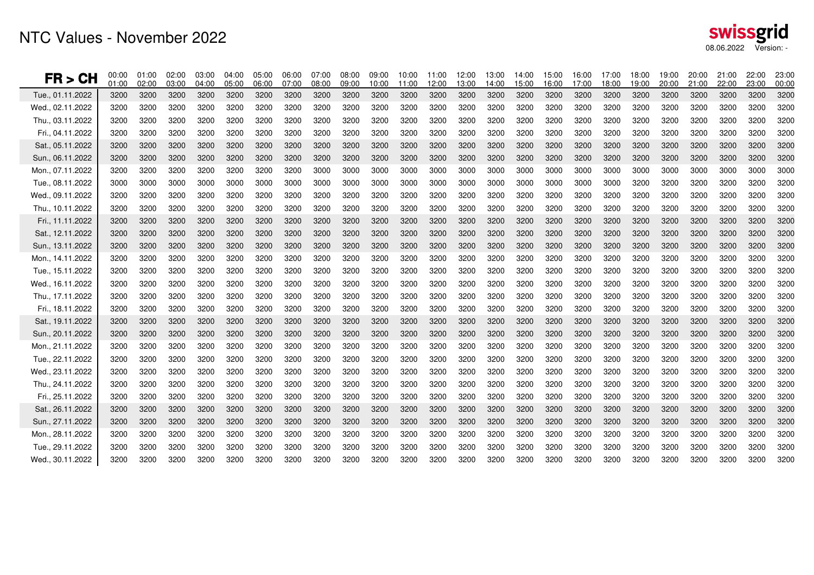| FR > CH          | 00:00<br>01:00 | 01:00<br>02:00 | 02:00<br>03:00 | 03:00<br>04:00 | 04:00<br>05:00 | 05:00<br>06:00 | 06:00<br>07:00 | 07:00<br>08:00 | 08:00<br>09:00 | 09:00<br>10:00 | 10:00<br>11:00 | 11:00<br>12:00 | 12:00<br>13:00 | 13:00<br>14:00 | 14:00<br>15:00 | 15:00<br>16:00 | 16:00<br>17:00 | 17:00<br>18:00 | 18:00<br>19:00 | 19:00<br>20:00 | 20:00<br>21:00 | 21:00<br>22:00 | 22:00<br>23:00 | 23:00<br>00:00 |
|------------------|----------------|----------------|----------------|----------------|----------------|----------------|----------------|----------------|----------------|----------------|----------------|----------------|----------------|----------------|----------------|----------------|----------------|----------------|----------------|----------------|----------------|----------------|----------------|----------------|
| Tue., 01.11.2022 | 3200           | 3200           | 3200           | 3200           | 3200           | 3200           | 3200           | 3200           | 3200           | 3200           | 3200           | 3200           | 3200           | 3200           | 3200           | 3200           | 3200           | 3200           | 3200           | 3200           | 3200           | 3200           | 3200           | 3200           |
| Wed., 02.11.2022 | 3200           | 3200           | 3200           | 3200           | 3200           | 3200           | 3200           | 3200           | 3200           | 3200           | 3200           | 3200           | 3200           | 3200           | 3200           | 3200           | 3200           | 3200           | 3200           | 3200           | 3200           | 3200           | 3200           | 3200           |
| Thu., 03.11.2022 | 3200           | 3200           | 3200           | 3200           | 3200           | 3200           | 3200           | 3200           | 3200           | 3200           | 3200           | 3200           | 3200           | 3200           | 3200           | 3200           | 3200           | 3200           | 3200           | 3200           | 3200           | 3200           | 3200           | 3200           |
| Fri., 04.11.2022 | 3200           | 3200           | 3200           | 3200           | 3200           | 3200           | 3200           | 3200           | 3200           | 3200           | 3200           | 3200           | 3200           | 3200           | 3200           | 3200           | 3200           | 3200           | 3200           | 3200           | 3200           | 3200           | 3200           | 3200           |
| Sat., 05.11.2022 | 3200           | 3200           | 3200           | 3200           | 3200           | 3200           | 3200           | 3200           | 3200           | 3200           | 3200           | 3200           | 3200           | 3200           | 3200           | 3200           | 3200           | 3200           | 3200           | 3200           | 3200           | 3200           | 3200           | 3200           |
| Sun., 06.11.2022 | 3200           | 3200           | 3200           | 3200           | 3200           | 3200           | 3200           | 3200           | 3200           | 3200           | 3200           | 3200           | 3200           | 3200           | 3200           | 3200           | 3200           | 3200           | 3200           | 3200           | 3200           | 3200           | 3200           | 3200           |
| Mon., 07.11.2022 | 3200           | 3200           | 3200           | 3200           | 3200           | 3200           | 3200           | 3000           | 3000           | 3000           | 3000           | 3000           | 3000           | 3000           | 3000           | 3000           | 3000           | 3000           | 3000           | 3000           | 3000           | 3000           | 3000           | 3000           |
| Tue., 08.11.2022 | 3000           | 3000           | 3000           | 3000           | 3000           | 3000           | 3000           | 3000           | 3000           | 3000           | 3000           | 3000           | 3000           | 3000           | 3000           | 3000           | 3000           | 3000           | 3200           | 3200           | 3200           | 3200           | 3200           | 3200           |
| Wed., 09.11.2022 | 3200           | 3200           | 3200           | 3200           | 3200           | 3200           | 3200           | 3200           | 3200           | 3200           | 3200           | 3200           | 3200           | 3200           | 3200           | 3200           | 3200           | 3200           | 3200           | 3200           | 3200           | 3200           | 3200           | 3200           |
| Thu., 10.11.2022 | 3200           | 3200           | 3200           | 3200           | 3200           | 3200           | 3200           | 3200           | 3200           | 3200           | 3200           | 3200           | 3200           | 3200           | 3200           | 3200           | 3200           | 3200           | 3200           | 3200           | 3200           | 3200           | 3200           | 3200           |
| Fri., 11.11.2022 | 3200           | 3200           | 3200           | 3200           | 3200           | 3200           | 3200           | 3200           | 3200           | 3200           | 3200           | 3200           | 3200           | 3200           | 3200           | 3200           | 3200           | 3200           | 3200           | 3200           | 3200           | 3200           | 3200           | 3200           |
| Sat., 12.11.2022 | 3200           | 3200           | 3200           | 3200           | 3200           | 3200           | 3200           | 3200           | 3200           | 3200           | 3200           | 3200           | 3200           | 3200           | 3200           | 3200           | 3200           | 3200           | 3200           | 3200           | 3200           | 3200           | 3200           | 3200           |
| Sun., 13.11.2022 | 3200           | 3200           | 3200           | 3200           | 3200           | 3200           | 3200           | 3200           | 3200           | 3200           | 3200           | 3200           | 3200           | 3200           | 3200           | 3200           | 3200           | 3200           | 3200           | 3200           | 3200           | 3200           | 3200           | 3200           |
| Mon., 14.11.2022 | 3200           | 3200           | 3200           | 3200           | 3200           | 3200           | 3200           | 3200           | 3200           | 3200           | 3200           | 3200           | 3200           | 3200           | 3200           | 3200           | 3200           | 3200           | 3200           | 3200           | 3200           | 3200           | 3200           | 3200           |
| Tue., 15.11.2022 | 3200           | 3200           | 3200           | 3200           | 3200           | 3200           | 3200           | 3200           | 3200           | 3200           | 3200           | 3200           | 3200           | 3200           | 3200           | 3200           | 3200           | 3200           | 3200           | 3200           | 3200           | 3200           | 3200           | 3200           |
| Wed., 16.11.2022 | 3200           | 3200           | 3200           | 3200           | 3200           | 3200           | 3200           | 3200           | 3200           | 3200           | 3200           | 3200           | 3200           | 3200           | 3200           | 3200           | 3200           | 3200           | 3200           | 3200           | 3200           | 3200           | 3200           | 3200           |
| Thu., 17.11.2022 | 3200           | 3200           | 3200           | 3200           | 3200           | 3200           | 3200           | 3200           | 3200           | 3200           | 3200           | 3200           | 3200           | 3200           | 3200           | 3200           | 3200           | 3200           | 3200           | 3200           | 3200           | 3200           | 3200           | 3200           |
| Fri., 18.11.2022 | 3200           | 3200           | 3200           | 3200           | 3200           | 3200           | 3200           | 3200           | 3200           | 3200           | 3200           | 3200           | 3200           | 3200           | 3200           | 3200           | 3200           | 3200           | 3200           | 3200           | 3200           | 3200           | 3200           | 3200           |
| Sat., 19.11.2022 | 3200           | 3200           | 3200           | 3200           | 3200           | 3200           | 3200           | 3200           | 3200           | 3200           | 3200           | 3200           | 3200           | 3200           | 3200           | 3200           | 3200           | 3200           | 3200           | 3200           | 3200           | 3200           | 3200           | 3200           |
| Sun., 20.11.2022 | 3200           | 3200           | 3200           | 3200           | 3200           | 3200           | 3200           | 3200           | 3200           | 3200           | 3200           | 3200           | 3200           | 3200           | 3200           | 3200           | 3200           | 3200           | 3200           | 3200           | 3200           | 3200           | 3200           | 3200           |
| Mon., 21.11.2022 | 3200           | 3200           | 3200           | 3200           | 3200           | 3200           | 3200           | 3200           | 3200           | 3200           | 3200           | 3200           | 3200           | 3200           | 3200           | 3200           | 3200           | 3200           | 3200           | 3200           | 3200           | 3200           | 3200           | 3200           |
| Tue., 22.11.2022 | 3200           | 3200           | 3200           | 3200           | 3200           | 3200           | 3200           | 3200           | 3200           | 3200           | 3200           | 3200           | 3200           | 3200           | 3200           | 3200           | 3200           | 3200           | 3200           | 3200           | 3200           | 3200           | 3200           | 3200           |
| Wed., 23.11.2022 | 3200           | 3200           | 3200           | 3200           | 3200           | 3200           | 3200           | 3200           | 3200           | 3200           | 3200           | 3200           | 3200           | 3200           | 3200           | 3200           | 3200           | 3200           | 3200           | 3200           | 3200           | 3200           | 3200           | 3200           |
| Thu., 24.11.2022 | 3200           | 3200           | 3200           | 3200           | 3200           | 3200           | 3200           | 3200           | 3200           | 3200           | 3200           | 3200           | 3200           | 3200           | 3200           | 3200           | 3200           | 3200           | 3200           | 3200           | 3200           | 3200           | 3200           | 3200           |
| Fri., 25.11.2022 | 3200           | 3200           | 3200           | 3200           | 3200           | 3200           | 3200           | 3200           | 3200           | 3200           | 3200           | 3200           | 3200           | 3200           | 3200           | 3200           | 3200           | 3200           | 3200           | 3200           | 3200           | 3200           | 3200           | 3200           |
| Sat., 26.11.2022 | 3200           | 3200           | 3200           | 3200           | 3200           | 3200           | 3200           | 3200           | 3200           | 3200           | 3200           | 3200           | 3200           | 3200           | 3200           | 3200           | 3200           | 3200           | 3200           | 3200           | 3200           | 3200           | 3200           | 3200           |
| Sun., 27.11.2022 | 3200           | 3200           | 3200           | 3200           | 3200           | 3200           | 3200           | 3200           | 3200           | 3200           | 3200           | 3200           | 3200           | 3200           | 3200           | 3200           | 3200           | 3200           | 3200           | 3200           | 3200           | 3200           | 3200           | 3200           |
| Mon., 28.11.2022 | 3200           | 3200           | 3200           | 3200           | 3200           | 3200           | 3200           | 3200           | 3200           | 3200           | 3200           | 3200           | 3200           | 3200           | 3200           | 3200           | 3200           | 3200           | 3200           | 3200           | 3200           | 3200           | 3200           | 3200           |
| Tue., 29.11.2022 | 3200           | 3200           | 3200           | 3200           | 3200           | 3200           | 3200           | 3200           | 3200           | 3200           | 3200           | 3200           | 3200           | 3200           | 3200           | 3200           | 3200           | 3200           | 3200           | 3200           | 3200           | 3200           | 3200           | 3200           |
| Wed., 30.11.2022 | 3200           | 3200           | 3200           | 3200           | 3200           | 3200           | 3200           | 3200           | 3200           | 3200           | 3200           | 3200           | 3200           | 3200           | 3200           | 3200           | 3200           | 3200           | 3200           | 3200           | 3200           | 3200           | 3200           | 3200           |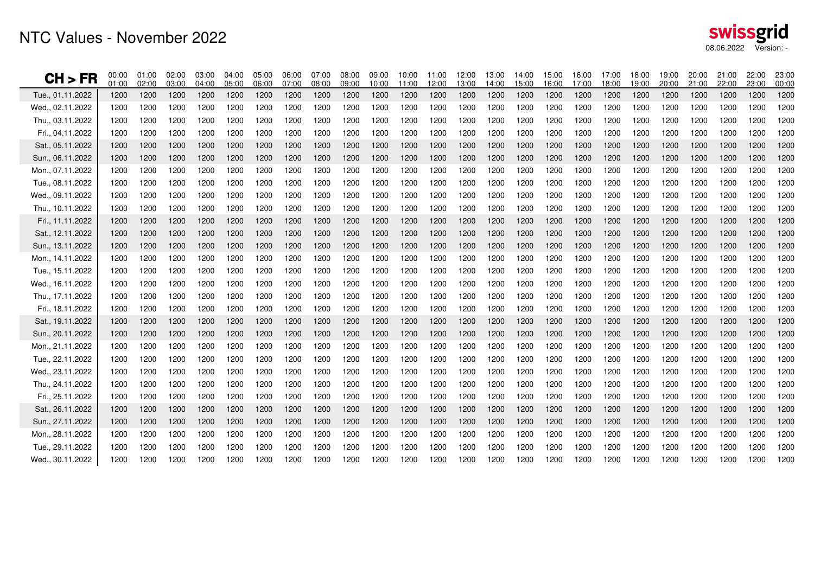| swissgrid             |  |
|-----------------------|--|
| 08.06.2022 Version: - |  |

| CH > FR          | 00:00<br>01:00 | 01:00<br>02:00 | 02:00<br>03:00 | 03:00<br>04:00 | 04:00<br>05:00 | 05:00<br>06:00 | 06:00<br>07:00 | 07:00<br>08:00 | 08:00<br>09:00 | 09:00<br>10:00 | 10:00<br>11:00 | 11:00<br>12:00 | 12:00<br>13:00 | 13:00<br>14:00 | 14:00<br>15:00 | 15:00<br>16:00 | 16:00<br>17:00 | 17:00<br>18:00 | 18:00<br>19:00 | 19:00<br>20:00 | 20:00<br>21:00 | 21:00<br>22:00 | 22:00<br>23:00 | 23:00<br>00:00 |
|------------------|----------------|----------------|----------------|----------------|----------------|----------------|----------------|----------------|----------------|----------------|----------------|----------------|----------------|----------------|----------------|----------------|----------------|----------------|----------------|----------------|----------------|----------------|----------------|----------------|
| Tue., 01.11.2022 | 1200           | 1200           | 1200           | 1200           | 1200           | 1200           | 1200           | 1200           | 1200           | 1200           | 1200           | 1200           | 1200           | 1200           | 1200           | 1200           | 1200           | 1200           | 1200           | 1200           | 1200           | 1200           | 1200           | 1200           |
| Wed., 02.11.2022 | 1200           | 1200           | 1200           | 1200           | 1200           | 1200           | 1200           | 1200           | 1200           | 1200           | 1200           | 1200           | 1200           | 1200           | 1200           | 1200           | 1200           | 1200           | 1200           | 1200           | 1200           | 1200           | 1200           | 1200           |
| Thu., 03.11.2022 | 1200           | 1200           | 1200           | 1200           | 1200           | 1200           | 1200           | 1200           | 1200           | 1200           | 1200           | 1200           | 1200           | 1200           | 1200           | 1200           | 1200           | 1200           | 1200           | 1200           | 1200           | 1200           | 1200           | 1200           |
| Fri., 04.11.2022 | 1200           | 1200           | 1200           | 1200           | 1200           | 1200           | 1200           | 1200           | 1200           | 1200           | 1200           | 1200           | 1200           | 1200           | 1200           | 1200           | 1200           | 1200           | 1200           | 1200           | 1200           | 1200           | 1200           | 1200           |
| Sat., 05.11.2022 | 1200           | 1200           | 1200           | 1200           | 1200           | 1200           | 1200           | 1200           | 1200           | 1200           | 1200           | 1200           | 1200           | 1200           | 1200           | 1200           | 1200           | 1200           | 1200           | 1200           | 1200           | 1200           | 1200           | 1200           |
| Sun., 06.11.2022 | 1200           | 1200           | 1200           | 1200           | 1200           | 1200           | 1200           | 1200           | 1200           | 1200           | 1200           | 1200           | 1200           | 1200           | 1200           | 1200           | 1200           | 1200           | 1200           | 1200           | 1200           | 1200           | 1200           | 1200           |
| Mon., 07.11.2022 | 1200           | 1200           | 1200           | 1200           | 1200           | 1200           | 1200           | 1200           | 1200           | 1200           | 1200           | 1200           | 1200           | 1200           | 1200           | 1200           | 1200           | 1200           | 1200           | 1200           | 1200           | 1200           | 1200           | 1200           |
| Tue., 08.11.2022 | 1200           | 1200           | 1200           | 1200           | 1200           | 1200           | 1200           | 1200           | 1200           | 1200           | 1200           | 1200           | 1200           | 1200           | 1200           | 1200           | 1200           | 1200           | 1200           | 1200           | 1200           | 1200           | 1200           | 1200           |
| Wed., 09.11.2022 | 1200           | 1200           | 1200           | 1200           | 1200           | 1200           | 1200           | 1200           | 1200           | 1200           | 1200           | 1200           | 1200           | 1200           | 1200           | 1200           | 1200           | 1200           | 1200           | 1200           | 1200           | 1200           | 1200           | 1200           |
| Thu., 10.11.2022 | 1200           | 1200           | 1200           | 1200           | 1200           | 1200           | 1200           | 1200           | 1200           | 1200           | 1200           | 1200           | 1200           | 1200           | 1200           | 1200           | 1200           | 1200           | 1200           | 1200           | 1200           | 1200           | 1200           | 1200           |
| Fri., 11.11.2022 | 1200           | 1200           | 1200           | 1200           | 1200           | 1200           | 1200           | 1200           | 1200           | 1200           | 1200           | 1200           | 1200           | 1200           | 1200           | 1200           | 1200           | 1200           | 1200           | 1200           | 1200           | 1200           | 1200           | 1200           |
| Sat., 12.11.2022 | 1200           | 1200           | 1200           | 1200           | 1200           | 1200           | 1200           | 1200           | 1200           | 1200           | 1200           | 1200           | 1200           | 1200           | 1200           | 1200           | 1200           | 1200           | 1200           | 1200           | 1200           | 1200           | 1200           | 1200           |
| Sun., 13.11.2022 | 1200           | 1200           | 1200           | 1200           | 1200           | 1200           | 1200           | 1200           | 1200           | 1200           | 1200           | 1200           | 1200           | 1200           | 1200           | 1200           | 1200           | 1200           | 1200           | 1200           | 1200           | 1200           | 1200           | 1200           |
| Mon., 14.11.2022 | 1200           | 1200           | 1200           | 1200           | 1200           | 1200           | 1200           | 1200           | 1200           | 1200           | 1200           | 1200           | 1200           | 1200           | 1200           | 1200           | 1200           | 1200           | 1200           | 1200           | 1200           | 1200           | 1200           | 1200           |
| Tue., 15.11.2022 | 1200           | 1200           | 1200           | 1200           | 1200           | 1200           | 1200           | 1200           | 1200           | 1200           | 1200           | 1200           | 1200           | 1200           | 1200           | 1200           | 1200           | 1200           | 1200           | 1200           | 1200           | 1200           | 1200           | 1200           |
| Wed., 16.11.2022 | 1200           | 1200           | 1200           | 1200           | 1200           | 1200           | 1200           | 1200           | 1200           | 1200           | 1200           | 1200           | 1200           | 1200           | 1200           | 1200           | 1200           | 1200           | 1200           | 1200           | 1200           | 1200           | 1200           | 1200           |
| Thu., 17.11.2022 | 1200           | 1200           | 1200           | 1200           | 1200           | 1200           | 1200           | 1200           | 1200           | 1200           | 1200           | 1200           | 1200           | 1200           | 1200           | 1200           | 1200           | 1200           | 1200           | 1200           | 1200           | 1200           | 1200           | 1200           |
| Fri., 18.11.2022 | 1200           | 1200           | 1200           | 1200           | 1200           | 1200           | 1200           | 1200           | 1200           | 1200           | 1200           | 1200           | 1200           | 1200           | 1200           | 1200           | 1200           | 1200           | 1200           | 1200           | 1200           | 1200           | 1200           | 1200           |
| Sat., 19.11.2022 | 1200           | 1200           | 1200           | 1200           | 1200           | 1200           | 1200           | 1200           | 1200           | 1200           | 1200           | 1200           | 1200           | 1200           | 1200           | 1200           | 1200           | 1200           | 1200           | 1200           | 1200           | 1200           | 1200           | 1200           |
| Sun., 20.11.2022 | 1200           | 1200           | 1200           | 1200           | 1200           | 1200           | 1200           | 1200           | 1200           | 1200           | 1200           | 1200           | 1200           | 1200           | 1200           | 1200           | 1200           | 1200           | 1200           | 1200           | 1200           | 1200           | 1200           | 1200           |
| Mon., 21.11.2022 | 1200           | 1200           | 1200           | 1200           | 1200           | 1200           | 1200           | 1200           | 1200           | 1200           | 1200           | 1200           | 1200           | 1200           | 1200           | 1200           | 1200           | 1200           | 1200           | 1200           | 1200           | 1200           | 1200           | 1200           |
| Tue., 22.11.2022 | 1200           | 1200           | 1200           | 1200           | 1200           | 1200           | 1200           | 1200           | 1200           | 1200           | 1200           | 1200           | 1200           | 1200           | 1200           | 1200           | 1200           | 1200           | 1200           | 1200           | 1200           | 1200           | 1200           | 1200           |
| Wed., 23.11.2022 | 1200           | 1200           | 1200           | 1200           | 1200           | 1200           | 1200           | 1200           | 1200           | 1200           | 1200           | 1200           | 1200           | 1200           | 1200           | 1200           | 1200           | 1200           | 1200           | 1200           | 1200           | 1200           | 1200           | 1200           |
| Thu., 24.11.2022 | 1200           | 1200           | 1200           | 1200           | 1200           | 1200           | 1200           | 1200           | 1200           | 1200           | 1200           | 1200           | 1200           | 1200           | 1200           | 1200           | 1200           | 1200           | 1200           | 1200           | 1200           | 1200           | 1200           | 1200           |
| Fri., 25.11.2022 | 1200           | 1200           | 1200           | 1200           | 1200           | 1200           | 1200           | 1200           | 1200           | 1200           | 1200           | 1200           | 1200           | 1200           | 1200           | 1200           | 1200           | 1200           | 1200           | 1200           | 1200           | 1200           | 1200           | 1200           |
| Sat., 26.11.2022 | 1200           | 1200           | 1200           | 1200           | 1200           | 1200           | 1200           | 1200           | 1200           | 1200           | 1200           | 1200           | 1200           | 1200           | 1200           | 1200           | 1200           | 1200           | 1200           | 1200           | 1200           | 1200           | 1200           | 1200           |
| Sun., 27.11.2022 | 1200           | 1200           | 1200           | 1200           | 1200           | 1200           | 1200           | 1200           | 1200           | 1200           | 1200           | 1200           | 1200           | 1200           | 1200           | 1200           | 1200           | 1200           | 1200           | 1200           | 1200           | 1200           | 1200           | 1200           |
| Mon., 28.11.2022 | 1200           | 1200           | 1200           | 1200           | 1200           | 1200           | 1200           | 1200           | 1200           | 1200           | 1200           | 1200           | 1200           | 1200           | 1200           | 1200           | 1200           | 1200           | 1200           | 1200           | 1200           | 1200           | 1200           | 1200           |
| Tue., 29.11.2022 | 1200           | 1200           | 1200           | 1200           | 1200           | 1200           | 1200           | 1200           | 1200           | 1200           | 1200           | 1200           | 1200           | 1200           | 1200           | 1200           | 1200           | 1200           | 1200           | 1200           | 1200           | 1200           | 1200           | 1200           |
| Wed., 30.11.2022 | 1200           | 1200           | 1200           | 1200           | 1200           | 1200           | 1200           | 1200           | 1200           | 1200           | 1200           | 1200           | 1200           | 1200           | 1200           | 1200           | 1200           | 1200           | 1200           | 1200           | 1200           | 1200           | 1200           | 1200           |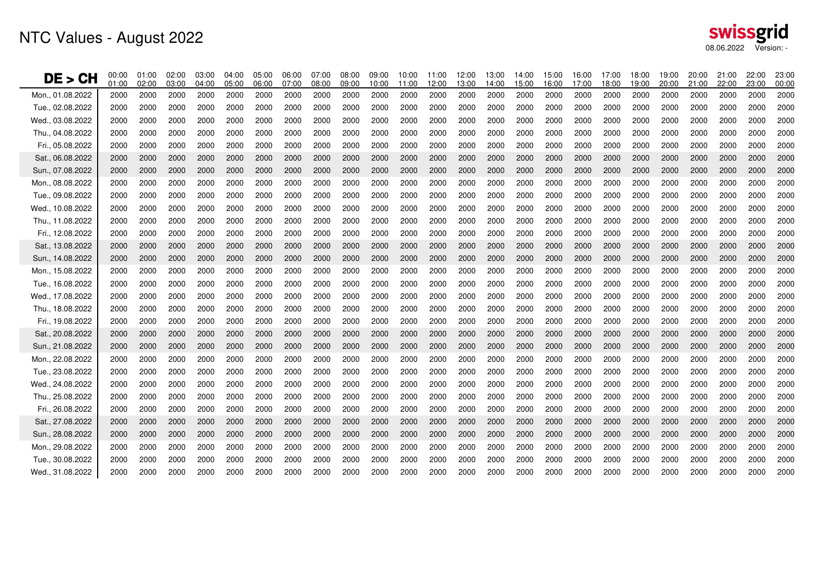| DE > CH          | 00:00<br>01:00 | 01:00<br>02:00 | 02:00<br>03:00 | 03:00<br>04:00 | 04:00<br>05:00 | 05:00<br>06:00 | 06:00<br>07:00 | 07:00<br>08:00 | 08:00<br>09:00 | 09:00<br>10:00 | 10:00<br>11:00 | 11:00<br>12:00 | 12:00<br>13:00 | 13:00<br>14:00 | 14:00<br>15:00 | 15:00<br>6:00 | 16:00<br>17:00 | 17:00<br>18:00 | 18:00<br>19:00 | 19:00<br>20:00 | 20:00<br>21:00 | 21:00<br>22:00 | 22:00<br>23:00 | 23:00<br>00:00 |
|------------------|----------------|----------------|----------------|----------------|----------------|----------------|----------------|----------------|----------------|----------------|----------------|----------------|----------------|----------------|----------------|---------------|----------------|----------------|----------------|----------------|----------------|----------------|----------------|----------------|
| Mon., 01.08.2022 | 2000           | 2000           | 2000           | 2000           | 2000           | 2000           | 2000           | 2000           | 2000           | 2000           | 2000           | 2000           | 2000           | 2000           | 2000           | 2000          | 2000           | 2000           | 2000           | 2000           | 2000           | 2000           | 2000           | 2000           |
| Tue., 02.08.2022 | 2000           | 2000           | 2000           | 2000           | 2000           | 2000           | 2000           | 2000           | 2000           | 2000           | 2000           | 2000           | 2000           | 2000           | 2000           | 2000          | 2000           | 2000           | 2000           | 2000           | 2000           | 2000           | 2000           | 2000           |
| Wed., 03.08.2022 | 2000           | 2000           | 2000           | 2000           | 2000           | 2000           | 2000           | 2000           | 2000           | 2000           | 2000           | 2000           | 2000           | 2000           | 2000           | 2000          | 2000           | 2000           | 2000           | 2000           | 2000           | 2000           | 2000           | 2000           |
| Thu., 04.08.2022 | 2000           | 2000           | 2000           | 2000           | 2000           | 2000           | 2000           | 2000           | 2000           | 2000           | 2000           | 2000           | 2000           | 2000           | 2000           | 2000          | 2000           | 2000           | 2000           | 2000           | 2000           | 2000           | 2000           | 2000           |
| Fri., 05.08.2022 | 2000           | 2000           | 2000           | 2000           | 2000           | 2000           | 2000           | 2000           | 2000           | 2000           | 2000           | 2000           | 2000           | 2000           | 2000           | 2000          | 2000           | 2000           | 2000           | 2000           | 2000           | 2000           | 2000           | 2000           |
| Sat., 06.08.2022 | 2000           | 2000           | 2000           | 2000           | 2000           | 2000           | 2000           | 2000           | 2000           | 2000           | 2000           | 2000           | 2000           | 2000           | 2000           | 2000          | 2000           | 2000           | 2000           | 2000           | 2000           | 2000           | 2000           | 2000           |
| Sun., 07.08.2022 | 2000           | 2000           | 2000           | 2000           | 2000           | 2000           | 2000           | 2000           | 2000           | 2000           | 2000           | 2000           | 2000           | 2000           | 2000           | 2000          | 2000           | 2000           | 2000           | 2000           | 2000           | 2000           | 2000           | 2000           |
| Mon., 08.08.2022 | 2000           | 2000           | 2000           | 2000           | 2000           | 2000           | 2000           | 2000           | 2000           | 2000           | 2000           | 2000           | 2000           | 2000           | 2000           | 2000          | 2000           | 2000           | 2000           | 2000           | 2000           | 2000           | 2000           | 2000           |
| Tue., 09.08.2022 | 2000           | 2000           | 2000           | 2000           | 2000           | 2000           | 2000           | 2000           | 2000           | 2000           | 2000           | 2000           | 2000           | 2000           | 2000           | 2000          | 2000           | 2000           | 2000           | 2000           | 2000           | 2000           | 2000           | 2000           |
| Wed., 10.08.2022 | 2000           | 2000           | 2000           | 2000           | 2000           | 2000           | 2000           | 2000           | 2000           | 2000           | 2000           | 2000           | 2000           | 2000           | 2000           | 2000          | 2000           | 2000           | 2000           | 2000           | 2000           | 2000           | 2000           | 2000           |
| Thu., 11.08.2022 | 2000           | 2000           | 2000           | 2000           | 2000           | 2000           | 2000           | 2000           | 2000           | 2000           | 2000           | 2000           | 2000           | 2000           | 2000           | 2000          | 2000           | 2000           | 2000           | 2000           | 2000           | 2000           | 2000           | 2000           |
| Fri., 12.08.2022 | 2000           | 2000           | 2000           | 2000           | 2000           | 2000           | 2000           | 2000           | 2000           | 2000           | 2000           | 2000           | 2000           | 2000           | 2000           | 2000          | 2000           | 2000           | 2000           | 2000           | 2000           | 2000           | 2000           | 2000           |
| Sat., 13.08.2022 | 2000           | 2000           | 2000           | 2000           | 2000           | 2000           | 2000           | 2000           | 2000           | 2000           | 2000           | 2000           | 2000           | 2000           | 2000           | 2000          | 2000           | 2000           | 2000           | 2000           | 2000           | 2000           | 2000           | 2000           |
| Sun., 14.08.2022 | 2000           | 2000           | 2000           | 2000           | 2000           | 2000           | 2000           | 2000           | 2000           | 2000           | 2000           | 2000           | 2000           | 2000           | 2000           | 2000          | 2000           | 2000           | 2000           | 2000           | 2000           | 2000           | 2000           | 2000           |
| Mon., 15.08.2022 | 2000           | 2000           | 2000           | 2000           | 2000           | 2000           | 2000           | 2000           | 2000           | 2000           | 2000           | 2000           | 2000           | 2000           | 2000           | 2000          | 2000           | 2000           | 2000           | 2000           | 2000           | 2000           | 2000           | 2000           |
| Tue., 16.08.2022 | 2000           | 2000           | 2000           | 2000           | 2000           | 2000           | 2000           | 2000           | 2000           | 2000           | 2000           | 2000           | 2000           | 2000           | 2000           | 2000          | 2000           | 2000           | 2000           | 2000           | 2000           | 2000           | 2000           | 2000           |
| Wed., 17.08.2022 | 2000           | 2000           | 2000           | 2000           | 2000           | 2000           | 2000           | 2000           | 2000           | 2000           | 2000           | 2000           | 2000           | 2000           | 2000           | 2000          | 2000           | 2000           | 2000           | 2000           | 2000           | 2000           | 2000           | 2000           |
| Thu., 18.08.2022 | 2000           | 2000           | 2000           | 2000           | 2000           | 2000           | 2000           | 2000           | 2000           | 2000           | 2000           | 2000           | 2000           | 2000           | 2000           | 2000          | 2000           | 2000           | 2000           | 2000           | 2000           | 2000           | 2000           | 2000           |
| Fri., 19.08.2022 | 2000           | 2000           | 2000           | 2000           | 2000           | 2000           | 2000           | 2000           | 2000           | 2000           | 2000           | 2000           | 2000           | 2000           | 2000           | 2000          | 2000           | 2000           | 2000           | 2000           | 2000           | 2000           | 2000           | 2000           |
| Sat., 20.08.2022 | 2000           | 2000           | 2000           | 2000           | 2000           | 2000           | 2000           | 2000           | 2000           | 2000           | 2000           | 2000           | 2000           | 2000           | 2000           | 2000          | 2000           | 2000           | 2000           | 2000           | 2000           | 2000           | 2000           | 2000           |
| Sun., 21.08.2022 | 2000           | 2000           | 2000           | 2000           | 2000           | 2000           | 2000           | 2000           | 2000           | 2000           | 2000           | 2000           | 2000           | 2000           | 2000           | 2000          | 2000           | 2000           | 2000           | 2000           | 2000           | 2000           | 2000           | 2000           |
| Mon., 22.08.2022 | 2000           | 2000           | 2000           | 2000           | 2000           | 2000           | 2000           | 2000           | 2000           | 2000           | 2000           | 2000           | 2000           | 2000           | 2000           | 2000          | 2000           | 2000           | 2000           | 2000           | 2000           | 2000           | 2000           | 2000           |
| Tue., 23.08.2022 | 2000           | 2000           | 2000           | 2000           | 2000           | 2000           | 2000           | 2000           | 2000           | 2000           | 2000           | 2000           | 2000           | 2000           | 2000           | 2000          | 2000           | 2000           | 2000           | 2000           | 2000           | 2000           | 2000           | 2000           |
| Wed., 24.08.2022 | 2000           | 2000           | 2000           | 2000           | 2000           | 2000           | 2000           | 2000           | 2000           | 2000           | 2000           | 2000           | 2000           | 2000           | 2000           | 2000          | 2000           | 2000           | 2000           | 2000           | 2000           | 2000           | 2000           | 2000           |
| Thu., 25.08.2022 | 2000           | 2000           | 2000           | 2000           | 2000           | 2000           | 2000           | 2000           | 2000           | 2000           | 2000           | 2000           | 2000           | 2000           | 2000           | 2000          | 2000           | 2000           | 2000           | 2000           | 2000           | 2000           | 2000           | 2000           |
| Fri., 26.08.2022 | 2000           | 2000           | 2000           | 2000           | 2000           | 2000           | 2000           | 2000           | 2000           | 2000           | 2000           | 2000           | 2000           | 2000           | 2000           | 2000          | 2000           | 2000           | 2000           | 2000           | 2000           | 2000           | 2000           | 2000           |
| Sat., 27.08.2022 | 2000           | 2000           | 2000           | 2000           | 2000           | 2000           | 2000           | 2000           | 2000           | 2000           | 2000           | 2000           | 2000           | 2000           | 2000           | 2000          | 2000           | 2000           | 2000           | 2000           | 2000           | 2000           | 2000           | 2000           |
| Sun., 28.08.2022 | 2000           | 2000           | 2000           | 2000           | 2000           | 2000           | 2000           | 2000           | 2000           | 2000           | 2000           | 2000           | 2000           | 2000           | 2000           | 2000          | 2000           | 2000           | 2000           | 2000           | 2000           | 2000           | 2000           | 2000           |
| Mon., 29.08.2022 | 2000           | 2000           | 2000           | 2000           | 2000           | 2000           | 2000           | 2000           | 2000           | 2000           | 2000           | 2000           | 2000           | 2000           | 2000           | 2000          | 2000           | 2000           | 2000           | 2000           | 2000           | 2000           | 2000           | 2000           |
| Tue., 30.08.2022 | 2000           | 2000           | 2000           | 2000           | 2000           | 2000           | 2000           | 2000           | 2000           | 2000           | 2000           | 2000           | 2000           | 2000           | 2000           | 2000          | 2000           | 2000           | 2000           | 2000           | 2000           | 2000           | 2000           | 2000           |
| Wed., 31.08.2022 | 2000           | 2000           | 2000           | 2000           | 2000           | 2000           | 2000           | 2000           | 2000           | 2000           | 2000           | 2000           | 2000           | 2000           | 2000           | 2000          | 2000           | 2000           | 2000           | 2000           | 2000           | 2000           | 2000           | 2000           |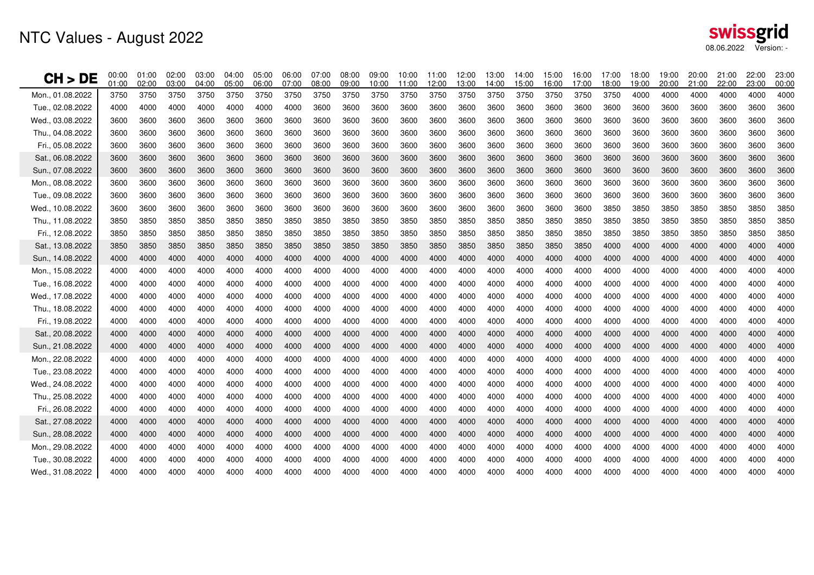# NTC Values - August 2022

| CH > DE          | 00:00<br>01:00 | 01:00<br>02:00 | 02:00<br>03:00 | 03:00<br>04:00 | 04:00<br>05:00 | 05:00<br>06:00 | 06:00<br>07:00 | 07:00<br>08:00 | 08:00<br>09:00 | 09:00<br>10:00 | 10:00<br>11:00 | 11:00<br>12:00 | 12:00<br>13:00 | 13:00<br>14:00 | 14:00<br>15:00 | 15:00<br>16:00 | 16:00<br>17:00 | 17:00<br>18:00 | 18:00<br>19:00 | 19:00<br>20:00 | 20:00<br>21:00 | 21:00<br>22:00 | 22:00<br>23:00 | 23:00<br>00:00 |
|------------------|----------------|----------------|----------------|----------------|----------------|----------------|----------------|----------------|----------------|----------------|----------------|----------------|----------------|----------------|----------------|----------------|----------------|----------------|----------------|----------------|----------------|----------------|----------------|----------------|
| Mon., 01.08.2022 | 3750           | 3750           | 3750           | 3750           | 3750           | 3750           | 3750           | 3750           | 3750           | 3750           | 3750           | 3750           | 3750           | 3750           | 3750           | 3750           | 3750           | 3750           | 4000           | 4000           | 4000           | 4000           | 4000           | 4000           |
| Tue., 02.08.2022 | 4000           | 4000           | 4000           | 4000           | 4000           | 4000           | 4000           | 3600           | 3600           | 3600           | 3600           | 3600           | 3600           | 3600           | 3600           | 3600           | 3600           | 3600           | 3600           | 3600           | 3600           | 3600           | 3600           | 3600           |
| Wed., 03.08.2022 | 3600           | 3600           | 3600           | 3600           | 3600           | 3600           | 3600           | 3600           | 3600           | 3600           | 3600           | 3600           | 3600           | 3600           | 3600           | 3600           | 3600           | 3600           | 3600           | 3600           | 3600           | 3600           | 3600           | 3600           |
| Thu., 04.08.2022 | 3600           | 3600           | 3600           | 3600           | 3600           | 3600           | 3600           | 3600           | 3600           | 3600           | 3600           | 3600           | 3600           | 3600           | 3600           | 3600           | 3600           | 3600           | 3600           | 3600           | 3600           | 3600           | 3600           | 3600           |
| Fri 05.08.2022   | 3600           | 3600           | 3600           | 3600           | 3600           | 3600           | 3600           | 3600           | 3600           | 3600           | 3600           | 3600           | 3600           | 3600           | 3600           | 3600           | 3600           | 3600           | 3600           | 3600           | 3600           | 3600           | 3600           | 3600           |
| Sat., 06.08.2022 | 3600           | 3600           | 3600           | 3600           | 3600           | 3600           | 3600           | 3600           | 3600           | 3600           | 3600           | 3600           | 3600           | 3600           | 3600           | 3600           | 3600           | 3600           | 3600           | 3600           | 3600           | 3600           | 3600           | 3600           |
| Sun., 07.08.2022 | 3600           | 3600           | 3600           | 3600           | 3600           | 3600           | 3600           | 3600           | 3600           | 3600           | 3600           | 3600           | 3600           | 3600           | 3600           | 3600           | 3600           | 3600           | 3600           | 3600           | 3600           | 3600           | 3600           | 3600           |
| Mon., 08.08.2022 | 3600           | 3600           | 3600           | 3600           | 3600           | 3600           | 3600           | 3600           | 3600           | 3600           | 3600           | 3600           | 3600           | 3600           | 3600           | 3600           | 3600           | 3600           | 3600           | 3600           | 3600           | 3600           | 3600           | 3600           |
| Tue 09.08.2022   | 3600           | 3600           | 3600           | 3600           | 3600           | 3600           | 3600           | 3600           | 3600           | 3600           | 3600           | 3600           | 3600           | 3600           | 3600           | 3600           | 3600           | 3600           | 3600           | 3600           | 3600           | 3600           | 3600           | 3600           |
| Wed., 10.08.2022 | 3600           | 3600           | 3600           | 3600           | 3600           | 3600           | 3600           | 3600           | 3600           | 3600           | 3600           | 3600           | 3600           | 3600           | 3600           | 3600           | 3600           | 3850           | 3850           | 3850           | 3850           | 3850           | 3850           | 3850           |
| Thu 11.08.2022   | 3850           | 3850           | 3850           | 3850           | 3850           | 3850           | 3850           | 3850           | 3850           | 3850           | 3850           | 3850           | 3850           | 3850           | 3850           | 3850           | 3850           | 3850           | 3850           | 3850           | 3850           | 3850           | 3850           | 3850           |
| Fri., 12.08.2022 | 3850           | 3850           | 3850           | 3850           | 3850           | 3850           | 3850           | 3850           | 3850           | 3850           | 3850           | 3850           | 3850           | 3850           | 3850           | 3850           | 3850           | 3850           | 3850           | 3850           | 3850           | 3850           | 3850           | 3850           |
| Sat., 13.08.2022 | 3850           | 3850           | 3850           | 3850           | 3850           | 3850           | 3850           | 3850           | 3850           | 3850           | 3850           | 3850           | 3850           | 3850           | 3850           | 3850           | 3850           | 4000           | 4000           | 4000           | 4000           | 4000           | 4000           | 4000           |
| Sun., 14.08.2022 | 4000           | 4000           | 4000           | <b>4000</b>    | 4000           | 4000           | 4000           | 4000           | 4000           | 4000           | 4000           | 4000           | 4000           | 4000           | 4000           | 4000           | 4000           | 4000           | 4000           | 4000           | 4000           | 4000           | 4000           | 4000           |
| Mon., 15.08.2022 | 4000           | 4000           | 4000           | 4000           | 4000           | 4000           | 4000           | 4000           | 4000           | 4000           | 4000           | 4000           | 4000           | 4000           | 4000           | 4000           | 4000           | 4000           | 4000           | 4000           | 4000           | 4000           | 4000           | 4000           |
| Tue., 16.08.2022 | 4000           | 4000           | 4000           | 4000           | 4000           | 4000           | 4000           | 4000           | 4000           | 4000           | 4000           | 4000           | 4000           | 4000           | 4000           | 4000           | 4000           | 4000           | 4000           | 4000           | 4000           | 4000           | 4000           | 4000           |
| Wed., 17.08.2022 | 4000           | 4000           | 4000           | 4000           | 4000           | 4000           | 4000           | 4000           | 4000           | 4000           | 4000           | 4000           | 4000           | 4000           | 4000           | 4000           | 4000           | 4000           | 4000           | 4000           | 4000           | 4000           | 4000           | 4000           |
| Thu., 18.08.2022 | 4000           | 4000           | 4000           | 4000           | 4000           | 4000           | 4000           | 4000           | 4000           | 4000           | 4000           | 4000           | 4000           | 4000           | 4000           | 4000           | 4000           | 4000           | 4000           | 4000           | 4000           | 4000           | 4000           | 4000           |
| Fri., 19.08.2022 | 4000           | 4000           | 4000           | 4000           | 4000           | 4000           | 4000           | 4000           | 4000           | 4000           | 4000           | 4000           | 4000           | 4000           | 4000           | 4000           | 4000           | 4000           | 4000           | 4000           | 4000           | 4000           | 4000           | 4000           |
| Sat., 20.08.2022 | 4000           | 4000           | 4000           | 4000           | 4000           | 4000           | 4000           | 4000           | 4000           | 4000           | 4000           | 4000           | 4000           | 4000           | 4000           | 4000           | 4000           | 4000           | 4000           | 4000           | 4000           | 4000           | 4000           | 4000           |
| Sun., 21.08.2022 | 4000           | 4000           | 4000           | 4000           | 4000           | 4000           | 4000           | 4000           | 4000           | 4000           | 4000           | 4000           | 4000           | 4000           | 4000           | 4000           | 4000           | 4000           | 4000           | 4000           | 4000           | 4000           | 4000           | 4000           |
| Mon., 22.08.2022 | 4000           | 4000           | 4000           | 4000           | 4000           | 4000           | 4000           | 4000           | 4000           | 4000           | 4000           | 4000           | 4000           | 4000           | 4000           | 4000           | 4000           | 4000           | 4000           | 4000           | 4000           | 4000           | 4000           | 4000           |
| Tue., 23.08.2022 | 4000           | 4000           | 4000           | 4000           | 4000           | 4000           | 4000           | 4000           | 4000           | 4000           | 4000           | 4000           | 4000           | 4000           | 4000           | 4000           | 4000           | 4000           | 4000           | 4000           | 4000           | 4000           | 4000           | 4000           |
| Wed., 24.08.2022 | 4000           | 4000           | 4000           | 4000           | 4000           | 4000           | 4000           | 4000           | 4000           | 4000           | 4000           | 4000           | 4000           | 4000           | 4000           | 4000           | 4000           | 4000           | 4000           | 4000           | 4000           | 4000           | 4000           | 4000           |
| Thu., 25.08.2022 | 4000           | 4000           | 4000           | 4000           | 4000           | 4000           | 4000           | 4000           | 4000           | 4000           | 4000           | 4000           | 4000           | 4000           | 4000           | 4000           | 4000           | 4000           | 4000           | 4000           | 4000           | 4000           | 4000           | 4000           |
| Fri., 26.08.2022 | 4000           | 4000           | 4000           | 4000           | 4000           | 4000           | 4000           | 4000           | 4000           | 4000           | 4000           | 4000           | 4000           | 4000           | 4000           | 4000           | 4000           | 4000           | 4000           | 4000           | 4000           | 4000           | 4000           | 4000           |
| Sat., 27.08.2022 | 4000           | 4000           | 4000           | 4000           | 4000           | 4000           | 4000           | 4000           | 4000           | 4000           | 4000           | 4000           | 4000           | 4000           | 4000           | 4000           | 4000           | 4000           | 4000           | 4000           | 4000           | 4000           | 4000           | 4000           |
| Sun., 28.08.2022 | 4000           | 4000           | 4000           | 4000           | 4000           | 4000           | 4000           | 4000           | 4000           | 4000           | 4000           | 4000           | 4000           | 4000           | 4000           | 4000           | 4000           | 4000           | 4000           | 4000           | 4000           | 4000           | 4000           | 4000           |
| Mon., 29.08.2022 | 4000           | 4000           | 4000           | 4000           | 4000           | 4000           | 4000           | 4000           | 4000           | 4000           | 4000           | 4000           | 4000           | 4000           | 4000           | 4000           | 4000           | 4000           | 4000           | 4000           | 4000           | 4000           | 4000           | 4000           |
| Tue., 30.08.2022 | 4000           | 4000           | 4000           | 4000           | 4000           | 4000           | 4000           | 4000           | 4000           | 4000           | 4000           | 4000           | 4000           | 4000           | 4000           | 4000           | 4000           | 4000           | 4000           | 4000           | 4000           | 4000           | 4000           | 4000           |
| Wed., 31.08.2022 | 4000           | 4000           | 4000           | 4000           | 4000           | 4000           | 4000           | 4000           | 4000           | 4000           | 4000           | 4000           | 4000           | 4000           | 4000           | 4000           | 4000           | 4000           | 4000           | 4000           | 4000           | 4000           | 4000           | 4000           |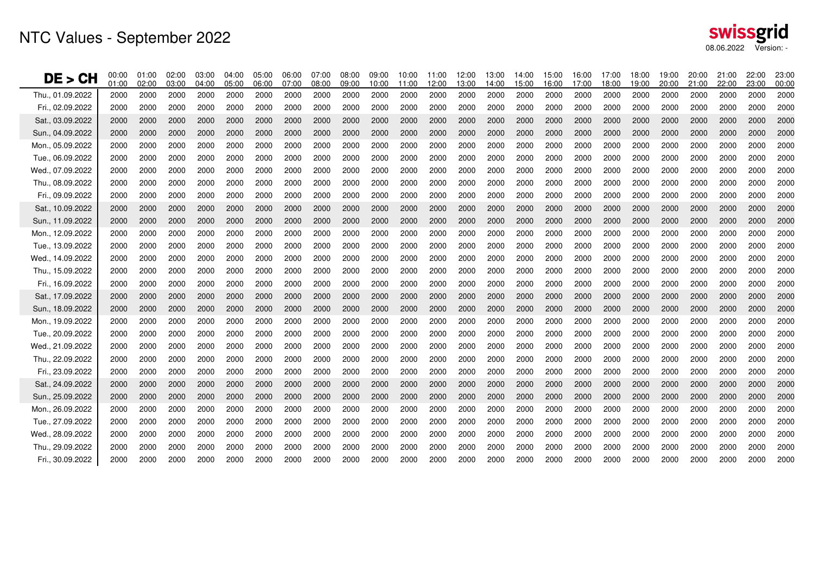| DE<br>> CH       | 00:00<br>01:00 | 01:00<br>02:00 | 02:00<br>03:00 | 03:00<br>04:00 | 04:00<br>05:00 | 05:00<br>06:00 | 06:00<br>07:00 | 07:00<br>08:00 | 08:00<br>09:00 | 09:00<br>10:00 | 10:00<br>11:00 | 11:00<br>12:00 | 12:00<br>13:00 | 13:00<br>14:00 | 14:00<br>15:00 | 15:00<br>16:00 | 16:00<br>17:00 | 17:00<br>18:00 | 18:00<br>19:00 | 19:00<br>20:00 | 20:00<br>21:00 | 21:00<br>22:00 | 22:00<br>23:00 | 23:00<br>00:00 |
|------------------|----------------|----------------|----------------|----------------|----------------|----------------|----------------|----------------|----------------|----------------|----------------|----------------|----------------|----------------|----------------|----------------|----------------|----------------|----------------|----------------|----------------|----------------|----------------|----------------|
| Thu., 01.09.2022 | 2000           | 2000           | 2000           | 2000           | 2000           | 2000           | 2000           | 2000           | 2000           | 2000           | 2000           | 2000           | 2000           | 2000           | 2000           | 2000           | 2000           | 2000           | 2000           | 2000           | 2000           | 2000           | 2000           | 2000           |
| Fri 02.09.2022   | 2000           | 2000           | 2000           | 2000           | 2000           | 2000           | 2000           | 2000           | 2000           | 2000           | 2000           | 2000           | 2000           | 2000           | 2000           | 2000           | 2000           | 2000           | 2000           | 2000           | 2000           | 2000           | 2000           | 2000           |
| Sat., 03.09.2022 | 2000           | 2000           | 2000           | 2000           | 2000           | 2000           | 2000           | 2000           | 2000           | 2000           | 2000           | 2000           | 2000           | 2000           | 2000           | 2000           | 2000           | 2000           | 2000           | 2000           | 2000           | 2000           | 2000           | 2000           |
| Sun., 04.09.2022 | 2000           | 2000           | 2000           | 2000           | 2000           | 2000           | 2000           | 2000           | 2000           | 2000           | 2000           | 2000           | 2000           | 2000           | 2000           | 2000           | 2000           | 2000           | 2000           | 2000           | 2000           | 2000           | 2000           | 2000           |
| Mon., 05.09.2022 | 2000           | 2000           | 2000           | 2000           | 2000           | 2000           | 2000           | 2000           | 2000           | 2000           | 2000           | 2000           | 2000           | 2000           | 2000           | 2000           | 2000           | 2000           | 2000           | 2000           | 2000           | 2000           | 2000           | 2000           |
| Tue., 06.09.2022 | 2000           | 2000           | 2000           | 2000           | 2000           | 2000           | 2000           | 2000           | 2000           | 2000           | 2000           | 2000           | 2000           | 2000           | 2000           | 2000           | 2000           | 2000           | 2000           | 2000           | 2000           | 2000           | 2000           | 2000           |
| Wed., 07.09.2022 | 2000           | 2000           | 2000           | 2000           | 2000           | 2000           | 2000           | 2000           | 2000           | 2000           | 2000           | 2000           | 2000           | 2000           | 2000           | 2000           | 2000           | 2000           | 2000           | 2000           | 2000           | 2000           | 2000           | 2000           |
| Thu., 08.09.2022 | 2000           | 2000           | 2000           | 2000           | 2000           | 2000           | 2000           | 2000           | 2000           | 2000           | 2000           | 2000           | 2000           | 2000           | 2000           | 2000           | 2000           | 2000           | 2000           | 2000           | 2000           | 2000           | 2000           | 2000           |
| Fri., 09.09.2022 | 2000           | 2000           | 2000           | 2000           | 2000           | 2000           | 2000           | 2000           | 2000           | 2000           | 2000           | 2000           | 2000           | 2000           | 2000           | 2000           | 2000           | 2000           | 2000           | 2000           | 2000           | 2000           | 2000           | 2000           |
| Sat., 10.09.2022 | 2000           | 2000           | 2000           | 2000           | 2000           | 2000           | 2000           | 2000           | 2000           | 2000           | 2000           | 2000           | 2000           | 2000           | 2000           | 2000           | 2000           | 2000           | 2000           | 2000           | 2000           | 2000           | 2000           | 2000           |
| Sun., 11.09.2022 | 2000           | 2000           | 2000           | 2000           | 2000           | 2000           | 2000           | 2000           | 2000           | 2000           | 2000           | 2000           | 2000           | 2000           | 2000           | 2000           | 2000           | 2000           | 2000           | 2000           | 2000           | 2000           | 2000           | 2000           |
| Mon., 12.09.2022 | 2000           | 2000           | 2000           | 2000           | 2000           | 2000           | 2000           | 2000           | 2000           | 2000           | 2000           | 2000           | 2000           | 2000           | 2000           | 2000           | 2000           | 2000           | 2000           | 2000           | 2000           | 2000           | 2000           | 2000           |
| Tue., 13.09.2022 | 2000           | 2000           | 2000           | 2000           | 2000           | 2000           | 2000           | 2000           | 2000           | 2000           | 2000           | 2000           | 2000           | 2000           | 2000           | 2000           | 2000           | 2000           | 2000           | 2000           | 2000           | 2000           | 2000           | 2000           |
| Wed., 14.09.2022 | 2000           | 2000           | 2000           | 2000           | 2000           | 2000           | 2000           | 2000           | 2000           | 2000           | 2000           | 2000           | 2000           | 2000           | 2000           | 2000           | 2000           | 2000           | 2000           | 2000           | 2000           | 2000           | 2000           | 2000           |
| Thu., 15.09.2022 | 2000           | 2000           | 2000           | 2000           | 2000           | 2000           | 2000           | 2000           | 2000           | 2000           | 2000           | 2000           | 2000           | 2000           | 2000           | 2000           | 2000           | 2000           | 2000           | 2000           | 2000           | 2000           | 2000           | 2000           |
| Fri., 16.09.2022 | 2000           | 2000           | 2000           | 2000           | 2000           | 2000           | 2000           | 2000           | 2000           | 2000           | 2000           | 2000           | 2000           | 2000           | 2000           | 2000           | 2000           | 2000           | 2000           | 2000           | 2000           | 2000           | 2000           | 2000           |
| Sat., 17.09.2022 | 2000           | 2000           | 2000           | 2000           | 2000           | 2000           | 2000           | 2000           | 2000           | 2000           | 2000           | 2000           | 2000           | 2000           | 2000           | 2000           | 2000           | 2000           | 2000           | 2000           | 2000           | 2000           | 2000           | 2000           |
| Sun., 18.09.2022 | 2000           | 2000           | 2000           | 2000           | 2000           | 2000           | 2000           | 2000           | 2000           | 2000           | 2000           | 2000           | 2000           | 2000           | 2000           | 2000           | 2000           | 2000           | 2000           | 2000           | 2000           | 2000           | 2000           | 2000           |
| Mon., 19.09.2022 | 2000           | 2000           | 2000           | 2000           | 2000           | 2000           | 2000           | 2000           | 2000           | 2000           | 2000           | 2000           | 2000           | 2000           | 2000           | 2000           | 2000           | 2000           | 2000           | 2000           | 2000           | 2000           | 2000           | 2000           |
| Tue 20.09.2022   | 2000           | 2000           | 2000           | 2000           | 2000           | 2000           | 2000           | 2000           | 2000           | 2000           | 2000           | 2000           | 2000           | 2000           | 2000           | 2000           | 2000           | 2000           | 2000           | 2000           | 2000           | 2000           | 2000           | 2000           |
| Wed., 21.09.2022 | 2000           | 2000           | 2000           | 2000           | 2000           | 2000           | 2000           | 2000           | 2000           | 2000           | 2000           | 2000           | 2000           | 2000           | 2000           | 2000           | 2000           | 2000           | 2000           | 2000           | 2000           | 2000           | 2000           | 2000           |
| Thu., 22.09.2022 | 2000           | 2000           | 2000           | 2000           | 2000           | 2000           | 2000           | 2000           | 2000           | 2000           | 2000           | 2000           | 2000           | 2000           | 2000           | 2000           | 2000           | 2000           | 2000           | 2000           | 2000           | 2000           | 2000           | 2000           |
| Fri., 23.09.2022 | 2000           | 2000           | 2000           | 2000           | 2000           | 2000           | 2000           | 2000           | 2000           | 2000           | 2000           | 2000           | 2000           | 2000           | 2000           | 2000           | 2000           | 2000           | 2000           | 2000           | 2000           | 2000           | 2000           | 2000           |
| Sat., 24.09.2022 | 2000           | 2000           | 2000           | 2000           | 2000           | 2000           | 2000           | 2000           | 2000           | 2000           | 2000           | 2000           | 2000           | 2000           | 2000           | 2000           | 2000           | 2000           | 2000           | 2000           | 2000           | 2000           | 2000           | 2000           |
| Sun., 25.09.2022 | 2000           | 2000           | 2000           | 2000           | 2000           | 2000           | 2000           | 2000           | 2000           | 2000           | 2000           | 2000           | 2000           | 2000           | 2000           | 2000           | 2000           | 2000           | 2000           | 2000           | 2000           | 2000           | 2000           | 2000           |
| Mon., 26.09.2022 | 2000           | 2000           | 2000           | 2000           | 2000           | 2000           | 2000           | 2000           | 2000           | 2000           | 2000           | 2000           | 2000           | 2000           | 2000           | 2000           | 2000           | 2000           | 2000           | 2000           | 2000           | 2000           | 2000           | 2000           |
| Tue., 27.09.2022 | 2000           | 2000           | 2000           | 2000           | 2000           | 2000           | 2000           | 2000           | 2000           | 2000           | 2000           | 2000           | 2000           | 2000           | 2000           | 2000           | 2000           | 2000           | 2000           | 2000           | 2000           | 2000           | 2000           | 2000           |
| Wed 28.09.2022   | 2000           | 2000           | 2000           | 2000           | 2000           | 2000           | 2000           | 2000           | 2000           | 2000           | 2000           | 2000           | 2000           | 2000           | 2000           | 2000           | 2000           | 2000           | 2000           | 2000           | 2000           | 2000           | 2000           | 2000           |
| Thu., 29.09.2022 | 2000           | 2000           | 2000           | 2000           | 2000           | 2000           | 2000           | 2000           | 2000           | 2000           | 2000           | 2000           | 2000           | 2000           | 2000           | 2000           | 2000           | 2000           | 2000           | 2000           | 2000           | 2000           | 2000           | 2000           |
| Fri., 30.09.2022 | 2000           | 2000           | 2000           | 2000           | 2000           | 2000           | 2000           | 2000           | 2000           | 2000           | 2000           | 2000           | 2000           | 2000           | 2000           | 2000           | 2000           | 2000           | 2000           | 2000           | 2000           | 2000           | 2000           | 2000           |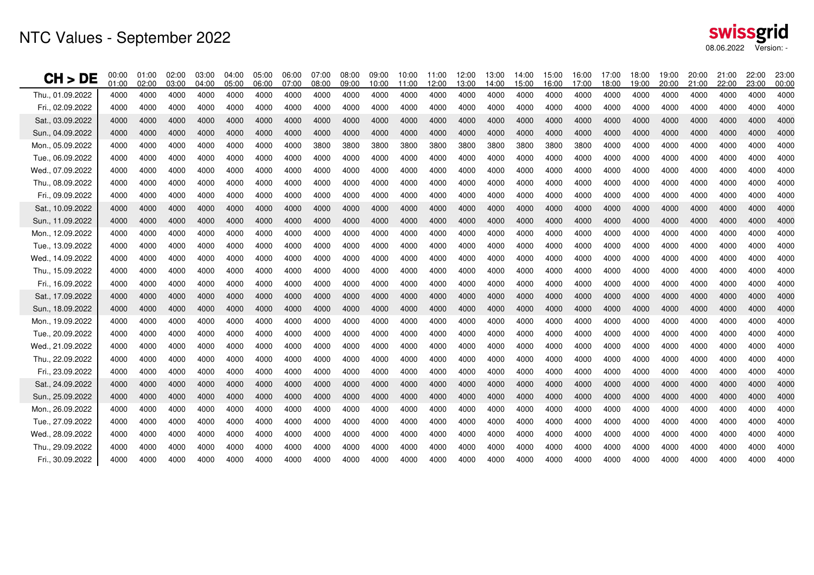| CH ><br>DE       | 00:00<br>01:00 | 01:00<br>02:00 | 02:00<br>03:00 | 03:00<br>04:00 | 04:00<br>05:00 | 05:00<br>06:00 | 06:00<br>07:00 | 07:00<br>08:00 | 08:00<br>09:00 | 09:00<br>10:00 | 10:00<br>11:00 | 11:00<br>12:00 | 12:00<br>13:00 | 13:00<br>14:00 | 14:00<br>15:00 | 15:00<br>16:00 | 16:00<br>17:00 | 17:00<br>18:00 | 18:00<br>19:00 | 19:00<br>20:00 | 20:00<br>21:00 | 21:00<br>22:00 | 22:00<br>23:00 | 23:00<br>00:00 |
|------------------|----------------|----------------|----------------|----------------|----------------|----------------|----------------|----------------|----------------|----------------|----------------|----------------|----------------|----------------|----------------|----------------|----------------|----------------|----------------|----------------|----------------|----------------|----------------|----------------|
| Thu., 01.09.2022 | 4000           | 4000           | 4000           | 4000           | 4000           | 4000           | 4000           | 4000           | 4000           | 4000           | 4000           | 4000           | 4000           | 4000           | 4000           | 4000           | 4000           | 4000           | 4000           | 4000           | 4000           | 4000           | 4000           | 4000           |
| Fri., 02.09.2022 | 4000           | 4000           | 4000           | 4000           | 4000           | 4000           | 4000           | 4000           | 4000           | 4000           | 4000           | 4000           | 4000           | 4000           | 4000           | 4000           | 4000           | 4000           | 4000           | 4000           | 4000           | 4000           | 4000           | 4000           |
| Sat., 03.09.2022 | 4000           | 4000           | 4000           | 4000           | 4000           | 4000           | 4000           | 4000           | 4000           | 4000           | 4000           | 4000           | 4000           | 4000           | 4000           | 4000           | 4000           | 4000           | 4000           | 4000           | 4000           | 4000           | 4000           | 4000           |
| Sun., 04.09.2022 | 4000           | 4000           | 4000           | 4000           | 4000           | 4000           | 4000           | 4000           | 4000           | 4000           | 4000           | 4000           | 4000           | 4000           | 4000           | 4000           | 4000           | 4000           | 4000           | 4000           | 4000           | 4000           | 4000           | 4000           |
| Mon., 05.09.2022 | 4000           | 4000           | 4000           | 4000           | 4000           | 4000           | 4000           | 3800           | 3800           | 3800           | 3800           | 3800           | 3800           | 3800           | 3800           | 3800           | 3800           | 4000           | 4000           | 4000           | 4000           | 4000           | 4000           | 4000           |
| Tue., 06.09.2022 | 4000           | 4000           | 4000           | 4000           | 4000           | 4000           | 4000           | 4000           | 4000           | 4000           | 4000           | 4000           | 4000           | 4000           | 4000           | 4000           | 4000           | 4000           | 4000           | 4000           | 4000           | 4000           | 4000           | 4000           |
| Wed., 07.09.2022 | 4000           | 4000           | 4000           | 4000           | 4000           | 4000           | 4000           | 4000           | 4000           | 4000           | 4000           | 4000           | 4000           | 4000           | 4000           | 4000           | 4000           | 4000           | 4000           | 4000           | 4000           | 4000           | 4000           | 4000           |
| Thu., 08.09.2022 | 4000           | 4000           | 4000           | 4000           | 4000           | 4000           | 4000           | 4000           | 4000           | 4000           | 4000           | 4000           | 4000           | 4000           | 4000           | 4000           | 4000           | 4000           | 4000           | 4000           | 4000           | 4000           | 4000           | 4000           |
| Fri., 09.09.2022 | 4000           | 4000           | 4000           | 4000           | 4000           | 4000           | 4000           | 4000           | 4000           | 4000           | 4000           | 4000           | 4000           | 4000           | 4000           | 4000           | 4000           | 4000           | 4000           | 4000           | 4000           | 4000           | 4000           | 4000           |
| Sat., 10.09.2022 | 4000           | 4000           | 4000           | 4000           | 4000           | 4000           | 4000           | 4000           | 4000           | 4000           | 4000           | 4000           | 4000           | 4000           | 4000           | 4000           | 4000           | 4000           | 4000           | 4000           | 4000           | 4000           | 4000           | 4000           |
| Sun., 11.09.2022 | 4000           | 4000           | 4000           | 4000           | 4000           | 4000           | 4000           | 4000           | 4000           | 4000           | 4000           | 4000           | 4000           | 4000           | 4000           | 4000           | 4000           | 4000           | 4000           | 4000           | 4000           | 4000           | 4000           | 4000           |
| Mon., 12.09.2022 | 4000           | 4000           | 4000           | 4000           | 4000           | 4000           | 4000           | 4000           | 4000           | 4000           | 4000           | 4000           | 4000           | 4000           | 4000           | 4000           | 4000           | 4000           | 4000           | 4000           | 4000           | 4000           | 4000           | 4000           |
| Tue., 13.09.2022 | 4000           | 4000           | 4000           | 4000           | 4000           | 4000           | 4000           | 4000           | 4000           | 4000           | 4000           | 4000           | 4000           | 4000           | 4000           | 4000           | 4000           | 4000           | 4000           | 4000           | 4000           | 4000           | 4000           | 4000           |
| Wed., 14.09.2022 | 4000           | 4000           | 4000           | 4000           | 4000           | 4000           | 4000           | 4000           | 4000           | 4000           | 4000           | 4000           | 4000           | 4000           | 4000           | 4000           | 4000           | 4000           | 4000           | 4000           | 4000           | 4000           | 4000           | 4000           |
| Thu., 15.09.2022 | 4000           | 4000           | 4000           | 4000           | 4000           | 4000           | 4000           | 4000           | 4000           | 4000           | 4000           | 4000           | 4000           | 4000           | 4000           | 4000           | 4000           | 4000           | 4000           | 4000           | 4000           | 4000           | 4000           | 4000           |
| Fri., 16.09.2022 | 4000           | 4000           | 4000           | 4000           | 4000           | 4000           | 4000           | 4000           | 4000           | 4000           | 4000           | 4000           | 4000           | 4000           | 4000           | 4000           | 4000           | 4000           | 4000           | 4000           | 4000           | 4000           | 4000           | 4000           |
| Sat., 17.09.2022 | 4000           | 4000           | 4000           | 4000           | 4000           | 4000           | 4000           | 4000           | 4000           | 4000           | 4000           | 4000           | 4000           | 4000           | 4000           | 4000           | 4000           | 4000           | 4000           | 4000           | 4000           | 4000           | 4000           | 4000           |
| Sun., 18.09.2022 | 4000           | 4000           | 4000           | 4000           | 4000           | 4000           | 4000           | 4000           | 4000           | 4000           | 4000           | 4000           | 4000           | 4000           | 4000           | 4000           | 4000           | 4000           | 4000           | 4000           | 4000           | 4000           | 4000           | 4000           |
| Mon., 19.09.2022 | 4000           | 4000           | 4000           | 4000           | 4000           | 4000           | 4000           | 4000           | 4000           | 4000           | 4000           | 4000           | 4000           | 4000           | 4000           | 4000           | 4000           | 4000           | 4000           | 4000           | 4000           | 4000           | 4000           | 4000           |
| Tue., 20.09.2022 | 4000           | 4000           | 4000           | 4000           | 4000           | 4000           | 4000           | 4000           | 4000           | 4000           | 4000           | 4000           | 4000           | 4000           | 4000           | 4000           | 4000           | 4000           | 4000           | 4000           | 4000           | 4000           | 4000           | 4000           |
| Wed., 21.09.2022 | 4000           | 4000           | 4000           | 4000           | 4000           | 4000           | 4000           | 4000           | 4000           | 4000           | 4000           | 4000           | 4000           | 4000           | 4000           | 4000           | 4000           | 4000           | 4000           | 4000           | 4000           | 4000           | 4000           | 4000           |
| Thu., 22.09.2022 | 4000           | 4000           | 4000           | 4000           | 4000           | 4000           | 4000           | 4000           | 4000           | 4000           | 4000           | 4000           | 4000           | 4000           | 4000           | 4000           | 4000           | 4000           | 4000           | 4000           | 4000           | 4000           | 4000           | 4000           |
| Fri., 23.09.2022 | 4000           | 4000           | 4000           | 4000           | 4000           | 4000           | 4000           | 4000           | 4000           | 4000           | 4000           | 4000           | 4000           | 4000           | 4000           | 4000           | 4000           | 4000           | 4000           | 4000           | 4000           | 4000           | 4000           | 4000           |
| Sat., 24.09.2022 | 4000           | 4000           | 4000           | 4000           | 4000           | 4000           | 4000           | 4000           | 4000           | 4000           | 4000           | 4000           | 4000           | 4000           | 4000           | 4000           | 4000           | 4000           | 4000           | 4000           | 4000           | 4000           | 4000           | 4000           |
| Sun., 25.09.2022 | 4000           | 4000           | 4000           | 4000           | 4000           | 4000           | 4000           | 4000           | 4000           | 4000           | 4000           | 4000           | 4000           | 4000           | 4000           | 4000           | 4000           | 4000           | 4000           | 4000           | 4000           | 4000           | 4000           | 4000           |
| Mon., 26.09.2022 | 4000           | 4000           | 4000           | 4000           | 4000           | 4000           | 4000           | 4000           | 4000           | 4000           | 4000           | 4000           | 4000           | 4000           | 4000           | 4000           | 4000           | 4000           | 4000           | 4000           | 4000           | 4000           | 4000           | 4000           |
| Tue., 27.09.2022 | 4000           | 4000           | 4000           | 4000           | 4000           | 4000           | 4000           | 4000           | 4000           | 4000           | 4000           | 4000           | 4000           | 4000           | 4000           | 4000           | 4000           | 4000           | 4000           | 4000           | 4000           | 4000           | 4000           | 4000           |
| Wed., 28.09.2022 | 4000           | 4000           | 4000           | 4000           | 4000           | 4000           | 4000           | 4000           | 4000           | 4000           | 4000           | 4000           | 4000           | 4000           | 4000           | 4000           | 4000           | 4000           | 4000           | 4000           | 4000           | 4000           | 4000           | 4000           |
| Thu., 29.09.2022 | 4000           | 4000           | 4000           | 4000           | 4000           | 4000           | 4000           | 4000           | 4000           | 4000           | 4000           | 4000           | 4000           | 4000           | 4000           | 4000           | 4000           | 4000           | 4000           | 4000           | 4000           | 4000           | 4000           | 4000           |
| Fri., 30.09.2022 | 4000           | 4000           | 4000           | 4000           | 4000           | 4000           | 4000           | 4000           | 4000           | 4000           | 4000           | 4000           | 4000           | 4000           | 4000           | 4000           | 4000           | 4000           | 4000           | 4000           | 4000           | 4000           | 4000           | 4000           |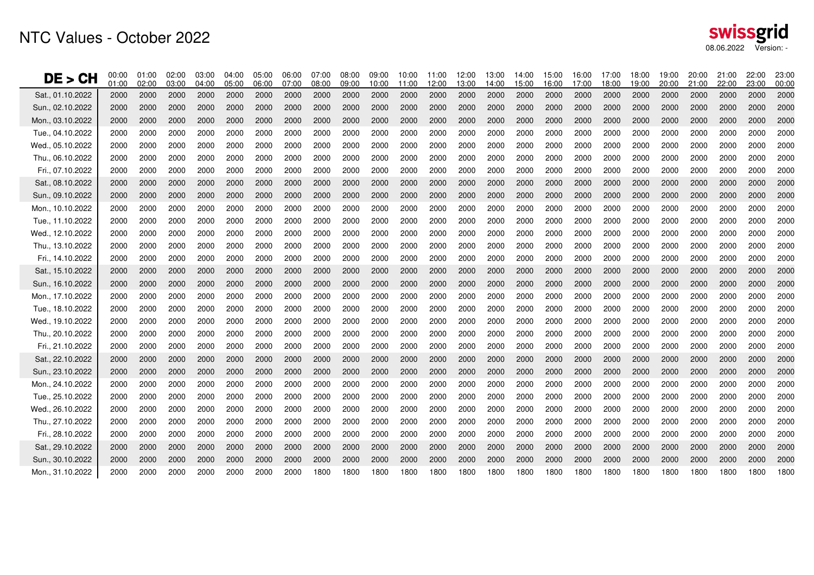| DE > CH          | 00:00<br>01:00 | 01:00<br>02:00 | 02:00<br>03:00 | 03:00<br>04:00 | 04:00<br>05:00 | 05:00<br>06:00 | 06:00<br>07:00 | 07:00<br>08:00 | 08:00<br>09:00 | 09:00<br>10:00 | 10:00<br>11:00 | 11:00<br>12:00 | 12:00<br>13:00 | 13:00<br>14:00 | 14:00<br>15:00 | 15:00<br>16:00 | 16:00<br>17:00 | 17:00<br>18:00 | 18:00<br>19:00 | 19:00<br>20:00 | 20:00<br>21:00 | 21:00<br>22:00 | 22:00<br>23:00 | 23:00<br>00:00 |
|------------------|----------------|----------------|----------------|----------------|----------------|----------------|----------------|----------------|----------------|----------------|----------------|----------------|----------------|----------------|----------------|----------------|----------------|----------------|----------------|----------------|----------------|----------------|----------------|----------------|
| Sat., 01.10.2022 | 2000           | 2000           | 2000           | 2000           | 2000           | 2000           | 2000           | 2000           | 2000           | 2000           | 2000           | 2000           | 2000           | 2000           | 2000           | 2000           | 2000           | 2000           | 2000           | 2000           | 2000           | 2000           | 2000           | 2000           |
| Sun., 02.10.2022 | 2000           | 2000           | 2000           | 2000           | 2000           | 2000           | 2000           | 2000           | 2000           | 2000           | 2000           | 2000           | 2000           | 2000           | 2000           | 2000           | 2000           | 2000           | 2000           | 2000           | 2000           | 2000           | 2000           | 2000           |
| Mon., 03.10.2022 | 2000           | 2000           | 2000           | 2000           | 2000           | 2000           | 2000           | 2000           | 2000           | 2000           | 2000           | 2000           | 2000           | 2000           | 2000           | 2000           | 2000           | 2000           | 2000           | 2000           | 2000           | 2000           | 2000           | 2000           |
| Tue., 04.10.2022 | 2000           | 2000           | 2000           | 2000           | 2000           | 2000           | 2000           | 2000           | 2000           | 2000           | 2000           | 2000           | 2000           | 2000           | 2000           | 2000           | 2000           | 2000           | 2000           | 2000           | 2000           | 2000           | 2000           | 2000           |
| Wed., 05.10.2022 | 2000           | 2000           | 2000           | 2000           | 2000           | 2000           | 2000           | 2000           | 2000           | 2000           | 2000           | 2000           | 2000           | 2000           | 2000           | 2000           | 2000           | 2000           | 2000           | 2000           | 2000           | 2000           | 2000           | 2000           |
| Thu., 06.10.2022 | 2000           | 2000           | 2000           | 2000           | 2000           | 2000           | 2000           | 2000           | 2000           | 2000           | 2000           | 2000           | 2000           | 2000           | 2000           | 2000           | 2000           | 2000           | 2000           | 2000           | 2000           | 2000           | 2000           | 2000           |
| Fri., 07.10.2022 | 2000           | 2000           | 2000           | 2000           | 2000           | 2000           | 2000           | 2000           | 2000           | 2000           | 2000           | 2000           | 2000           | 2000           | 2000           | 2000           | 2000           | 2000           | 2000           | 2000           | 2000           | 2000           | 2000           | 2000           |
| Sat., 08.10.2022 | 2000           | 2000           | 2000           | 2000           | 2000           | 2000           | 2000           | 2000           | 2000           | 2000           | 2000           | 2000           | 2000           | 2000           | 2000           | 2000           | 2000           | 2000           | 2000           | 2000           | 2000           | 2000           | 2000           | 2000           |
| Sun., 09.10.2022 | 2000           | 2000           | 2000           | 2000           | 2000           | 2000           | 2000           | 2000           | 2000           | 2000           | 2000           | 2000           | 2000           | 2000           | 2000           | 2000           | 2000           | 2000           | 2000           | 2000           | 2000           | 2000           | 2000           | 2000           |
| Mon., 10.10.2022 | 2000           | 2000           | 2000           | 2000           | 2000           | 2000           | 2000           | 2000           | 2000           | 2000           | 2000           | 2000           | 2000           | 2000           | 2000           | 2000           | 2000           | 2000           | 2000           | 2000           | 2000           | 2000           | 2000           | 2000           |
| Tue., 11.10.2022 | 2000           | 2000           | 2000           | 2000           | 2000           | 2000           | 2000           | 2000           | 2000           | 2000           | 2000           | 2000           | 2000           | 2000           | 2000           | 2000           | 2000           | 2000           | 2000           | 2000           | 2000           | 2000           | 2000           | 2000           |
| Wed., 12.10.2022 | 2000           | 2000           | 2000           | 2000           | 2000           | 2000           | 2000           | 2000           | 2000           | 2000           | 2000           | 2000           | 2000           | 2000           | 2000           | 2000           | 2000           | 2000           | 2000           | 2000           | 2000           | 2000           | 2000           | 2000           |
| Thu., 13.10.2022 | 2000           | 2000           | 2000           | 2000           | 2000           | 2000           | 2000           | 2000           | 2000           | 2000           | 2000           | 2000           | 2000           | 2000           | 2000           | 2000           | 2000           | 2000           | 2000           | 2000           | 2000           | 2000           | 2000           | 2000           |
| Fri., 14.10.2022 | 2000           | 2000           | 2000           | 2000           | 2000           | 2000           | 2000           | 2000           | 2000           | 2000           | 2000           | 2000           | 2000           | 2000           | 2000           | 2000           | 2000           | 2000           | 2000           | 2000           | 2000           | 2000           | 2000           | 2000           |
| Sat., 15.10.2022 | 2000           | 2000           | 2000           | 2000           | 2000           | 2000           | 2000           | 2000           | 2000           | 2000           | 2000           | 2000           | 2000           | 2000           | 2000           | 2000           | 2000           | 2000           | 2000           | 2000           | 2000           | 2000           | 2000           | 2000           |
| Sun., 16.10.2022 | 2000           | 2000           | 2000           | 2000           | 2000           | 2000           | 2000           | 2000           | 2000           | 2000           | 2000           | 2000           | 2000           | 2000           | 2000           | 2000           | 2000           | 2000           | 2000           | 2000           | 2000           | 2000           | 2000           | 2000           |
| Mon., 17.10.2022 | 2000           | 2000           | 2000           | 2000           | 2000           | 2000           | 2000           | 2000           | 2000           | 2000           | 2000           | 2000           | 2000           | 2000           | 2000           | 2000           | 2000           | 2000           | 2000           | 2000           | 2000           | 2000           | 2000           | 2000           |
| Tue., 18.10.2022 | 2000           | 2000           | 2000           | 2000           | 2000           | 2000           | 2000           | 2000           | 2000           | 2000           | 2000           | 2000           | 2000           | 2000           | 2000           | 2000           | 2000           | 2000           | 2000           | 2000           | 2000           | 2000           | 2000           | 2000           |
| Wed., 19.10.2022 | 2000           | 2000           | 2000           | 2000           | 2000           | 2000           | 2000           | 2000           | 2000           | 2000           | 2000           | 2000           | 2000           | 2000           | 2000           | 2000           | 2000           | 2000           | 2000           | 2000           | 2000           | 2000           | 2000           | 2000           |
| Thu., 20.10.2022 | 2000           | 2000           | 2000           | 2000           | 2000           | 2000           | 2000           | 2000           | 2000           | 2000           | 2000           | 2000           | 2000           | 2000           | 2000           | 2000           | 2000           | 2000           | 2000           | 2000           | 2000           | 2000           | 2000           | 2000           |
| Fri., 21.10.2022 | 2000           | 2000           | 2000           | 2000           | 2000           | 2000           | 2000           | 2000           | 2000           | 2000           | 2000           | 2000           | 2000           | 2000           | 2000           | 2000           | 2000           | 2000           | 2000           | 2000           | 2000           | 2000           | 2000           | 2000           |
| Sat., 22.10.2022 | 2000           | 2000           | 2000           | 2000           | 2000           | 2000           | 2000           | 2000           | 2000           | 2000           | 2000           | 2000           | 2000           | 2000           | 2000           | 2000           | 2000           | 2000           | 2000           | 2000           | 2000           | 2000           | 2000           | 2000           |
| Sun., 23.10.2022 | 2000           | 2000           | 2000           | 2000           | 2000           | 2000           | 2000           | 2000           | 2000           | 2000           | 2000           | 2000           | 2000           | 2000           | 2000           | 2000           | 2000           | 2000           | 2000           | 2000           | 2000           | 2000           | 2000           | 2000           |
| Mon., 24.10.2022 | 2000           | 2000           | 2000           | 2000           | 2000           | 2000           | 2000           | 2000           | 2000           | 2000           | 2000           | 2000           | 2000           | 2000           | 2000           | 2000           | 2000           | 2000           | 2000           | 2000           | 2000           | 2000           | 2000           | 2000           |
| Tue., 25.10.2022 | 2000           | 2000           | 2000           | 2000           | 2000           | 2000           | 2000           | 2000           | 2000           | 2000           | 2000           | 2000           | 2000           | 2000           | 2000           | 2000           | 2000           | 2000           | 2000           | 2000           | 2000           | 2000           | 2000           | 2000           |
| Wed., 26.10.2022 | 2000           | 2000           | 2000           | 2000           | 2000           | 2000           | 2000           | 2000           | 2000           | 2000           | 2000           | 2000           | 2000           | 2000           | 2000           | 2000           | 2000           | 2000           | 2000           | 2000           | 2000           | 2000           | 2000           | 2000           |
| Thu., 27.10.2022 | 2000           | 2000           | 2000           | 2000           | 2000           | 2000           | 2000           | 2000           | 2000           | 2000           | 2000           | 2000           | 2000           | 2000           | 2000           | 2000           | 2000           | 2000           | 2000           | 2000           | 2000           | 2000           | 2000           | 2000           |
| Fri., 28.10.2022 | 2000           | 2000           | 2000           | 2000           | 2000           | 2000           | 2000           | 2000           | 2000           | 2000           | 2000           | 2000           | 2000           | 2000           | 2000           | 2000           | 2000           | 2000           | 2000           | 2000           | 2000           | 2000           | 2000           | 2000           |
| Sat., 29.10.2022 | 2000           | 2000           | 2000           | 2000           | 2000           | 2000           | 2000           | 2000           | 2000           | 2000           | 2000           | 2000           | 2000           | 2000           | 2000           | 2000           | 2000           | 2000           | 2000           | 2000           | 2000           | 2000           | 2000           | 2000           |
| Sun., 30.10.2022 | 2000           | 2000           | 2000           | 2000           | 2000           | 2000           | 2000           | 2000           | 2000           | 2000           | 2000           | 2000           | 2000           | 2000           | 2000           | 2000           | 2000           | 2000           | 2000           | 2000           | 2000           | 2000           | 2000           | 2000           |
| Mon., 31.10.2022 | 2000           | 2000           | 2000           | 2000           | 2000           | 2000           | 2000           | 1800           | 1800           | 1800           | 1800           | 1800           | 1800           | 1800           | 1800           | 1800           | 1800           | 1800           | 1800           | 1800           | 1800           | 1800           | 1800           | 1800           |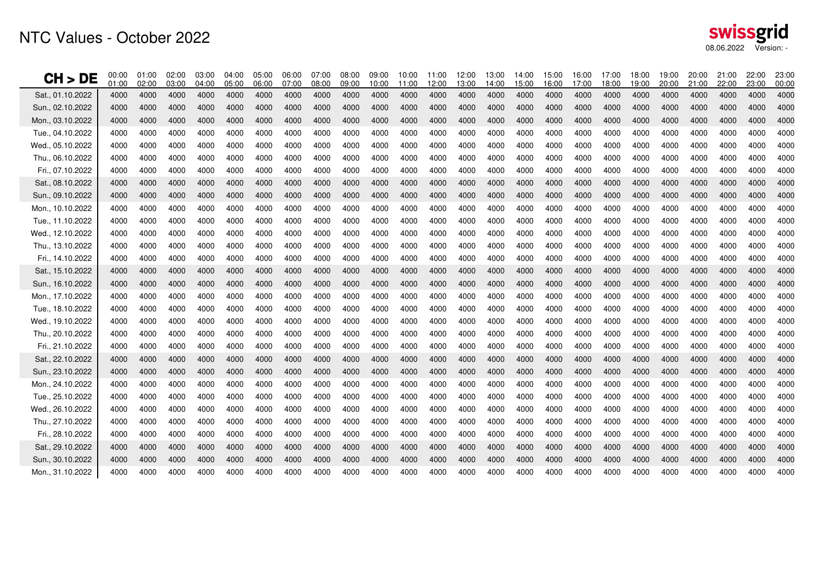| CH > DE          | 00:00<br>01:00 | 01:00<br>02:00 | 02:00<br>03:00 | 03:00<br>04:00 | 04:00<br>05:00 | 05:00<br>06:00 | 06:00<br>07:00 | 07:00<br>08:00 | 08:00<br>09:00 | 09:00<br>10:00 | 10:00<br>11:00 | 11:00<br>12:00 | 12:00<br>13:00 | 13:00<br>14:00 | 14:00<br>15:00 | 15:00<br>16:00 | 16:00<br>17:00 | 17:00<br>18:00 | 18:00<br>19:00 | 19:00<br>20:00 | 20:00<br>21:00 | 21:00<br>22:00 | 22:00<br>23:00 | 23:00<br>00:00 |
|------------------|----------------|----------------|----------------|----------------|----------------|----------------|----------------|----------------|----------------|----------------|----------------|----------------|----------------|----------------|----------------|----------------|----------------|----------------|----------------|----------------|----------------|----------------|----------------|----------------|
| Sat., 01.10.2022 | 4000           | 4000           | 4000           | 4000           | 4000           | 4000           | 4000           | 4000           | 4000           | 4000           | 4000           | 4000           | 4000           | 4000           | 4000           | 4000           | 4000           | 4000           | 4000           | 4000           | 4000           | 4000           | 4000           | 4000           |
| Sun., 02.10.2022 | 4000           | 4000           | 4000           | 4000           | 4000           | 4000           | 4000           | 4000           | 4000           | 4000           | 4000           | 4000           | 4000           | 4000           | 4000           | 4000           | 4000           | 4000           | 4000           | 4000           | 4000           | 4000           | 4000           | 4000           |
| Mon., 03.10.2022 | 4000           | 4000           | 4000           | 4000           | 4000           | 4000           | 4000           | 4000           | 4000           | 4000           | 4000           | 4000           | 4000           | 4000           | 4000           | 4000           | 4000           | 4000           | 4000           | 4000           | 4000           | 4000           | 4000           | 4000           |
| Tue., 04.10.2022 | 4000           | 4000           | 4000           | 4000           | 4000           | 4000           | 4000           | 4000           | 4000           | 4000           | 4000           | 4000           | 4000           | 4000           | 4000           | 4000           | 4000           | 4000           | 4000           | 4000           | 4000           | 4000           | 4000           | 4000           |
| Wed., 05.10.2022 | 4000           | 4000           | 4000           | 4000           | 4000           | 4000           | 4000           | 4000           | 4000           | 4000           | 4000           | 4000           | 4000           | 4000           | 4000           | 4000           | 4000           | 4000           | 4000           | 4000           | 4000           | 4000           | 4000           | 4000           |
| Thu., 06.10.2022 | 4000           | 4000           | 4000           | 4000           | 4000           | 4000           | 4000           | 4000           | 4000           | 4000           | 4000           | 4000           | 4000           | 4000           | 4000           | 4000           | 4000           | 4000           | 4000           | 4000           | 4000           | 4000           | 4000           | 4000           |
| Fri., 07.10.2022 | 4000           | 4000           | 4000           | 4000           | 4000           | 4000           | 4000           | 4000           | 4000           | 4000           | 4000           | 4000           | 4000           | 4000           | 4000           | 4000           | 4000           | 4000           | 4000           | 4000           | 4000           | 4000           | 4000           | 4000           |
| Sat., 08.10.2022 | 4000           | 4000           | 4000           | 4000           | 4000           | 4000           | 4000           | 4000           | 4000           | 4000           | 4000           | 4000           | 4000           | 4000           | 4000           | 4000           | 4000           | 4000           | 4000           | 4000           | 4000           | 4000           | 4000           | 4000           |
| Sun., 09.10.2022 | 4000           | 4000           | 4000           | 4000           | 4000           | 4000           | 4000           | 4000           | 4000           | 4000           | 4000           | 4000           | 4000           | 4000           | 4000           | 4000           | 4000           | 4000           | 4000           | 4000           | 4000           | 4000           | 4000           | 4000           |
| Mon., 10.10.2022 | 4000           | 4000           | 4000           | 4000           | 4000           | 4000           | 4000           | 4000           | 4000           | 4000           | 4000           | 4000           | 4000           | 4000           | 4000           | 4000           | 4000           | 4000           | 4000           | 4000           | 4000           | 4000           | 4000           | 4000           |
| Tue., 11.10.2022 | 4000           | 4000           | 4000           | 4000           | 4000           | 4000           | 4000           | 4000           | 4000           | 4000           | 4000           | 4000           | 4000           | 4000           | 4000           | 4000           | 4000           | 4000           | 4000           | 4000           | 4000           | 4000           | 4000           | 4000           |
| Wed., 12.10.2022 | 4000           | 4000           | 4000           | 4000           | 4000           | 4000           | 4000           | 4000           | 4000           | 4000           | 4000           | 4000           | 4000           | 4000           | 4000           | 4000           | 4000           | 4000           | 4000           | 4000           | 4000           | 4000           | 4000           | 4000           |
| Thu., 13.10.2022 | 4000           | 4000           | 4000           | 4000           | 4000           | 4000           | 4000           | 4000           | 4000           | 4000           | 4000           | 4000           | 4000           | 4000           | 4000           | 4000           | 4000           | 4000           | 4000           | 4000           | 4000           | 4000           | 4000           | 4000           |
| Fri., 14.10.2022 | 4000           | 4000           | 4000           | 4000           | 4000           | 4000           | 4000           | 4000           | 4000           | 4000           | 4000           | 4000           | 4000           | 4000           | 4000           | 4000           | 4000           | 4000           | 4000           | 4000           | 4000           | 4000           | 4000           | 4000           |
| Sat., 15.10.2022 | 4000           | 4000           | 4000           | 4000           | 4000           | 4000           | 4000           | 4000           | 4000           | 4000           | 4000           | 4000           | 4000           | 4000           | 4000           | 4000           | 4000           | 4000           | 4000           | 4000           | 4000           | 4000           | 4000           | 4000           |
| Sun., 16.10.2022 | 4000           | 4000           | 4000           | 4000           | 4000           | 4000           | 4000           | 4000           | 4000           | 4000           | 4000           | 4000           | 4000           | 4000           | 4000           | 4000           | 4000           | 4000           | 4000           | 4000           | 4000           | 4000           | 4000           | 4000           |
| Mon., 17.10.2022 | 4000           | 4000           | 4000           | 4000           | 4000           | 4000           | 4000           | 4000           | 4000           | 4000           | 4000           | 4000           | 4000           | 4000           | 4000           | 4000           | 4000           | 4000           | 4000           | 4000           | 4000           | 4000           | 4000           | 4000           |
| Tue., 18.10.2022 | 4000           | 4000           | 4000           | 4000           | 4000           | 4000           | 4000           | 4000           | 4000           | 4000           | 4000           | 4000           | 4000           | 4000           | 4000           | 4000           | 4000           | 4000           | 4000           | 4000           | 4000           | 4000           | 4000           | 4000           |
| Wed., 19.10.2022 | 4000           | 4000           | 4000           | 4000           | 4000           | 4000           | 4000           | 4000           | 4000           | 4000           | 4000           | 4000           | 4000           | 4000           | 4000           | 4000           | 4000           | 4000           | 4000           | 4000           | 4000           | 4000           | 4000           | 4000           |
| Thu., 20.10.2022 | 4000           | 4000           | 4000           | 4000           | 4000           | 4000           | 4000           | 4000           | 4000           | 4000           | 4000           | 4000           | 4000           | 4000           | 4000           | 4000           | 4000           | 4000           | 4000           | 4000           | 4000           | 4000           | 4000           | 4000           |
| Fri., 21.10.2022 | 4000           | 4000           | 4000           | 4000           | 4000           | 4000           | 4000           | 4000           | 4000           | 4000           | 4000           | 4000           | 4000           | 4000           | 4000           | 4000           | 4000           | 4000           | 4000           | 4000           | 4000           | 4000           | 4000           | 4000           |
| Sat., 22.10.2022 | 4000           | 4000           | 4000           | 4000           | 4000           | 4000           | 4000           | 4000           | 4000           | 4000           | 4000           | 4000           | 4000           | 4000           | 4000           | 4000           | 4000           | 4000           | 4000           | 4000           | 4000           | 4000           | 4000           | 4000           |
| Sun., 23.10.2022 | 4000           | 4000           | 4000           | 4000           | 4000           | 4000           | 4000           | 4000           | 4000           | 4000           | 4000           | 4000           | 4000           | 4000           | 4000           | 4000           | 4000           | 4000           | 4000           | 4000           | 4000           | 4000           | 4000           | 4000           |
| Mon., 24.10.2022 | 4000           | 4000           | 4000           | 4000           | 4000           | 4000           | 4000           | 4000           | 4000           | 4000           | 4000           | 4000           | 4000           | 4000           | 4000           | 4000           | 4000           | 4000           | 4000           | 4000           | 4000           | 4000           | 4000           | 4000           |
| Tue 25.10.2022   | 4000           | 4000           | 4000           | 4000           | 4000           | 4000           | 4000           | 4000           | 4000           | 4000           | 4000           | 4000           | 4000           | 4000           | 4000           | 4000           | 4000           | 4000           | 4000           | 4000           | 4000           | 4000           | 4000           | 4000           |
| Wed., 26.10.2022 | 4000           | 4000           | 4000           | 4000           | 4000           | 4000           | 4000           | 4000           | 4000           | 4000           | 4000           | 4000           | 4000           | 4000           | 4000           | 4000           | 4000           | 4000           | 4000           | 4000           | 4000           | 4000           | 4000           | 4000           |
| Thu., 27.10.2022 | 4000           | 4000           | 4000           | 4000           | 4000           | 4000           | 4000           | 4000           | 4000           | 4000           | 4000           | 4000           | 4000           | 4000           | 4000           | 4000           | 4000           | 4000           | 4000           | 4000           | 4000           | 4000           | 4000           | 4000           |
| Fri., 28.10.2022 | 4000           | 4000           | 4000           | 4000           | 4000           | 4000           | 4000           | 4000           | 4000           | 4000           | 4000           | 4000           | 4000           | 4000           | 4000           | 4000           | 4000           | 4000           | 4000           | 4000           | 4000           | 4000           | 4000           | 4000           |
| Sat., 29.10.2022 | 4000           | 4000           | 4000           | 4000           | 4000           | 4000           | 4000           | 4000           | 4000           | 4000           | 4000           | 4000           | 4000           | 4000           | 4000           | 4000           | 4000           | 4000           | 4000           | 4000           | 4000           | 4000           | 4000           | 4000           |
| Sun., 30.10.2022 | 4000           | 4000           | 4000           | 4000           | 4000           | 4000           | 4000           | 4000           | 4000           | 4000           | 4000           | 4000           | 4000           | 4000           | 4000           | 4000           | 4000           | 4000           | 4000           | 4000           | 4000           | 4000           | 4000           | 4000           |
| Mon., 31.10.2022 | 4000           | 4000           | 4000           | 4000           | 4000           | 4000           | 4000           | 4000           | 4000           | 4000           | 4000           | 4000           | 4000           | 4000           | 4000           | 4000           | 4000           | 4000           | 4000           | 4000           | 4000           | 4000           | 4000           | 4000           |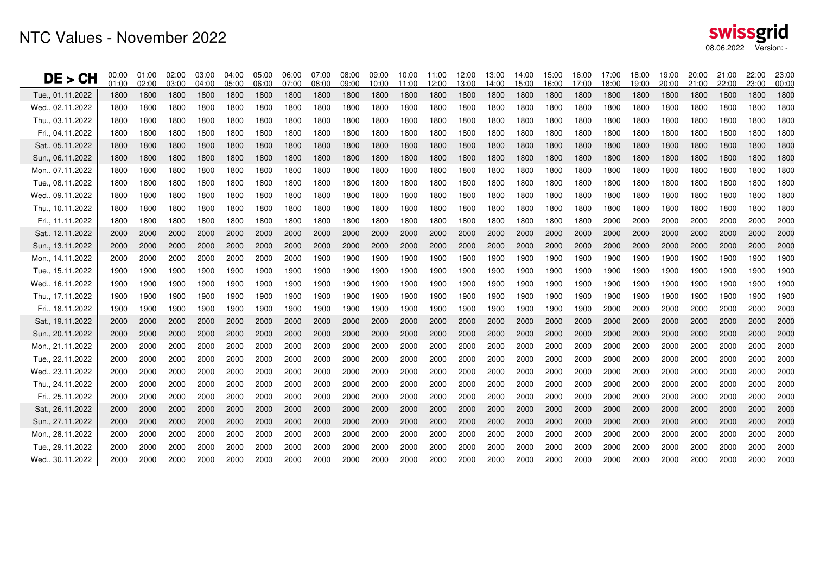| DE > CH          | 00:00<br>01:00 | 01:00<br>02:00 | 02:00<br>03:00 | 03:00<br>04:00 | 04:00<br>05:00 | 05:00<br>06:00 | 06:00<br>07:00 | 07:00<br>08:00 | 08:00<br>09:00 | 09:00<br>10:00 | 10:00<br>11:00 | 11:00<br>12:00 | 12:00<br>13:00 | 13:00<br>14:00 | 14:00<br>15:00 | 15:00<br>16:00 | 16:00<br>17:00 | 17:00<br>18:00 | 18:00<br>19:00 | 19:00<br>20:00 | 20:00<br>21:00 | 21:00<br>22:00 | 22:00<br>23:00 | 23:00<br>00:00 |
|------------------|----------------|----------------|----------------|----------------|----------------|----------------|----------------|----------------|----------------|----------------|----------------|----------------|----------------|----------------|----------------|----------------|----------------|----------------|----------------|----------------|----------------|----------------|----------------|----------------|
| Tue., 01.11.2022 | 1800           | 1800           | 1800           | 1800           | 1800           | 1800           | 1800           | 1800           | 1800           | 1800           | 1800           | 1800           | 1800           | 1800           | 1800           | 1800           | 1800           | 1800           | 1800           | 1800           | 1800           | 1800           | 1800           | 1800           |
| Wed., 02.11.2022 | 1800           | 1800           | 1800           | 1800           | 1800           | 1800           | 1800           | 1800           | 1800           | 1800           | 1800           | 1800           | 1800           | 1800           | 1800           | 1800           | 1800           | 1800           | 1800           | 1800           | 1800           | 1800           | 1800           | 1800           |
| Thu., 03.11.2022 | 1800           | 1800           | 1800           | 1800           | 1800           | 1800           | 1800           | 1800           | 1800           | 1800           | 1800           | 1800           | 1800           | 1800           | 1800           | 1800           | 1800           | 1800           | 1800           | 1800           | 1800           | 1800           | 1800           | 1800           |
| Fri., 04.11.2022 | 1800           | 1800           | 1800           | 1800           | 1800           | 1800           | 1800           | 1800           | 1800           | 1800           | 1800           | 1800           | 1800           | 1800           | 1800           | 1800           | 1800           | 1800           | 1800           | 1800           | 1800           | 1800           | 1800           | 1800           |
| Sat., 05.11.2022 | 1800           | 1800           | 1800           | 1800           | 1800           | 1800           | 1800           | 1800           | 1800           | 1800           | 1800           | 1800           | 1800           | 1800           | 1800           | 1800           | 1800           | 1800           | 1800           | 1800           | 1800           | 1800           | 1800           | 1800           |
| Sun., 06.11.2022 | 1800           | 1800           | 1800           | 1800           | 1800           | 1800           | 1800           | 1800           | 1800           | 1800           | 1800           | 1800           | 1800           | 1800           | 1800           | 1800           | 1800           | 1800           | 1800           | 1800           | 1800           | 1800           | 1800           | 1800           |
| Mon., 07.11.2022 | 1800           | 1800           | 1800           | 1800           | 1800           | 1800           | 1800           | 1800           | 1800           | 1800           | 1800           | 1800           | 1800           | 1800           | 1800           | 1800           | 1800           | 1800           | 1800           | 1800           | 1800           | 1800           | 1800           | 1800           |
| Tue., 08.11.2022 | 1800           | 1800           | 1800           | 1800           | 1800           | 1800           | 1800           | 1800           | 1800           | 1800           | 1800           | 1800           | 1800           | 1800           | 1800           | 1800           | 1800           | 1800           | 1800           | 1800           | 1800           | 1800           | 1800           | 1800           |
| Wed., 09.11.2022 | 1800           | 1800           | 1800           | 1800           | 1800           | 1800           | 1800           | 1800           | 1800           | 1800           | 1800           | 1800           | 1800           | 1800           | 1800           | 1800           | 1800           | 1800           | 1800           | 1800           | 1800           | 1800           | 1800           | 1800           |
| Thu., 10.11.2022 | 1800           | 1800           | 1800           | 1800           | 1800           | 1800           | 1800           | 1800           | 1800           | 1800           | 1800           | 1800           | 1800           | 1800           | 1800           | 1800           | 1800           | 1800           | 1800           | 1800           | 1800           | 1800           | 1800           | 1800           |
| Fri., 11.11.2022 | 1800           | 1800           | 1800           | 1800           | 1800           | 1800           | 1800           | 1800           | 1800           | 1800           | 1800           | 1800           | 1800           | 1800           | 1800           | 1800           | 1800           | 2000           | 2000           | 2000           | 2000           | 2000           | 2000           | 2000           |
| Sat., 12.11.2022 | 2000           | 2000           | 2000           | 2000           | 2000           | 2000           | 2000           | 2000           | 2000           | 2000           | 2000           | 2000           | 2000           | 2000           | 2000           | 2000           | 2000           | 2000           | 2000           | 2000           | 2000           | 2000           | 2000           | 2000           |
| Sun., 13.11.2022 | 2000           | 2000           | 2000           | 2000           | 2000           | 2000           | 2000           | 2000           | 2000           | 2000           | 2000           | 2000           | 2000           | 2000           | 2000           | 2000           | 2000           | 2000           | 2000           | 2000           | 2000           | 2000           | 2000           | 2000           |
| Mon., 14.11.2022 | 2000           | 2000           | 2000           | 2000           | 2000           | 2000           | 2000           | 1900           | 1900           | 1900           | 1900           | 1900           | 1900           | 1900           | 1900           | 1900           | 1900           | 1900           | 1900           | 1900           | 1900           | 1900           | 1900           | 1900           |
| Tue., 15.11.2022 | 1900           | 1900           | 1900           | 1900           | 1900           | 1900           | 1900           | 1900           | 1900           | 1900           | 1900           | 1900           | 1900           | 1900           | 1900           | 1900           | 1900           | 1900           | 1900           | 1900           | 1900           | 1900           | 1900           | 1900           |
| Wed., 16.11.2022 | 1900           | 1900           | 1900           | 1900           | 1900           | 1900           | 1900           | 1900           | 1900           | 1900           | 1900           | 1900           | 1900           | 1900           | 1900           | 1900           | 1900           | 1900           | 1900           | 1900           | 1900           | 1900           | 1900           | 1900           |
| Thu., 17.11.2022 | 1900           | 1900           | 1900           | 1900           | 1900           | 1900           | 1900           | 1900           | 1900           | 1900           | 1900           | 1900           | 1900           | 1900           | 1900           | 1900           | 1900           | 1900           | 1900           | 1900           | 1900           | 1900           | 1900           | 1900           |
| Fri., 18.11.2022 | 1900           | 1900           | 1900           | 1900           | 1900           | 1900           | 1900           | 1900           | 1900           | 1900           | 1900           | 1900           | 1900           | 1900           | 1900           | 1900           | 1900           | 2000           | 2000           | 2000           | 2000           | 2000           | 2000           | 2000           |
| Sat., 19.11.2022 | 2000           | 2000           | 2000           | 2000           | 2000           | 2000           | 2000           | 2000           | 2000           | 2000           | 2000           | 2000           | 2000           | 2000           | 2000           | 2000           | 2000           | 2000           | 2000           | 2000           | 2000           | 2000           | 2000           | 2000           |
| Sun., 20.11.2022 | 2000           | 2000           | 2000           | 2000           | 2000           | 2000           | 2000           | 2000           | 2000           | 2000           | 2000           | 2000           | 2000           | 2000           | 2000           | 2000           | 2000           | 2000           | 2000           | 2000           | 2000           | 2000           | 2000           | 2000           |
| Mon., 21.11.2022 | 2000           | 2000           | 2000           | 2000           | 2000           | 2000           | 2000           | 2000           | 2000           | 2000           | 2000           | 2000           | 2000           | 2000           | 2000           | 2000           | 2000           | 2000           | 2000           | 2000           | 2000           | 2000           | 2000           | 2000           |
| Tue., 22.11.2022 | 2000           | 2000           | 2000           | 2000           | 2000           | 2000           | 2000           | 2000           | 2000           | 2000           | 2000           | 2000           | 2000           | 2000           | 2000           | 2000           | 2000           | 2000           | 2000           | 2000           | 2000           | 2000           | 2000           | 2000           |
| Wed., 23.11.2022 | 2000           | 2000           | 2000           | 2000           | 2000           | 2000           | 2000           | 2000           | 2000           | 2000           | 2000           | 2000           | 2000           | 2000           | 2000           | 2000           | 2000           | 2000           | 2000           | 2000           | 2000           | 2000           | 2000           | 2000           |
| Thu., 24.11.2022 | 2000           | 2000           | 2000           | 2000           | 2000           | 2000           | 2000           | 2000           | 2000           | 2000           | 2000           | 2000           | 2000           | 2000           | 2000           | 2000           | 2000           | 2000           | 2000           | 2000           | 2000           | 2000           | 2000           | 2000           |
| Fri., 25.11.2022 | 2000           | 2000           | 2000           | 2000           | 2000           | 2000           | 2000           | 2000           | 2000           | 2000           | 2000           | 2000           | 2000           | 2000           | 2000           | 2000           | 2000           | 2000           | 2000           | 2000           | 2000           | 2000           | 2000           | 2000           |
| Sat., 26.11.2022 | 2000           | 2000           | 2000           | 2000           | 2000           | 2000           | 2000           | 2000           | 2000           | 2000           | 2000           | 2000           | 2000           | 2000           | 2000           | 2000           | 2000           | 2000           | 2000           | 2000           | 2000           | 2000           | 2000           | 2000           |
| Sun., 27.11.2022 | 2000           | 2000           | 2000           | 2000           | 2000           | 2000           | 2000           | 2000           | 2000           | 2000           | 2000           | 2000           | 2000           | 2000           | 2000           | 2000           | 2000           | 2000           | 2000           | 2000           | 2000           | 2000           | 2000           | 2000           |
| Mon., 28.11.2022 | 2000           | 2000           | 2000           | 2000           | 2000           | 2000           | 2000           | 2000           | 2000           | 2000           | 2000           | 2000           | 2000           | 2000           | 2000           | 2000           | 2000           | 2000           | 2000           | 2000           | 2000           | 2000           | 2000           | 2000           |
| Tue., 29.11.2022 | 2000           | 2000           | 2000           | 2000           | 2000           | 2000           | 2000           | 2000           | 2000           | 2000           | 2000           | 2000           | 2000           | 2000           | 2000           | 2000           | 2000           | 2000           | 2000           | 2000           | 2000           | 2000           | 2000           | 2000           |
| Wed., 30.11.2022 | 2000           | 2000           | 2000           | 2000           | 2000           | 2000           | 2000           | 2000           | 2000           | 2000           | 2000           | 2000           | 2000           | 2000           | 2000           | 2000           | 2000           | 2000           | 2000           | 2000           | 2000           | 2000           | 2000           | 2000           |